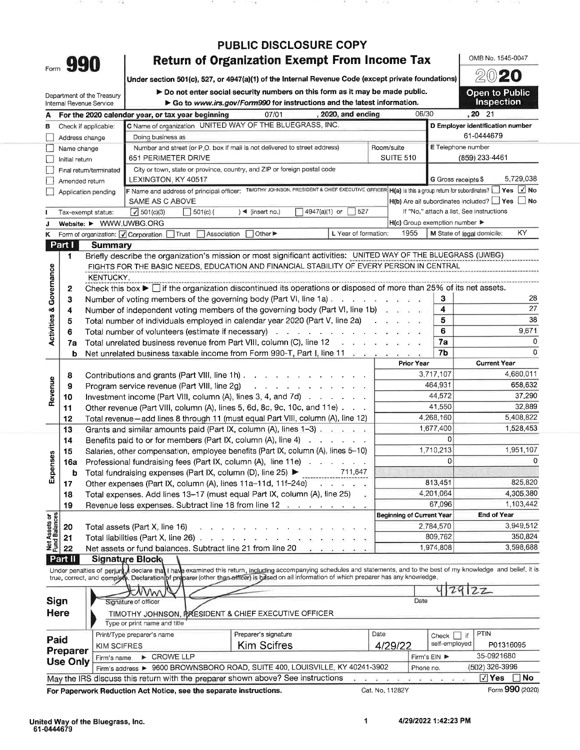| Form |  |
|------|--|
|      |  |

## **PUBLIC DISCLOSURE COPY Return of Organization Exempt From Income Tax**

Under section 501(c), 527, or 4947(a)(1) of the Internal Revenue Code (except private foundations)

Do not enter social security numbers on this form as it may be made public. ► Go to www.irs.gov/Form990 for instructions and the latest information.

**Open to Public** Inspection

OMB No. 1545-0047 2020

|                                    | Internal Revenue Service | Department of the Treasury | $\triangleright$ Do not enter social security numbers on this form as it may be made public.<br>$\triangleright$ Go to www.irs.gov/Form990 for instructions and the latest information.                                                                                                                               |                      |                                                     |                          | <b>Open to Public</b><br><b>Inspection</b>                                         |  |  |
|------------------------------------|--------------------------|----------------------------|-----------------------------------------------------------------------------------------------------------------------------------------------------------------------------------------------------------------------------------------------------------------------------------------------------------------------|----------------------|-----------------------------------------------------|--------------------------|------------------------------------------------------------------------------------|--|--|
| A                                  |                          |                            | 07/01<br>, 2020, and ending<br>For the 2020 calendar year, or tax year beginning                                                                                                                                                                                                                                      |                      |                                                     | 06/30                    | $, 20$ 21                                                                          |  |  |
| В                                  | Check if applicable:     |                            | C Name of organization UNITED WAY OF THE BLUEGRASS, INC.                                                                                                                                                                                                                                                              |                      |                                                     |                          | D Employer identification number                                                   |  |  |
|                                    | Address change           |                            | Doing business as                                                                                                                                                                                                                                                                                                     |                      |                                                     |                          | 61-0444679                                                                         |  |  |
|                                    | Name change              |                            | Number and street (or P.O. box if mail is not delivered to street address)                                                                                                                                                                                                                                            |                      | Room/suite                                          | E Telephone number       |                                                                                    |  |  |
|                                    | Initial return           |                            | 651 PERIMETER DRIVE                                                                                                                                                                                                                                                                                                   |                      | <b>SUITE 510</b>                                    | (859) 233-4461           |                                                                                    |  |  |
|                                    |                          | Final return/terminated    | City or town, state or province, country, and ZIP or foreign postal code                                                                                                                                                                                                                                              |                      |                                                     |                          |                                                                                    |  |  |
|                                    | Amended return           |                            | LEXINGTON, KY 40517                                                                                                                                                                                                                                                                                                   |                      |                                                     | G Gross receipts \$      | 5,729,038                                                                          |  |  |
|                                    | Application pending      |                            | F Name and address of principal officer: TIMOTHY JOHNSON, PRESIDENT & CHIEF EXECUTIVE OFFICER                                                                                                                                                                                                                         |                      |                                                     |                          | $H(a)$ is this a group return for subordinates? $\Box$ Yes $\boxed{\checkmark}$ No |  |  |
|                                    |                          |                            | SAME AS C ABOVE                                                                                                                                                                                                                                                                                                       |                      |                                                     |                          | $H(b)$ Are all subordinates included? $\Box$ Yes $\Box$ No                         |  |  |
|                                    | Tax-exempt status:       |                            | 4947(a)(1) or<br>$)$ < (insert no.)<br>$\sqrt{501}$ (c)(3)<br> 501(c)                                                                                                                                                                                                                                                 | 527                  |                                                     |                          | If "No," attach a list. See instructions                                           |  |  |
| J                                  |                          |                            | Website: ▶ WWW.UWBG.ORG                                                                                                                                                                                                                                                                                               |                      | $H(c)$ Group exemption number $\blacktriangleright$ |                          |                                                                                    |  |  |
| K                                  |                          |                            | Form of organization: <i>Q</i> Corporation Trust Association  <br>Other ▶                                                                                                                                                                                                                                             | L Year of formation: | 1955                                                |                          | KY.<br>M State of legal domicile:                                                  |  |  |
|                                    | Part I                   | Summary                    |                                                                                                                                                                                                                                                                                                                       |                      |                                                     |                          |                                                                                    |  |  |
|                                    | 1                        |                            | Briefly describe the organization's mission or most significant activities: UNITED WAY OF THE BLUEGRASS (UWBG)                                                                                                                                                                                                        |                      |                                                     |                          |                                                                                    |  |  |
|                                    |                          |                            | FIGHTS FOR THE BASIC NEEDS, EDUCATION AND FINANCIAL STABILITY OF EVERY PERSON IN CENTRAL                                                                                                                                                                                                                              |                      |                                                     |                          |                                                                                    |  |  |
|                                    |                          | <b>KENTUCKY.</b>           |                                                                                                                                                                                                                                                                                                                       |                      |                                                     |                          |                                                                                    |  |  |
| <b>Activities &amp; Governance</b> | 2                        |                            | Check this box $\blacktriangleright$ $\Box$ if the organization discontinued its operations or disposed of more than 25% of its net assets.                                                                                                                                                                           |                      |                                                     |                          |                                                                                    |  |  |
|                                    | З                        |                            | Number of voting members of the governing body (Part VI, line 1a) $\ldots$ $\ldots$ $\ldots$                                                                                                                                                                                                                          |                      |                                                     | з                        | 28                                                                                 |  |  |
|                                    | 4                        |                            | Number of independent voting members of the governing body (Part VI, line 1b)                                                                                                                                                                                                                                         |                      |                                                     | 4                        | 27                                                                                 |  |  |
|                                    | 5                        |                            | Total number of individuals employed in calendar year 2020 (Part V, line 2a)                                                                                                                                                                                                                                          |                      | $-20 - 20 = 20 - 20$                                | 5                        | 38                                                                                 |  |  |
|                                    | 6                        |                            | Total number of volunteers (estimate if necessary) enter a set of the set of the set of the set of the set of the set of the set of the set of the set of the set of the set of the set of the set of the set of the set of th                                                                                        |                      |                                                     | 6                        | 9,671                                                                              |  |  |
|                                    | 7a                       |                            |                                                                                                                                                                                                                                                                                                                       |                      |                                                     | 7a                       | 0                                                                                  |  |  |
|                                    | b                        |                            | Net unrelated business taxable income from Form 990-T, Part I, line 11 and such a series of the                                                                                                                                                                                                                       |                      |                                                     | 7b                       | O                                                                                  |  |  |
|                                    |                          |                            |                                                                                                                                                                                                                                                                                                                       |                      | <b>Prior Year</b>                                   |                          | <b>Current Year</b>                                                                |  |  |
|                                    | 8                        |                            | Contributions and grants (Part VIII, line 1h)                                                                                                                                                                                                                                                                         | 3,717,107            | 4,680,011                                           |                          |                                                                                    |  |  |
|                                    | 9                        |                            | Program service revenue (Part VIII, line 2g)<br>and a series of the contract of the series of                                                                                                                                                                                                                         | 464,931              | 658,632                                             |                          |                                                                                    |  |  |
| Revenue                            | 10                       |                            | Investment income (Part VIII, column (A), lines 3, 4, and 7d) $\ldots$                                                                                                                                                                                                                                                | 44,572               | 37,290                                              |                          |                                                                                    |  |  |
|                                    | 11                       |                            | Other revenue (Part VIII, column (A), lines 5, 6d, 8c, 9c, 10c, and 11e)                                                                                                                                                                                                                                              | 41,550               | 32,889                                              |                          |                                                                                    |  |  |
|                                    | 12                       |                            | Total revenue-add lines 8 through 11 (must equal Part VIII, column (A), line 12)                                                                                                                                                                                                                                      |                      |                                                     | 4,268,160                | 5,408,822                                                                          |  |  |
|                                    | 13                       |                            | Grants and similar amounts paid (Part IX, column (A), lines 1-3)                                                                                                                                                                                                                                                      |                      |                                                     | 1,677,400                | 1,528,453                                                                          |  |  |
|                                    | 14                       |                            | Benefits paid to or for members (Part IX, column $(A)$ , line 4) $\ldots$ $\ldots$                                                                                                                                                                                                                                    |                      |                                                     | <sup>0</sup>             |                                                                                    |  |  |
|                                    | 15                       |                            | Salaries, other compensation, employee benefits (Part IX, column (A), lines 5-10)                                                                                                                                                                                                                                     |                      |                                                     | 1,710,213                | 1,951,107                                                                          |  |  |
| <b>Expenses</b>                    | 16a                      |                            | Professional fundraising fees (Part IX, column (A), line 11e)                                                                                                                                                                                                                                                         |                      |                                                     | 0                        |                                                                                    |  |  |
|                                    | b                        |                            | Total fundraising expenses (Part IX, column (D), line 25) ▶ ______________                                                                                                                                                                                                                                            | 711,647              |                                                     |                          |                                                                                    |  |  |
|                                    | 17                       |                            | Other expenses (Part IX, column (A), lines $11a-11d$ , $11f-24e$ )                                                                                                                                                                                                                                                    |                      |                                                     | 813,451                  | 825,820                                                                            |  |  |
|                                    | 18                       |                            | Total expenses. Add lines 13-17 (must equal Part IX, column (A), line 25)                                                                                                                                                                                                                                             | $\mathbf{r}$ :       |                                                     | 4,201,064                | 4,305,380                                                                          |  |  |
|                                    | 19                       |                            | Revenue less expenses. Subtract line 18 from line 12                                                                                                                                                                                                                                                                  |                      |                                                     | 67,096                   | 1,103,442                                                                          |  |  |
| Net Assets or<br>Fund Balances     |                          |                            |                                                                                                                                                                                                                                                                                                                       |                      | <b>Beginning of Current Year</b>                    |                          | End of Year                                                                        |  |  |
|                                    | 20                       |                            | Total assets (Part X, line 16)                                                                                                                                                                                                                                                                                        |                      |                                                     | 2,784,570                | 3,949,512                                                                          |  |  |
|                                    | 21                       |                            | Total liabilities (Part X, line 26).                                                                                                                                                                                                                                                                                  |                      |                                                     | 809,762                  | 350,824                                                                            |  |  |
|                                    | 22                       |                            | Net assets or fund balances. Subtract line 21 from line 20                                                                                                                                                                                                                                                            |                      |                                                     | 1,974,808                | 3,598,688                                                                          |  |  |
|                                    | Part II                  | Signature Block            |                                                                                                                                                                                                                                                                                                                       |                      |                                                     |                          |                                                                                    |  |  |
|                                    |                          |                            | Under penalties of perjury declare that I have examined this return, including accompanying schedules and statements, and to the best of my knowledge and belief, it is<br>true, correct, and complete. Declaration of proparer (other than efficer) is based on all information of which preparer has any knowledge. |                      |                                                     |                          |                                                                                    |  |  |
|                                    |                          |                            |                                                                                                                                                                                                                                                                                                                       |                      |                                                     |                          | 22<br>291                                                                          |  |  |
| Sign                               |                          |                            |                                                                                                                                                                                                                                                                                                                       |                      | Date                                                |                          |                                                                                    |  |  |
|                                    |                          |                            | Signature of officer                                                                                                                                                                                                                                                                                                  |                      |                                                     |                          |                                                                                    |  |  |
|                                    | <b>Here</b>              |                            | TIMOTHY JOHNSON, PRESIDENT & CHIEF EXECUTIVE OFFICER                                                                                                                                                                                                                                                                  |                      |                                                     |                          |                                                                                    |  |  |
|                                    |                          |                            | Type or print name and title                                                                                                                                                                                                                                                                                          |                      |                                                     |                          | PTIN                                                                               |  |  |
| Paid                               |                          |                            | Preparer's signature<br>Print/Type preparer's name                                                                                                                                                                                                                                                                    |                      | Date                                                | Check  <br>self-employed | if                                                                                 |  |  |
|                                    | Preparer                 | <b>KIM SCIFRES</b>         | <b>Kim Scifres</b>                                                                                                                                                                                                                                                                                                    |                      | 4/29/22                                             |                          | P01316095                                                                          |  |  |
|                                    | <b>Use Only</b>          | Firm's name                | CROWE LLP                                                                                                                                                                                                                                                                                                             |                      |                                                     | Firm's EIN ▶             | 35-0921680                                                                         |  |  |
|                                    |                          |                            | Firm's address > 9600 BROWNSBORO ROAD, SUITE 400, LOUISVILLE, KY 40241-3902                                                                                                                                                                                                                                           |                      |                                                     | Phone no.                | (502) 326-3996                                                                     |  |  |
|                                    |                          |                            | May the IRS discuss this return with the preparer shown above? See instructions                                                                                                                                                                                                                                       |                      |                                                     |                          | $\sqrt{ }$ Yes<br>No<br>$000 \text{ mod}$                                          |  |  |

For Paperwork Reduction Act Notice, see the separate instructions.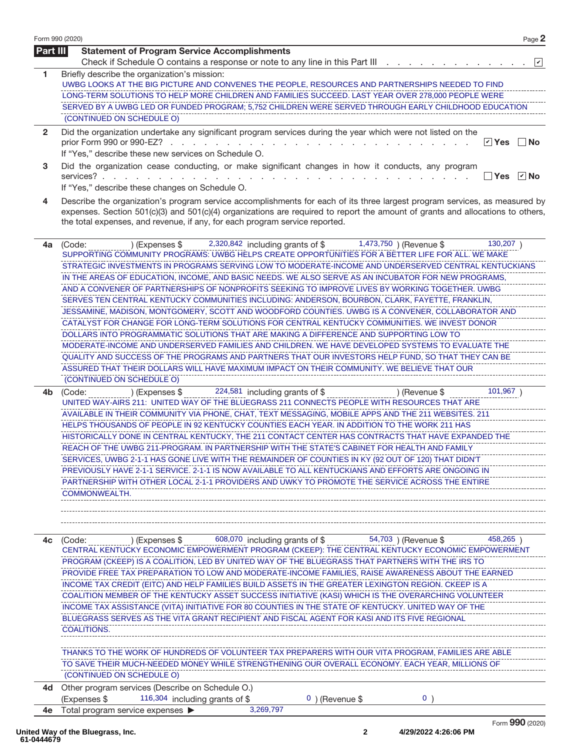| <b>Part III</b> | <b>Statement of Program Service Accomplishments</b><br>Check if Schedule O contains a response or note to any line in this Part III<br>$ \mathbf{v} $                                                                                                                                                                                                                                                                                                                                                                                                                                                                                                                                                                                                                                                                                                                                                                                                                                                                                                                                                                                                                                                                                                               |
|-----------------|---------------------------------------------------------------------------------------------------------------------------------------------------------------------------------------------------------------------------------------------------------------------------------------------------------------------------------------------------------------------------------------------------------------------------------------------------------------------------------------------------------------------------------------------------------------------------------------------------------------------------------------------------------------------------------------------------------------------------------------------------------------------------------------------------------------------------------------------------------------------------------------------------------------------------------------------------------------------------------------------------------------------------------------------------------------------------------------------------------------------------------------------------------------------------------------------------------------------------------------------------------------------|
| 1.              | Briefly describe the organization's mission:<br>UWBG LOOKS AT THE BIG PICTURE AND CONVENES THE PEOPLE, RESOURCES AND PARTNERSHIPS NEEDED TO FIND<br>LONG-TERM SOLUTIONS TO HELP MORE CHILDREN AND FAMILIES SUCCEED. LAST YEAR OVER 278,000 PEOPLE WERE<br>SERVED BY A UWBG LED OR FUNDED PROGRAM; 5,752 CHILDREN WERE SERVED THROUGH EARLY CHILDHOOD EDUCATION<br>(CONTINUED ON SCHEDULE O)                                                                                                                                                                                                                                                                                                                                                                                                                                                                                                                                                                                                                                                                                                                                                                                                                                                                         |
| $\overline{2}$  | Did the organization undertake any significant program services during the year which were not listed on the<br><b>☑</b> Yes<br>prior Form 990 or 990-EZ?<br>∣ ∣No<br>the company of the company of<br>If "Yes," describe these new services on Schedule O.                                                                                                                                                                                                                                                                                                                                                                                                                                                                                                                                                                                                                                                                                                                                                                                                                                                                                                                                                                                                         |
| 3               | Did the organization cease conducting, or make significant changes in how it conducts, any program<br>services?.<br>If "Yes," describe these changes on Schedule O.                                                                                                                                                                                                                                                                                                                                                                                                                                                                                                                                                                                                                                                                                                                                                                                                                                                                                                                                                                                                                                                                                                 |
| 4               | Describe the organization's program service accomplishments for each of its three largest program services, as measured by<br>expenses. Section 501(c)(3) and 501(c)(4) organizations are required to report the amount of grants and allocations to others,<br>the total expenses, and revenue, if any, for each program service reported.                                                                                                                                                                                                                                                                                                                                                                                                                                                                                                                                                                                                                                                                                                                                                                                                                                                                                                                         |
| 4a              | 2,320,842 including grants of \$ 1,473,750 ) (Revenue \$<br>$130,207$ )<br>) (Expenses \$<br>(Code:<br>SUPPORTING COMMUNITY PROGRAMS: UWBG HELPS CREATE OPPORTUNITIES FOR A BETTER LIFE FOR ALL. WE MAKE<br>STRATEGIC INVESTMENTS IN PROGRAMS SERVING LOW TO MODERATE-INCOME AND UNDERSERVED CENTRAL KENTUCKIANS<br>IN THE AREAS OF EDUCATION, INCOME, AND BASIC NEEDS. WE ALSO SERVE AS AN INCUBATOR FOR NEW PROGRAMS,<br>AND A CONVENER OF PARTNERSHIPS OF NONPROFITS SEEKING TO IMPROVE LIVES BY WORKING TOGETHER. UWBG<br>SERVES TEN CENTRAL KENTUCKY COMMUNITIES INCLUDING: ANDERSON, BOURBON, CLARK, FAYETTE, FRANKLIN,<br>JESSAMINE, MADISON, MONTGOMERY, SCOTT AND WOODFORD COUNTIES. UWBG IS A CONVENER, COLLABORATOR AND<br>CATALYST FOR CHANGE FOR LONG-TERM SOLUTIONS FOR CENTRAL KENTUCKY COMMUNITIES. WE INVEST DONOR<br>DOLLARS INTO PROGRAMMATIC SOLUTIONS THAT ARE MAKING A DIFFERENCE AND SUPPORTING LOW TO<br>MODERATE-INCOME AND UNDERSERVED FAMILIES AND CHILDREN. WE HAVE DEVELOPED SYSTEMS TO EVALUATE THE<br>QUALITY AND SUCCESS OF THE PROGRAMS AND PARTNERS THAT OUR INVESTORS HELP FUND, SO THAT THEY CAN BE<br>ASSURED THAT THEIR DOLLARS WILL HAVE MAXIMUM IMPACT ON THEIR COMMUNITY. WE BELIEVE THAT OUR<br>(CONTINUED ON SCHEDULE O) |
| 4b              | 101,967)<br>224,581 including grants of \$<br>) (Expenses \$<br>) (Revenue \$<br>(Code:<br>UNITED WAY-AIRS 211: UNITED WAY OF THE BLUEGRASS 211 CONNECTS PEOPLE WITH RESOURCES THAT ARE<br>AVAILABLE IN THEIR COMMUNITY VIA PHONE, CHAT, TEXT MESSAGING, MOBILE APPS AND THE 211 WEBSITES. 211<br>HELPS THOUSANDS OF PEOPLE IN 92 KENTUCKY COUNTIES EACH YEAR. IN ADDITION TO THE WORK 211 HAS<br>HISTORICALLY DONE IN CENTRAL KENTUCKY, THE 211 CONTACT CENTER HAS CONTRACTS THAT HAVE EXPANDED THE<br>REACH OF THE UWBG 211-PROGRAM. IN PARTNERSHIP WITH THE STATE'S CABINET FOR HEALTH AND FAMILY<br>SERVICES, UWBG 2-1-1 HAS GONE LIVE WITH THE REMAINDER OF COUNTIES IN KY (92 OUT OF 120) THAT DIDN'T<br>PREVIOUSLY HAVE 2-1-1 SERVICE. 2-1-1 IS NOW AVAILABLE TO ALL KENTUCKIANS AND EFFORTS ARE ONGOING IN<br>PARTNERSHIP WITH OTHER LOCAL 2-1-1 PROVIDERS AND UWKY TO PROMOTE THE SERVICE ACROSS THE ENTIRE<br>COMMONWEALTH.                                                                                                                                                                                                                                                                                                                               |
| 4c              | $(1.50)$ Expenses \$ 608,070 including grants of \$ 54,703 ) (Revenue \$<br>458,265)<br>(Code:<br>CENTRAL KENTUCKY ECONOMIC EMPOWERMENT PROGRAM (CKEEP): THE CENTRAL KENTUCKY ECONOMIC EMPOWERMENT<br>PROGRAM (CKEEP) IS A COALITION, LED BY UNITED WAY OF THE BLUEGRASS THAT PARTNERS WITH THE IRS TO<br>PROVIDE FREE TAX PREPARATION TO LOW AND MODERATE-INCOME FAMILIES, RAISE AWARENESS ABOUT THE EARNED<br>INCOME TAX CREDIT (EITC) AND HELP FAMILIES BUILD ASSETS IN THE GREATER LEXINGTON REGION. CKEEP IS A<br>COALITION MEMBER OF THE KENTUCKY ASSET SUCCESS INITIATIVE (KASI) WHICH IS THE OVERARCHING VOLUNTEER<br>INCOME TAX ASSISTANCE (VITA) INITIATIVE FOR 80 COUNTIES IN THE STATE OF KENTUCKY. UNITED WAY OF THE<br>BLUEGRASS SERVES AS THE VITA GRANT RECIPIENT AND FISCAL AGENT FOR KASI AND ITS FIVE REGIONAL<br>COALITIONS.<br>THANKS TO THE WORK OF HUNDREDS OF VOLUNTEER TAX PREPARERS WITH OUR VITA PROGRAM, FAMILIES ARE ABLE                                                                                                                                                                                                                                                                                                              |
| 4d              | TO SAVE THEIR MUCH-NEEDED MONEY WHILE STRENGTHENING OUR OVERALL ECONOMY. EACH YEAR, MILLIONS OF<br>(CONTINUED ON SCHEDULE O)<br>Other program services (Describe on Schedule O.)                                                                                                                                                                                                                                                                                                                                                                                                                                                                                                                                                                                                                                                                                                                                                                                                                                                                                                                                                                                                                                                                                    |
| 4е              | (Expenses \$<br>116,304 including grants of \$<br>$0$ ) (Revenue \$<br>0<br>3,269,797<br>Total program service expenses ▶                                                                                                                                                                                                                                                                                                                                                                                                                                                                                                                                                                                                                                                                                                                                                                                                                                                                                                                                                                                                                                                                                                                                           |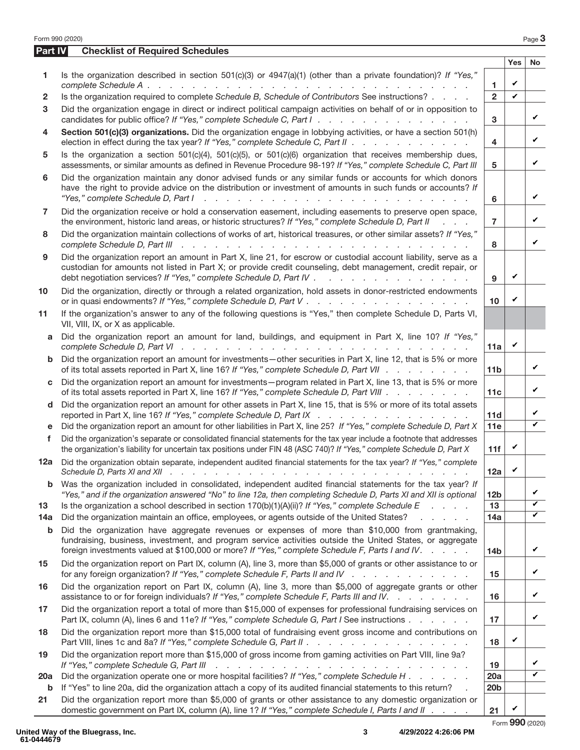|              | Form 990 (2020)                                                                                                                                                                                                                                                                                                  |                 |              | Page 3                  |
|--------------|------------------------------------------------------------------------------------------------------------------------------------------------------------------------------------------------------------------------------------------------------------------------------------------------------------------|-----------------|--------------|-------------------------|
| Part IV      | <b>Checklist of Required Schedules</b>                                                                                                                                                                                                                                                                           |                 |              |                         |
|              |                                                                                                                                                                                                                                                                                                                  |                 | <b>Yes</b>   | <b>No</b>               |
| 1            | Is the organization described in section $501(c)(3)$ or $4947(a)(1)$ (other than a private foundation)? If "Yes,"                                                                                                                                                                                                | $\mathbf{1}$    | V            |                         |
| $\mathbf{2}$ | Is the organization required to complete Schedule B, Schedule of Contributors See instructions?                                                                                                                                                                                                                  | $\overline{2}$  | $\checkmark$ |                         |
| 3            | Did the organization engage in direct or indirect political campaign activities on behalf of or in opposition to<br>candidates for public office? If "Yes," complete Schedule C, Part I.                                                                                                                         | 3               |              | V                       |
| 4            | Section 501(c)(3) organizations. Did the organization engage in lobbying activities, or have a section 501(h)<br>election in effect during the tax year? If "Yes," complete Schedule C, Part II                                                                                                                  | 4               |              | V                       |
| 5            | Is the organization a section $501(c)(4)$ , $501(c)(5)$ , or $501(c)(6)$ organization that receives membership dues,<br>assessments, or similar amounts as defined in Revenue Procedure 98-19? If "Yes," complete Schedule C, Part III                                                                           | 5               |              | V                       |
| 6            | Did the organization maintain any donor advised funds or any similar funds or accounts for which donors<br>have the right to provide advice on the distribution or investment of amounts in such funds or accounts? If<br>"Yes," complete Schedule D, Part I<br>and the contract of the contract of the          | 6               |              | V                       |
| 7            | Did the organization receive or hold a conservation easement, including easements to preserve open space,<br>the environment, historic land areas, or historic structures? If "Yes," complete Schedule D, Part II<br>$\mathbf{r} = \mathbf{r} + \mathbf{r}$                                                      | 7               |              | V                       |
| 8            | Did the organization maintain collections of works of art, historical treasures, or other similar assets? If "Yes,"                                                                                                                                                                                              | 8               |              | V                       |
| 9            | Did the organization report an amount in Part X, line 21, for escrow or custodial account liability, serve as a<br>custodian for amounts not listed in Part X; or provide credit counseling, debt management, credit repair, or<br>debt negotiation services? If "Yes," complete Schedule D, Part IV             | 9               | V            |                         |
| 10           | Did the organization, directly or through a related organization, hold assets in donor-restricted endowments                                                                                                                                                                                                     | 10              | V            |                         |
| 11           | If the organization's answer to any of the following questions is "Yes," then complete Schedule D, Parts VI,<br>VII, VIII, IX, or X as applicable.                                                                                                                                                               |                 |              |                         |
| a            | Did the organization report an amount for land, buildings, and equipment in Part X, line 10? If "Yes,"                                                                                                                                                                                                           | 11a             | V            |                         |
| b            | Did the organization report an amount for investments-other securities in Part X, line 12, that is 5% or more<br>of its total assets reported in Part X, line 16? If "Yes," complete Schedule D, Part VII                                                                                                        | 11 <sub>b</sub> |              | V                       |
| C            | Did the organization report an amount for investments - program related in Part X, line 13, that is 5% or more<br>of its total assets reported in Part X, line 16? If "Yes," complete Schedule D, Part VIII                                                                                                      | 11c             |              | V                       |
| d            | Did the organization report an amount for other assets in Part X, line 15, that is 5% or more of its total assets<br>reported in Part X, line 16? If "Yes," complete Schedule D, Part IX                                                                                                                         | 11d             |              | V                       |
| е<br>f       | Did the organization report an amount for other liabilities in Part X, line 25? If "Yes," complete Schedule D, Part X<br>Did the organization's separate or consolidated financial statements for the tax year include a footnote that addresses                                                                 | 11e             |              | $\checkmark$            |
|              | the organization's liability for uncertain tax positions under FIN 48 (ASC 740)? If "Yes," complete Schedule D, Part X                                                                                                                                                                                           | 11f             | V            |                         |
| 12a          | Did the organization obtain separate, independent audited financial statements for the tax year? If "Yes," complete                                                                                                                                                                                              | 12a             | V            |                         |
| b            | Was the organization included in consolidated, independent audited financial statements for the tax year? If<br>"Yes," and if the organization answered "No" to line 12a, then completing Schedule D, Parts XI and XII is optional                                                                               | 12 <sub>b</sub> |              | V                       |
| 13           | Is the organization a school described in section $170(b)(1)(A)(ii)?$ If "Yes," complete Schedule E                                                                                                                                                                                                              | 13              |              | $\overline{\mathbf{v}}$ |
| 14a          | Did the organization maintain an office, employees, or agents outside of the United States?<br>and the company of the                                                                                                                                                                                            | 14a             |              | $\overline{\mathbf{v}}$ |
| b            | Did the organization have aggregate revenues or expenses of more than \$10,000 from grantmaking,<br>fundraising, business, investment, and program service activities outside the United States, or aggregate<br>foreign investments valued at \$100,000 or more? If "Yes," complete Schedule F, Parts I and IV. | 14 <sub>b</sub> |              | V                       |
| 15           | Did the organization report on Part IX, column (A), line 3, more than \$5,000 of grants or other assistance to or<br>for any foreign organization? If "Yes," complete Schedule F, Parts II and IV                                                                                                                | 15              |              | V                       |
| 16           | Did the organization report on Part IX, column (A), line 3, more than \$5,000 of aggregate grants or other<br>assistance to or for foreign individuals? If "Yes," complete Schedule F, Parts III and IV.                                                                                                         | 16              |              | V                       |
| 17           | Did the organization report a total of more than \$15,000 of expenses for professional fundraising services on<br>Part IX, column (A), lines 6 and 11e? If "Yes," complete Schedule G, Part I See instructions                                                                                                   | 17              |              | V                       |
| 18           | Did the organization report more than \$15,000 total of fundraising event gross income and contributions on<br>Part VIII, lines 1c and 8a? If "Yes," complete Schedule G, Part II                                                                                                                                | 18              | V            |                         |
| 19           | Did the organization report more than \$15,000 of gross income from gaming activities on Part VIII, line 9a?<br>If "Yes," complete Schedule G, Part III<br>and the contract of the contract of the contract of the contract of the contract of                                                                   | 19              |              | V                       |
| <b>20a</b>   | Did the organization operate one or more hospital facilities? If "Yes," complete Schedule H                                                                                                                                                                                                                      | 20a             |              | $\overline{\mathbf{v}}$ |
| b            | If "Yes" to line 20a, did the organization attach a copy of its audited financial statements to this return?                                                                                                                                                                                                     | 20 <sub>b</sub> |              |                         |
| 21           | Did the organization report more than \$5,000 of grants or other assistance to any domestic organization or<br>domestic government on Part IX, column (A), line 1? If "Yes," complete Schedule I, Parts I and II                                                                                                 | 21              | V            |                         |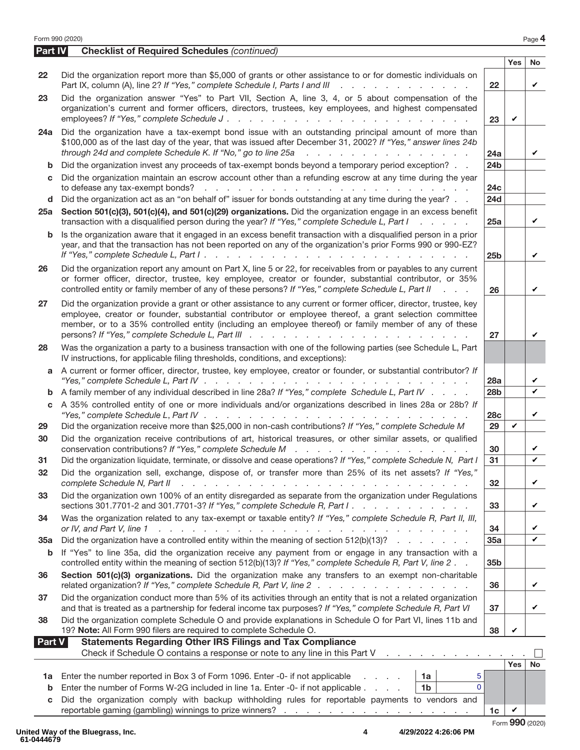|                | Form 990 (2020)                                                                                                                                                                                                                                                                                                                                                          |                 |              | Page 4 |
|----------------|--------------------------------------------------------------------------------------------------------------------------------------------------------------------------------------------------------------------------------------------------------------------------------------------------------------------------------------------------------------------------|-----------------|--------------|--------|
| <b>Part IV</b> | <b>Checklist of Required Schedules (continued)</b>                                                                                                                                                                                                                                                                                                                       |                 |              |        |
|                |                                                                                                                                                                                                                                                                                                                                                                          |                 | Yes          | No     |
| 22             | Did the organization report more than \$5,000 of grants or other assistance to or for domestic individuals on<br>Part IX, column (A), line 2? If "Yes," complete Schedule I, Parts I and III<br>and a straightful and a straight and                                                                                                                                     | 22              |              | V      |
| 23             | Did the organization answer "Yes" to Part VII, Section A, line 3, 4, or 5 about compensation of the<br>organization's current and former officers, directors, trustees, key employees, and highest compensated<br>employees? If "Yes," complete Schedule J.                                                                                                              | 23              | V            |        |
| 24a            | Did the organization have a tax-exempt bond issue with an outstanding principal amount of more than<br>\$100,000 as of the last day of the year, that was issued after December 31, 2002? If "Yes," answer lines 24b<br>through 24d and complete Schedule K. If "No," go to line 25a<br>a care a care a care a care a care a care                                        | 24a             |              | ✓      |
| b              | Did the organization invest any proceeds of tax-exempt bonds beyond a temporary period exception?                                                                                                                                                                                                                                                                        | 24 <sub>b</sub> |              |        |
| c              | Did the organization maintain an escrow account other than a refunding escrow at any time during the year                                                                                                                                                                                                                                                                | 24c             |              |        |
| d              | Did the organization act as an "on behalf of" issuer for bonds outstanding at any time during the year?                                                                                                                                                                                                                                                                  | <b>24d</b>      |              |        |
| 25a            | Section 501(c)(3), 501(c)(4), and 501(c)(29) organizations. Did the organization engage in an excess benefit<br>transaction with a disqualified person during the year? If "Yes," complete Schedule L, Part I<br>.                                                                                                                                                       | 25a             |              | V      |
| b              | Is the organization aware that it engaged in an excess benefit transaction with a disqualified person in a prior<br>year, and that the transaction has not been reported on any of the organization's prior Forms 990 or 990-EZ?                                                                                                                                         | 25 <sub>b</sub> |              | V      |
| 26             | Did the organization report any amount on Part X, line 5 or 22, for receivables from or payables to any current<br>or former officer, director, trustee, key employee, creator or founder, substantial contributor, or 35%<br>controlled entity or family member of any of these persons? If "Yes," complete Schedule L, Part II<br><b>Service</b> State                 | 26              |              | V      |
| 27             | Did the organization provide a grant or other assistance to any current or former officer, director, trustee, key<br>employee, creator or founder, substantial contributor or employee thereof, a grant selection committee<br>member, or to a 35% controlled entity (including an employee thereof) or family member of any of these                                    | 27              |              |        |
| 28             | Was the organization a party to a business transaction with one of the following parties (see Schedule L, Part<br>IV instructions, for applicable filing thresholds, conditions, and exceptions):                                                                                                                                                                        |                 |              |        |
|                | a A current or former officer, director, trustee, key employee, creator or founder, or substantial contributor? If<br>"Yes," complete Schedule L, Part IV $\ldots$ , $\ldots$ , $\ldots$ , $\ldots$ , $\ldots$ , $\ldots$                                                                                                                                                | 28a             |              | V      |
| b              | A family member of any individual described in line 28a? If "Yes," complete Schedule L, Part IV                                                                                                                                                                                                                                                                          | 28 <sub>b</sub> |              | ✓      |
| c              | A 35% controlled entity of one or more individuals and/or organizations described in lines 28a or 28b? If<br>"Yes," complete Schedule L, Part IV $\ldots$ , $\ldots$ , $\ldots$ , $\ldots$ , $\ldots$ , $\ldots$ , $\ldots$ , $\ldots$ , $\ldots$                                                                                                                        | <b>28c</b>      |              | V      |
| 29             | Did the organization receive more than \$25,000 in non-cash contributions? If "Yes," complete Schedule M                                                                                                                                                                                                                                                                 | 29              | V            |        |
| 30             | Did the organization receive contributions of art, historical treasures, or other similar assets, or qualified<br>conservation contributions? If "Yes," complete Schedule M                                                                                                                                                                                              | 30              |              |        |
| 31             | Did the organization liquidate, terminate, or dissolve and cease operations? If "Yes," complete Schedule N, Part I                                                                                                                                                                                                                                                       | $\overline{31}$ |              |        |
| 32             | Did the organization sell, exchange, dispose of, or transfer more than 25% of its net assets? If "Yes,"<br>complete Schedule N, Part II<br>a construction of the construction of the construction of the construction of the construction of the construction of the construction of the construction of the construction of the construction of the construction of the | 32              |              | V      |
| 33             | Did the organization own 100% of an entity disregarded as separate from the organization under Regulations<br>sections 301.7701-2 and 301.7701-3? If "Yes," complete Schedule R, Part I.                                                                                                                                                                                 | 33              |              | V      |
| 34             | Was the organization related to any tax-exempt or taxable entity? If "Yes," complete Schedule R, Part II, III,<br>or IV, and Part V, line 1<br>المتحال والمتحال والمتحال والمتحال والمتحال والمتحال والمتحال والمتحال والمتحال والمتحال والمتحال                                                                                                                         | 34              |              | V      |
| 35a            | Did the organization have a controlled entity within the meaning of section $512(b)(13)?$                                                                                                                                                                                                                                                                                | 35a             |              | ✓      |
| b              | If "Yes" to line 35a, did the organization receive any payment from or engage in any transaction with a<br>controlled entity within the meaning of section 512(b)(13)? If "Yes," complete Schedule R, Part V, line 2.                                                                                                                                                    | 35b             |              |        |
| 36             | Section 501(c)(3) organizations. Did the organization make any transfers to an exempt non-charitable<br>related organization? If "Yes," complete Schedule R, Part V, line 2                                                                                                                                                                                              | 36              |              | V      |
| 37             | Did the organization conduct more than 5% of its activities through an entity that is not a related organization<br>and that is treated as a partnership for federal income tax purposes? If "Yes," complete Schedule R, Part VI                                                                                                                                         | 37              |              | V      |
| 38             | Did the organization complete Schedule O and provide explanations in Schedule O for Part VI, lines 11b and<br>19? Note: All Form 990 filers are required to complete Schedule O.                                                                                                                                                                                         | 38              | V            |        |
| <b>Part V</b>  | <b>Statements Regarding Other IRS Filings and Tax Compliance</b><br>Check if Schedule O contains a response or note to any line in this Part V<br>and a straightful and a straight and                                                                                                                                                                                   |                 |              |        |
|                |                                                                                                                                                                                                                                                                                                                                                                          |                 | Yes          | No     |
| 1a<br>b        | Enter the number reported in Box 3 of Form 1096. Enter -0- if not applicable<br>1a<br>5<br>$\Omega$<br>Enter the number of Forms W-2G included in line 1a. Enter -0- if not applicable<br>1 <sub>b</sub>                                                                                                                                                                 |                 |              |        |
| C              | Did the organization comply with backup withholding rules for reportable payments to vendors and                                                                                                                                                                                                                                                                         |                 |              |        |
|                |                                                                                                                                                                                                                                                                                                                                                                          | 1 <sub>c</sub>  | $\checkmark$ |        |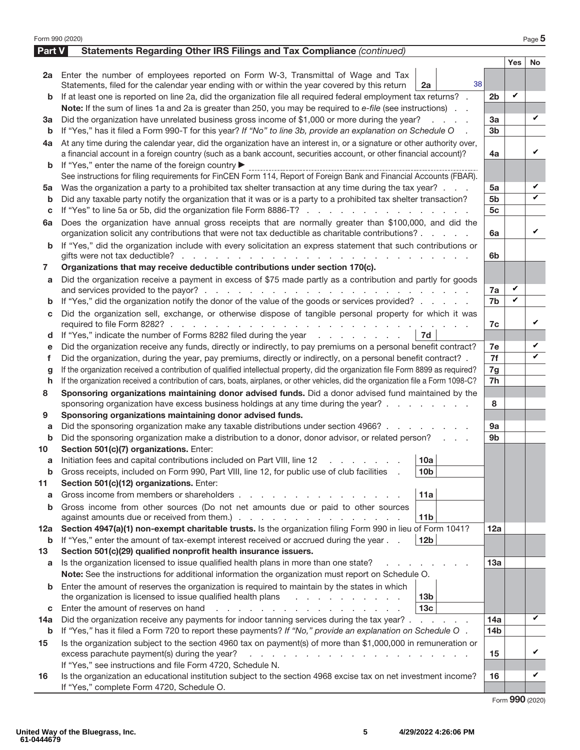| Form 990 (2020) |                                                                                                                                                                                                                                                                                        |                 |                   | Page 5    |
|-----------------|----------------------------------------------------------------------------------------------------------------------------------------------------------------------------------------------------------------------------------------------------------------------------------------|-----------------|-------------------|-----------|
| <b>Part V</b>   | Statements Regarding Other IRS Filings and Tax Compliance (continued)                                                                                                                                                                                                                  |                 |                   |           |
|                 |                                                                                                                                                                                                                                                                                        |                 | <b>Yes</b>        | <b>No</b> |
|                 | 2a Enter the number of employees reported on Form W-3, Transmittal of Wage and Tax                                                                                                                                                                                                     |                 |                   |           |
|                 | 38<br>Statements, filed for the calendar year ending with or within the year covered by this return<br>2a                                                                                                                                                                              |                 |                   |           |
| b               | If at least one is reported on line 2a, did the organization file all required federal employment tax returns? .                                                                                                                                                                       | 2 <sub>b</sub>  | V                 |           |
|                 | Note: If the sum of lines 1a and 2a is greater than 250, you may be required to e-file (see instructions).                                                                                                                                                                             |                 |                   |           |
| За              | Did the organization have unrelated business gross income of \$1,000 or more during the year?                                                                                                                                                                                          | 3a              |                   | V         |
| b               | If "Yes," has it filed a Form 990-T for this year? If "No" to line 3b, provide an explanation on Schedule O                                                                                                                                                                            | 3 <sub>b</sub>  |                   |           |
| 4a              | At any time during the calendar year, did the organization have an interest in, or a signature or other authority over,                                                                                                                                                                |                 |                   |           |
|                 | a financial account in a foreign country (such as a bank account, securities account, or other financial account)?                                                                                                                                                                     | 4a              |                   | V         |
| b               | If "Yes," enter the name of the foreign country ▶                                                                                                                                                                                                                                      |                 |                   |           |
|                 | See instructions for filing requirements for FinCEN Form 114, Report of Foreign Bank and Financial Accounts (FBAR).                                                                                                                                                                    |                 |                   |           |
| 5a              | Was the organization a party to a prohibited tax shelter transaction at any time during the tax year?                                                                                                                                                                                  | 5a              |                   | V         |
| b               | Did any taxable party notify the organization that it was or is a party to a prohibited tax shelter transaction?                                                                                                                                                                       | 5b              |                   | ✓         |
| c               | If "Yes" to line 5a or 5b, did the organization file Form 8886-T?                                                                                                                                                                                                                      | 5 <sub>c</sub>  |                   |           |
| 6a              | Does the organization have annual gross receipts that are normally greater than \$100,000, and did the                                                                                                                                                                                 |                 |                   |           |
|                 | organization solicit any contributions that were not tax deductible as charitable contributions?                                                                                                                                                                                       | 6a              |                   | V         |
| b               | If "Yes," did the organization include with every solicitation an express statement that such contributions or                                                                                                                                                                         |                 |                   |           |
|                 |                                                                                                                                                                                                                                                                                        | 6b              |                   |           |
| 7               | Organizations that may receive deductible contributions under section 170(c).                                                                                                                                                                                                          |                 |                   |           |
| a               | Did the organization receive a payment in excess of \$75 made partly as a contribution and partly for goods                                                                                                                                                                            |                 |                   |           |
|                 |                                                                                                                                                                                                                                                                                        | 7a              | $\checkmark$<br>V |           |
| b               | If "Yes," did the organization notify the donor of the value of the goods or services provided?                                                                                                                                                                                        | 7b              |                   |           |
| С               | Did the organization sell, exchange, or otherwise dispose of tangible personal property for which it was                                                                                                                                                                               |                 |                   | ✓         |
|                 |                                                                                                                                                                                                                                                                                        | 7c              |                   |           |
| d               | If "Yes," indicate the number of Forms 8282 filed during the year<br>7d                                                                                                                                                                                                                |                 |                   | V         |
| е<br>f          | Did the organization receive any funds, directly or indirectly, to pay premiums on a personal benefit contract?<br>Did the organization, during the year, pay premiums, directly or indirectly, on a personal benefit contract? .                                                      | 7e<br>7f        |                   | ✓         |
|                 | If the organization received a contribution of qualified intellectual property, did the organization file Form 8899 as required?                                                                                                                                                       | 7g              |                   |           |
| g<br>h          | If the organization received a contribution of cars, boats, airplanes, or other vehicles, did the organization file a Form 1098-C?                                                                                                                                                     | 7h              |                   |           |
| 8               | Sponsoring organizations maintaining donor advised funds. Did a donor advised fund maintained by the                                                                                                                                                                                   |                 |                   |           |
|                 | sponsoring organization have excess business holdings at any time during the year?                                                                                                                                                                                                     | 8               |                   |           |
| 9               | Sponsoring organizations maintaining donor advised funds.                                                                                                                                                                                                                              |                 |                   |           |
| a               | Did the sponsoring organization make any taxable distributions under section 4966?                                                                                                                                                                                                     | 9a              |                   |           |
| b               | Did the sponsoring organization make a distribution to a donor, donor advisor, or related person?                                                                                                                                                                                      | 9 <sub>b</sub>  |                   |           |
| 10              | Section 501(c)(7) organizations. Enter:                                                                                                                                                                                                                                                |                 |                   |           |
|                 | 10a <br>Initiation fees and capital contributions included on Part VIII, line 12 \[matter capital contributions included on Part VIII, line 12 \[matter capital contributions included on Part VIII, line 12                                                                           |                 |                   |           |
| b               | 10 <sub>b</sub><br>Gross receipts, included on Form 990, Part VIII, line 12, for public use of club facilities                                                                                                                                                                         |                 |                   |           |
| 11              | Section 501(c)(12) organizations. Enter:                                                                                                                                                                                                                                               |                 |                   |           |
| a               | Gross income from members or shareholders.<br>11a                                                                                                                                                                                                                                      |                 |                   |           |
| b               | Gross income from other sources (Do not net amounts due or paid to other sources                                                                                                                                                                                                       |                 |                   |           |
|                 | 11 <sub>b</sub>                                                                                                                                                                                                                                                                        |                 |                   |           |
| 12a             | Section 4947(a)(1) non-exempt charitable trusts. Is the organization filing Form 990 in lieu of Form 1041?                                                                                                                                                                             | 12a             |                   |           |
| b               | If "Yes," enter the amount of tax-exempt interest received or accrued during the year<br>12 <sub>b</sub>                                                                                                                                                                               |                 |                   |           |
| 13              | Section 501(c)(29) qualified nonprofit health insurance issuers.                                                                                                                                                                                                                       |                 |                   |           |
| a               | Is the organization licensed to issue qualified health plans in more than one state?                                                                                                                                                                                                   | 13a             |                   |           |
|                 | Note: See the instructions for additional information the organization must report on Schedule O.                                                                                                                                                                                      |                 |                   |           |
| b               | Enter the amount of reserves the organization is required to maintain by the states in which                                                                                                                                                                                           |                 |                   |           |
|                 | the organization is licensed to issue qualified health plans<br>13 <sub>b</sub>                                                                                                                                                                                                        |                 |                   |           |
| C               | 13 <sub>c</sub><br>Enter the amount of reserves on hand<br>a na mana na manana na kao                                                                                                                                                                                                  |                 |                   | V         |
| 14a             | Did the organization receive any payments for indoor tanning services during the tax year?                                                                                                                                                                                             | 14a             |                   |           |
| b               | If "Yes," has it filed a Form 720 to report these payments? If "No," provide an explanation on Schedule O.                                                                                                                                                                             | 14 <sub>b</sub> |                   |           |
| 15              | Is the organization subject to the section 4960 tax on payment(s) of more than \$1,000,000 in remuneration or<br>excess parachute payment(s) during the year?<br>$\mathbf{r}$ , $\mathbf{r}$ , $\mathbf{r}$ , $\mathbf{r}$ , $\mathbf{r}$ , $\mathbf{r}$ , $\mathbf{r}$ , $\mathbf{r}$ | 15              |                   | V         |
|                 | If "Yes," see instructions and file Form 4720, Schedule N.                                                                                                                                                                                                                             |                 |                   |           |
| 16              | Is the organization an educational institution subject to the section 4968 excise tax on net investment income?                                                                                                                                                                        | 16              |                   | V         |
|                 | If "Yes," complete Form 4720, Schedule O.                                                                                                                                                                                                                                              |                 |                   |           |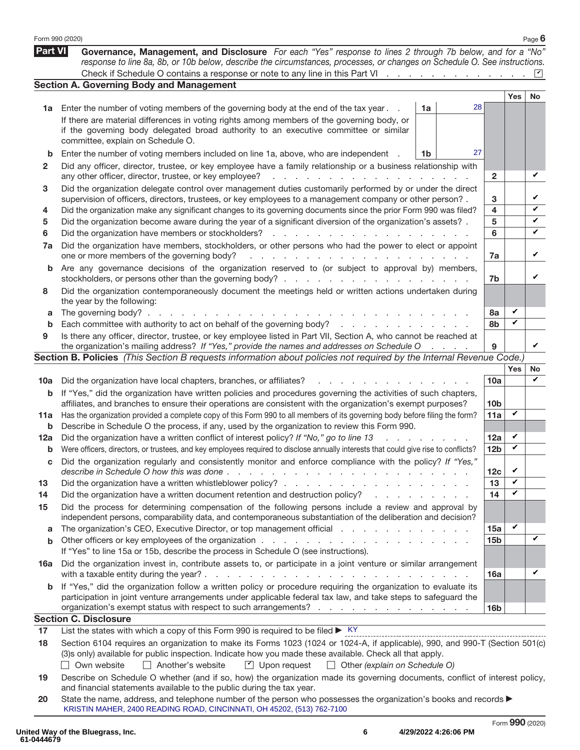|                | Form 990 (2020)                                                                                                                                                                                                                                                                                                                                                                         |    |                |                 |              | Page $6$ |
|----------------|-----------------------------------------------------------------------------------------------------------------------------------------------------------------------------------------------------------------------------------------------------------------------------------------------------------------------------------------------------------------------------------------|----|----------------|-----------------|--------------|----------|
| <b>Part VI</b> | Governance, Management, and Disclosure For each "Yes" response to lines 2 through 7b below, and for a "No"<br>response to line 8a, 8b, or 10b below, describe the circumstances, processes, or changes on Schedule O. See instructions.                                                                                                                                                 |    |                |                 |              |          |
|                | Check if Schedule O contains a response or note to any line in this Part VI                                                                                                                                                                                                                                                                                                             |    |                |                 |              |          |
|                | <b>Section A. Governing Body and Management</b>                                                                                                                                                                                                                                                                                                                                         |    |                |                 |              |          |
| 1a             | Enter the number of voting members of the governing body at the end of the tax year.                                                                                                                                                                                                                                                                                                    | 1a | 28             |                 | <b>Yes</b>   | No       |
|                | If there are material differences in voting rights among members of the governing body, or<br>if the governing body delegated broad authority to an executive committee or similar<br>committee, explain on Schedule O.                                                                                                                                                                 |    |                |                 |              |          |
| b              | Enter the number of voting members included on line 1a, above, who are independent                                                                                                                                                                                                                                                                                                      | 1b | 27             |                 |              |          |
| 2              | Did any officer, director, trustee, or key employee have a family relationship or a business relationship with<br>any other officer, director, trustee, or key employee?<br>the contract of the contract of                                                                                                                                                                             |    |                | $\mathbf{2}$    |              | V        |
| 3              | Did the organization delegate control over management duties customarily performed by or under the direct<br>supervision of officers, directors, trustees, or key employees to a management company or other person?.                                                                                                                                                                   |    |                | 3               |              | V        |
| 4              | Did the organization make any significant changes to its governing documents since the prior Form 990 was filed?                                                                                                                                                                                                                                                                        |    |                | 4               |              | ✓        |
| 5<br>6         | Did the organization become aware during the year of a significant diversion of the organization's assets? .<br>Did the organization have members or stockholders?<br><b>Contract Contract</b><br>and a state                                                                                                                                                                           |    |                | 5<br>6          |              | V<br>V   |
| 7a             | Did the organization have members, stockholders, or other persons who had the power to elect or appoint<br>one or more members of the governing body?<br>a construction of the contract of the construction of the construction of the contract of the construction of the construction of the construction of the construction of the construction of the construction of the construc |    |                | 7a              |              | V        |
| b              | Are any governance decisions of the organization reserved to (or subject to approval by) members,                                                                                                                                                                                                                                                                                       |    |                | 7b              |              | V        |
| 8              | Did the organization contemporaneously document the meetings held or written actions undertaken during<br>the year by the following:                                                                                                                                                                                                                                                    |    |                |                 |              |          |
| a              | The governing body? $\ldots$ .<br>and the company of the company of                                                                                                                                                                                                                                                                                                                     |    |                | 8а              | V<br>V       |          |
| b              | Each committee with authority to act on behalf of the governing body?<br>Is there any officer, director, trustee, or key employee listed in Part VII, Section A, who cannot be reached at                                                                                                                                                                                               |    |                | 8b              |              |          |
| 9              | the organization's mailing address? If "Yes," provide the names and addresses on Schedule O                                                                                                                                                                                                                                                                                             |    | and a state of | 9               |              | V        |
|                | Section B. Policies (This Section B requests information about policies not required by the Internal Revenue Code.)                                                                                                                                                                                                                                                                     |    |                |                 |              |          |
|                |                                                                                                                                                                                                                                                                                                                                                                                         |    |                |                 | Yes          | No<br>✓  |
| 10a            | Did the organization have local chapters, branches, or affiliates?<br>$\mathbf{r} = \mathbf{r} + \mathbf{r}$                                                                                                                                                                                                                                                                            |    |                | 10a             |              |          |
| b              | If "Yes," did the organization have written policies and procedures governing the activities of such chapters,<br>affiliates, and branches to ensure their operations are consistent with the organization's exempt purposes?                                                                                                                                                           |    |                | 10 <sub>b</sub> | V            |          |
| 11a<br>b       | Has the organization provided a complete copy of this Form 990 to all members of its governing body before filing the form?<br>Describe in Schedule O the process, if any, used by the organization to review this Form 990.                                                                                                                                                            |    |                | 11a             |              |          |
| 12a            | Did the organization have a written conflict of interest policy? If "No," go to line 13                                                                                                                                                                                                                                                                                                 |    |                | 12a             | V            |          |
| b              | Were officers, directors, or trustees, and key employees required to disclose annually interests that could give rise to conflicts?                                                                                                                                                                                                                                                     |    |                | 12 <sub>b</sub> | V            |          |
| С              | Did the organization regularly and consistently monitor and enforce compliance with the policy? If "Yes,                                                                                                                                                                                                                                                                                |    |                | 12 <sub>c</sub> | V            |          |
| 13             |                                                                                                                                                                                                                                                                                                                                                                                         |    |                | 13              | V            |          |
| 14             | Did the organization have a written document retention and destruction policy?<br>and the state of the state of the                                                                                                                                                                                                                                                                     |    |                | 14              | V            |          |
| 15             | Did the process for determining compensation of the following persons include a review and approval by<br>independent persons, comparability data, and contemporaneous substantiation of the deliberation and decision?                                                                                                                                                                 |    |                |                 |              |          |
| a              | The organization's CEO, Executive Director, or top management official                                                                                                                                                                                                                                                                                                                  |    |                | 15a             | $\checkmark$ | ✓        |
| b              |                                                                                                                                                                                                                                                                                                                                                                                         |    |                | 15 <sub>b</sub> |              |          |
| 16a            | If "Yes" to line 15a or 15b, describe the process in Schedule O (see instructions).<br>Did the organization invest in, contribute assets to, or participate in a joint venture or similar arrangement                                                                                                                                                                                   |    |                |                 |              |          |
| b              | with a taxable entity during the year? $\ldots$ $\ldots$ $\ldots$ $\ldots$ $\ldots$ $\ldots$ $\ldots$ $\ldots$ $\ldots$<br>If "Yes," did the organization follow a written policy or procedure requiring the organization to evaluate its                                                                                                                                               |    |                | 16a             |              | V        |
|                | participation in joint venture arrangements under applicable federal tax law, and take steps to safeguard the<br>organization's exempt status with respect to such arrangements?                                                                                                                                                                                                        |    |                | 16 <sub>b</sub> |              |          |
|                | <b>Section C. Disclosure</b>                                                                                                                                                                                                                                                                                                                                                            |    |                |                 |              |          |
| 17             | List the states with which a copy of this Form 990 is required to be filed $\blacktriangleright$ KY                                                                                                                                                                                                                                                                                     |    |                |                 |              |          |
| 18             | Section 6104 requires an organization to make its Forms 1023 (1024 or 1024-A, if applicable), 990, and 990-T (Section 501(c)<br>(3)s only) available for public inspection. Indicate how you made these available. Check all that apply.<br>Own website<br>Another's website<br>$\Box$ Upon request<br>$\Box$ Other (explain on Schedule O)                                             |    |                |                 |              |          |
| 19             | Describe on Schedule O whether (and if so, how) the organization made its governing documents, conflict of interest policy,<br>and financial statements available to the public during the tax year.                                                                                                                                                                                    |    |                |                 |              |          |
| 20             | State the name, address, and telephone number of the person who possesses the organization's books and records $\blacktriangleright$<br>KRISTIN MAHER, 2400 READING ROAD, CINCINNATI, OH 45202, (513) 762-7100                                                                                                                                                                          |    |                |                 |              |          |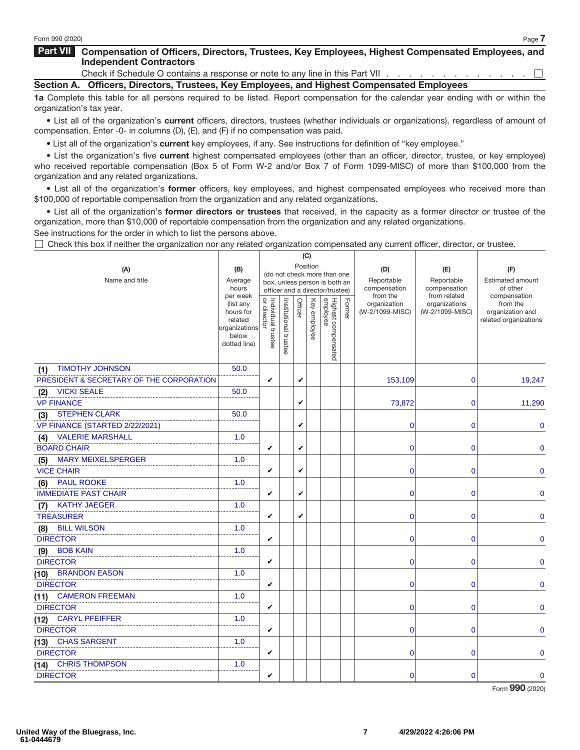### **Part VII Compensation of Officers, Directors, Trustees, Key Employees, Highest Compensated Employees, and Independent Contractors**

Check if Schedule O contains a response or note to any line in this Part VII . .  $\Box$ **Section A. Officers, Directors, Trustees, Key Employees, and Highest Compensated Employees**

**1a** Complete this table for all persons required to be listed. Report compensation for the calendar year ending with or within the organization's tax year.

• List all of the organization's **current** officers, directors, trustees (whether individuals or organizations), regardless of amount of compensation. Enter -0- in columns (D), (E), and (F) if no compensation was paid.

• List all of the organization's **current** key employees, if any. See instructions for definition of "key employee."

• List the organization's five **current** highest compensated employees (other than an officer, director, trustee, or key employee) who received reportable compensation (Box 5 of Form W-2 and/or Box 7 of Form 1099-MISC) of more than \$100,000 from the organization and any related organizations.

• List all of the organization's **former** officers, key employees, and highest compensated employees who received more than \$100,000 of reportable compensation from the organization and any related organizations.

• List all of the organization's **former directors or trustees** that received, in the capacity as a former director or trustee of the organization, more than \$10,000 of reportable compensation from the organization and any related organizations.

See instructions for the order in which to list the persons above.

 $\Box$  Check this box if neither the organization nor any related organization compensated any current officer, director, or trustee.

|                                           |                        |                                         |                       |         | (C)          |                                 |        |                                 |                                  |                                     |
|-------------------------------------------|------------------------|-----------------------------------------|-----------------------|---------|--------------|---------------------------------|--------|---------------------------------|----------------------------------|-------------------------------------|
| (A)                                       | (B)                    | Position<br>(do not check more than one |                       |         |              | (D)                             | (E)    | (F)                             |                                  |                                     |
| Name and title                            | Average<br>hours       |                                         |                       |         |              | box, unless person is both an   |        | Reportable<br>compensation      | Reportable<br>compensation       | <b>Estimated amount</b><br>of other |
|                                           | per week               |                                         |                       |         |              | officer and a director/trustee) |        | from the                        | from related                     | compensation                        |
|                                           | (list any<br>hours for | Individual trustee<br>or director       | Institutional trustee | Officer | Key employee | Highest compensated<br>employee | Former | organization<br>(W-2/1099-MISC) | organizations<br>(W-2/1099-MISC) | from the<br>organization and        |
|                                           | related                |                                         |                       |         |              |                                 |        |                                 |                                  | related organizations               |
|                                           | organizations<br>below |                                         |                       |         |              |                                 |        |                                 |                                  |                                     |
|                                           | dotted line)           |                                         |                       |         |              |                                 |        |                                 |                                  |                                     |
|                                           |                        |                                         |                       |         |              |                                 |        |                                 |                                  |                                     |
| <b>TIMOTHY JOHNSON</b><br>(1)             | 50.0                   |                                         |                       |         |              |                                 |        |                                 |                                  |                                     |
| PRESIDENT & SECRETARY OF THE CORPORATION  |                        | V                                       |                       | V       |              |                                 |        | 153,109                         | 0                                | 19,247                              |
| <b>VICKI SEALE</b><br>(2)                 | 50.0                   |                                         |                       |         |              |                                 |        |                                 |                                  |                                     |
| <b>VP FINANCE</b>                         |                        |                                         |                       | V       |              |                                 |        | 73,872                          | 0                                | 11,290                              |
| <b>STEPHEN CLARK</b><br>(3)               | 50.0                   |                                         |                       |         |              |                                 |        |                                 |                                  |                                     |
| VP FINANCE (STARTED 2/22/2021)            |                        |                                         |                       | V       |              |                                 |        | 0                               | 0                                | 0                                   |
| <b>VALERIE MARSHALL</b><br>(4)            | 1.0                    |                                         |                       |         |              |                                 |        |                                 |                                  |                                     |
| <b>BOARD CHAIR</b>                        |                        | V                                       |                       | V       |              |                                 |        | 0                               | 0                                | 0                                   |
| <b>MARY MEIXELSPERGER</b><br>(5)          | 1.0                    |                                         |                       |         |              |                                 |        |                                 |                                  |                                     |
| <b>VICE CHAIR</b>                         |                        | V                                       |                       | V       |              |                                 |        | 0                               | 0                                | 0                                   |
| <b>PAUL ROOKE</b><br>(6)                  | 1.0                    |                                         |                       |         |              |                                 |        |                                 |                                  |                                     |
| <b>IMMEDIATE PAST CHAIR</b>               |                        | V                                       |                       | V       |              |                                 |        | 0                               | 0                                | 0                                   |
| <b>KATHY JAEGER</b><br>(7)                | 1.0                    |                                         |                       |         |              |                                 |        |                                 |                                  |                                     |
| <b>TREASURER</b>                          |                        | V                                       |                       | V       |              |                                 |        | 0                               | 0                                | 0                                   |
| <b>BILL WILSON</b><br>(8)                 | 1.0                    |                                         |                       |         |              |                                 |        |                                 |                                  |                                     |
| <b>DIRECTOR</b>                           | 1.0                    | V                                       |                       |         |              |                                 |        | 0                               | 0                                | 0                                   |
| <b>BOB KAIN</b><br>(9)<br><b>DIRECTOR</b> |                        | V                                       |                       |         |              |                                 |        | 0                               | 0                                | 0                                   |
| (10) BRANDON EASON                        | 1.0                    |                                         |                       |         |              |                                 |        |                                 |                                  |                                     |
| <b>DIRECTOR</b>                           |                        | V                                       |                       |         |              |                                 |        | 0                               | 0                                | 0                                   |
| (11) CAMERON FREEMAN                      | 1.0                    |                                         |                       |         |              |                                 |        |                                 |                                  |                                     |
| <b>DIRECTOR</b>                           |                        | V                                       |                       |         |              |                                 |        | 0                               | 0                                | 0                                   |
| (12) CARYL PFEIFFER                       | 1.0                    |                                         |                       |         |              |                                 |        |                                 |                                  |                                     |
| <b>DIRECTOR</b>                           |                        | V                                       |                       |         |              |                                 |        | $\mathbf 0$                     | 0                                | 0                                   |
| (13) CHAS SARGENT                         | 1.0                    |                                         |                       |         |              |                                 |        |                                 |                                  |                                     |
| <b>DIRECTOR</b>                           |                        | V                                       |                       |         |              |                                 |        | 0                               | 0                                | 0                                   |
| (14) CHRIS THOMPSON                       | 1.0                    |                                         |                       |         |              |                                 |        |                                 |                                  |                                     |
| <b>DIRECTOR</b>                           |                        | V                                       |                       |         |              |                                 |        | 0                               | $\overline{0}$                   | $\mathbf 0$                         |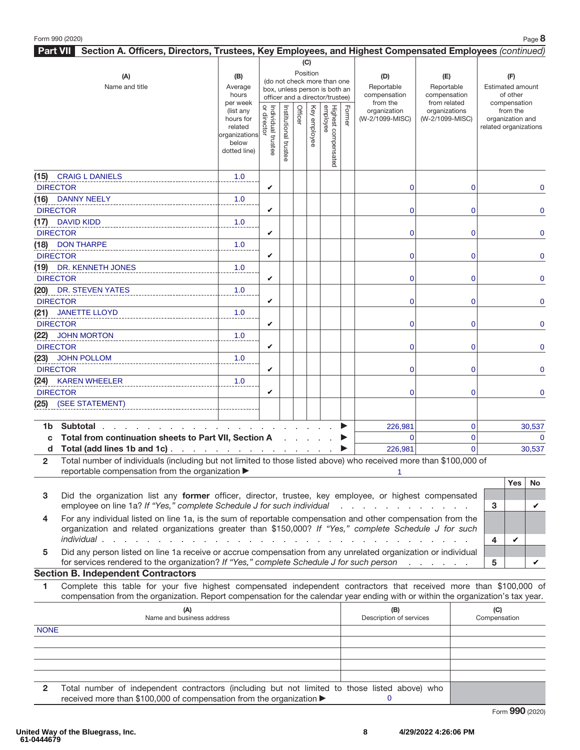| Part VII Section A. Officers, Directors, Trustees, Key Employees, and Highest Compensated Employees (continued)                     |                          |                                         |                       |         |              |                                 |        |                          |                               |                |                          |            |          |
|-------------------------------------------------------------------------------------------------------------------------------------|--------------------------|-----------------------------------------|-----------------------|---------|--------------|---------------------------------|--------|--------------------------|-------------------------------|----------------|--------------------------|------------|----------|
|                                                                                                                                     |                          |                                         |                       |         | (C)          |                                 |        |                          |                               |                |                          |            |          |
| (A)                                                                                                                                 | (B)                      | Position<br>(do not check more than one |                       |         |              |                                 | (D)    | (E)                      |                               |                | (F)                      |            |          |
| Name and title                                                                                                                      | Average                  |                                         |                       |         |              | box, unless person is both an   |        | Reportable               | Reportable                    |                | <b>Estimated amount</b>  |            |          |
|                                                                                                                                     | hours                    |                                         |                       |         |              | officer and a director/trustee) |        | compensation             | compensation                  |                | of other<br>compensation |            |          |
|                                                                                                                                     | per week<br>(list any    |                                         |                       |         |              |                                 |        | from the<br>organization | from related<br>organizations |                |                          | from the   |          |
|                                                                                                                                     | hours for                | or director<br>Individual trustee       | Institutional trustee | Officer | Key employee | Highest compensated<br>employee | Former | (W-2/1099-MISC)          | (W-2/1099-MISC)               |                | organization and         |            |          |
|                                                                                                                                     | related<br>organizations |                                         |                       |         |              |                                 |        |                          |                               |                | related organizations    |            |          |
|                                                                                                                                     | below                    |                                         |                       |         |              |                                 |        |                          |                               |                |                          |            |          |
|                                                                                                                                     | dotted line)             |                                         |                       |         |              |                                 |        |                          |                               |                |                          |            |          |
|                                                                                                                                     |                          |                                         |                       |         |              |                                 |        |                          |                               |                |                          |            |          |
| (15) CRAIG L DANIELS                                                                                                                | 1.0                      |                                         |                       |         |              |                                 |        |                          |                               |                |                          |            |          |
| <b>DIRECTOR</b>                                                                                                                     |                          | V                                       |                       |         |              |                                 |        | 0                        |                               | $\mathbf 0$    |                          |            | 0        |
| (16) DANNY NEELY                                                                                                                    | 1.0                      |                                         |                       |         |              |                                 |        |                          |                               |                |                          |            |          |
| <b>DIRECTOR</b>                                                                                                                     |                          | V                                       |                       |         |              |                                 |        | 0                        |                               | $\mathbf 0$    |                          |            | 0        |
| (17) DAVID KIDD                                                                                                                     | 1.0                      |                                         |                       |         |              |                                 |        |                          |                               |                |                          |            |          |
| <b>DIRECTOR</b>                                                                                                                     |                          | V                                       |                       |         |              |                                 |        | 0                        |                               | $\mathbf 0$    |                          |            | 0        |
| (18) DON THARPE                                                                                                                     | 1.0                      |                                         |                       |         |              |                                 |        |                          |                               |                |                          |            |          |
| <b>DIRECTOR</b>                                                                                                                     |                          | V                                       |                       |         |              |                                 |        | 0                        |                               | $\mathbf 0$    |                          |            | 0        |
| (19) DR. KENNETH JONES                                                                                                              | 1.0                      |                                         |                       |         |              |                                 |        |                          |                               |                |                          |            |          |
| <b>DIRECTOR</b>                                                                                                                     |                          | V                                       |                       |         |              |                                 |        | 0                        |                               | $\mathbf 0$    |                          |            | 0        |
| (20) DR. STEVEN YATES                                                                                                               | 1.0                      |                                         |                       |         |              |                                 |        |                          |                               |                |                          |            |          |
| <b>DIRECTOR</b>                                                                                                                     |                          | V                                       |                       |         |              |                                 |        | 0                        |                               | $\mathbf 0$    |                          |            | 0        |
| (21) JANETTE LLOYD                                                                                                                  | 1.0                      |                                         |                       |         |              |                                 |        |                          |                               |                |                          |            |          |
| <b>DIRECTOR</b>                                                                                                                     |                          | V                                       |                       |         |              |                                 |        | 0                        |                               | $\mathbf 0$    |                          |            | 0        |
| (22) JOHN MORTON                                                                                                                    | 1.0                      |                                         |                       |         |              |                                 |        |                          |                               |                |                          |            |          |
| <b>DIRECTOR</b>                                                                                                                     |                          | V                                       |                       |         |              |                                 |        | 0                        |                               | $\mathbf 0$    |                          |            | 0        |
| (23) JOHN POLLOM                                                                                                                    | 1.0                      |                                         |                       |         |              |                                 |        |                          |                               |                |                          |            |          |
| <b>DIRECTOR</b>                                                                                                                     |                          | V                                       |                       |         |              |                                 |        | 0                        |                               | $\mathbf 0$    |                          |            | 0        |
| (24) KAREN WHEELER                                                                                                                  | 1.0                      |                                         |                       |         |              |                                 |        |                          |                               |                |                          |            |          |
| <b>DIRECTOR</b>                                                                                                                     |                          | V                                       |                       |         |              |                                 |        | 0                        |                               | $\mathbf 0$    |                          |            | 0        |
| (25) (SEE STATEMENT)                                                                                                                |                          |                                         |                       |         |              |                                 |        |                          |                               |                |                          |            |          |
|                                                                                                                                     |                          |                                         |                       |         |              |                                 |        |                          |                               |                |                          |            |          |
| Subtotal.<br>1b                                                                                                                     |                          |                                         |                       |         |              |                                 |        | 226,981                  |                               | $\mathbf 0$    |                          |            | 30,537   |
| Total from continuation sheets to Part VII, Section A<br>C                                                                          |                          |                                         |                       |         |              |                                 |        | $\Omega$                 |                               | $\mathbf 0$    |                          |            | $\Omega$ |
| Total (add lines 1b and 1c)<br>d                                                                                                    |                          |                                         |                       |         |              |                                 |        | 226,981                  |                               | $\overline{0}$ |                          |            | 30,537   |
| Total number of individuals (including but not limited to those listed above) who received more than \$100,000 of<br>$\overline{2}$ |                          |                                         |                       |         |              |                                 |        |                          |                               |                |                          |            |          |
| reportable compensation from the organization >                                                                                     |                          |                                         |                       |         |              |                                 |        |                          |                               |                |                          |            |          |
|                                                                                                                                     |                          |                                         |                       |         |              |                                 |        |                          |                               |                |                          | <b>Yes</b> | No       |
| Did the organization list any former officer, director, trustee, key employee, or highest compensated<br>3                          |                          |                                         |                       |         |              |                                 |        |                          |                               |                |                          |            |          |
| employee on line 1a? If "Yes," complete Schedule J for such individual                                                              |                          |                                         |                       |         |              |                                 |        |                          |                               |                | 3                        |            | V        |
| For any individual listed on line 1a, is the sum of reportable compensation and other compensation from the<br>4                    |                          |                                         |                       |         |              |                                 |        |                          |                               |                |                          |            |          |
| organization and related organizations greater than \$150,000? If "Yes," complete Schedule J for such                               |                          |                                         |                       |         |              |                                 |        |                          |                               |                |                          |            |          |
| individual.                                                                                                                         |                          |                                         |                       |         |              |                                 |        |                          |                               |                | 4                        | V          |          |
| Did any person listed on line 1a receive or accrue compensation from any unrelated organization or individual<br>5                  |                          |                                         |                       |         |              |                                 |        |                          |                               |                |                          |            |          |
| for services rendered to the organization? If "Yes," complete Schedule J for such person                                            |                          |                                         |                       |         |              |                                 |        |                          |                               |                | 5                        |            | V        |
| <b>Section B. Independent Contractors</b>                                                                                           |                          |                                         |                       |         |              |                                 |        |                          |                               |                |                          |            |          |
| Complete this table for your five highest compensated independent contractors that received more than \$100,000 of<br>1             |                          |                                         |                       |         |              |                                 |        |                          |                               |                |                          |            |          |
| compensation from the organization. Report compensation for the calendar year ending with or within the organization's tax year.    |                          |                                         |                       |         |              |                                 |        |                          |                               |                |                          |            |          |
| (A)                                                                                                                                 |                          |                                         |                       |         |              |                                 |        | (B)                      |                               |                | (C)                      |            |          |
| Name and business address                                                                                                           |                          |                                         |                       |         |              |                                 |        | Description of services  |                               |                | Compensation             |            |          |
| <b>NONE</b>                                                                                                                         |                          |                                         |                       |         |              |                                 |        |                          |                               |                |                          |            |          |
|                                                                                                                                     |                          |                                         |                       |         |              |                                 |        |                          |                               |                |                          |            |          |

| Total number of independent contractors (including but not limited to those listed above) who |  |  |  |  |  |  |  |  |
|-----------------------------------------------------------------------------------------------|--|--|--|--|--|--|--|--|
| received more than \$100,000 of compensation from the organization ▶                          |  |  |  |  |  |  |  |  |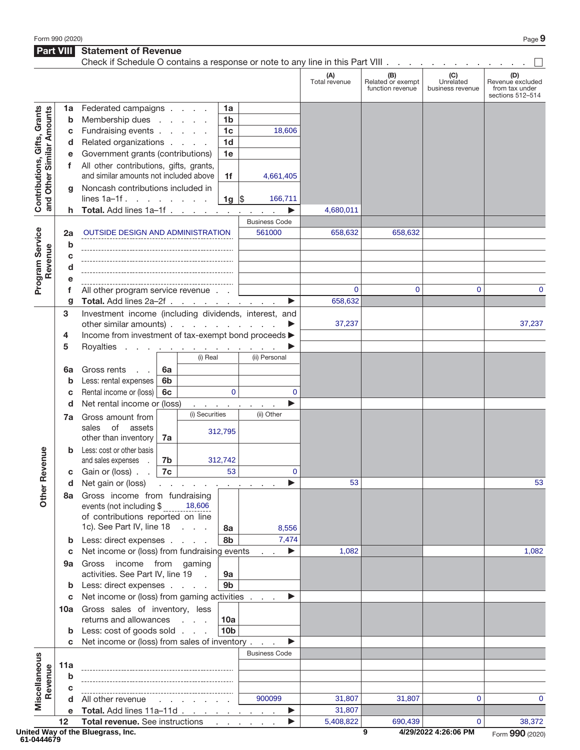**Part VIII Statement of Revenue** 

|                                                           |        | Check if Schedule O contains a response or note to any line in this Part VIII |                      |                                          |                             |                      |                      |                                              |                                      |                                                               |
|-----------------------------------------------------------|--------|-------------------------------------------------------------------------------|----------------------|------------------------------------------|-----------------------------|----------------------|----------------------|----------------------------------------------|--------------------------------------|---------------------------------------------------------------|
|                                                           |        |                                                                               |                      |                                          |                             |                      | (A)<br>Total revenue | (B)<br>Related or exempt<br>function revenue | (C)<br>Unrelated<br>business revenue | (D)<br>Revenue excluded<br>from tax under<br>sections 512-514 |
|                                                           | 1a     | Federated campaigns                                                           |                      |                                          | 1a                          |                      |                      |                                              |                                      |                                                               |
| Contributions, Gifts, Grants<br>and Other Similar Amounts | b      | Membership dues                                                               |                      |                                          | 1 <sub>b</sub>              |                      |                      |                                              |                                      |                                                               |
|                                                           | С      | Fundraising events                                                            |                      |                                          | 1 <sub>c</sub>              | 18,606               |                      |                                              |                                      |                                                               |
|                                                           | d      | Related organizations                                                         |                      |                                          | 1 <sub>d</sub>              |                      |                      |                                              |                                      |                                                               |
|                                                           |        | Government grants (contributions)                                             |                      |                                          | 1e                          |                      |                      |                                              |                                      |                                                               |
|                                                           | f      | All other contributions, gifts, grants,                                       |                      |                                          |                             |                      |                      |                                              |                                      |                                                               |
|                                                           |        | and similar amounts not included above                                        |                      |                                          | 1f                          | 4,661,405            |                      |                                              |                                      |                                                               |
|                                                           | q      | Noncash contributions included in                                             |                      |                                          |                             |                      |                      |                                              |                                      |                                                               |
|                                                           |        | lines $1a-1f$ .<br>Total. Add lines 1a-1f.                                    |                      |                                          | 1g $\vert \mathsf{S} \vert$ | 166,711<br>▶         | 4,680,011            |                                              |                                      |                                                               |
|                                                           |        |                                                                               |                      |                                          |                             | <b>Business Code</b> |                      |                                              |                                      |                                                               |
|                                                           | 2a     | OUTSIDE DESIGN AND ADMINISTRATION                                             |                      |                                          |                             | 561000               | 658,632              | 658,632                                      |                                      |                                                               |
| Program Service                                           | b      |                                                                               |                      |                                          |                             |                      |                      |                                              |                                      |                                                               |
| Revenue                                                   | c      |                                                                               |                      |                                          |                             |                      |                      |                                              |                                      |                                                               |
|                                                           | d      |                                                                               |                      |                                          |                             |                      |                      |                                              |                                      |                                                               |
|                                                           | е      |                                                                               |                      |                                          |                             |                      |                      |                                              |                                      |                                                               |
|                                                           | f      | All other program service revenue                                             |                      |                                          |                             |                      | 0                    | 0                                            | $\mathbf 0$                          | $\mathbf 0$                                                   |
|                                                           | g      | Total. Add lines 2a-2f                                                        |                      |                                          |                             | ▶                    | 658,632              |                                              |                                      |                                                               |
|                                                           | 3      | Investment income (including dividends, interest, and                         |                      |                                          |                             |                      |                      |                                              |                                      |                                                               |
|                                                           |        | other similar amounts)                                                        |                      |                                          |                             |                      | 37,237               |                                              |                                      | 37,237                                                        |
|                                                           | 4      | Income from investment of tax-exempt bond proceeds >                          |                      |                                          |                             |                      |                      |                                              |                                      |                                                               |
|                                                           | 5      | Royalties                                                                     |                      | the contract of the contract of the con- |                             |                      |                      |                                              |                                      |                                                               |
|                                                           |        |                                                                               |                      | (i) Real                                 |                             | (ii) Personal        |                      |                                              |                                      |                                                               |
|                                                           | 6a     | Gross rents                                                                   | 6a                   |                                          |                             |                      |                      |                                              |                                      |                                                               |
|                                                           | b      | Less: rental expenses<br>Rental income or (loss)                              | 6 <sub>b</sub><br>6c |                                          | $\mathbf{0}$                | $\mathbf 0$          |                      |                                              |                                      |                                                               |
|                                                           | c<br>d | Net rental income or (loss)                                                   |                      |                                          |                             | ▶                    |                      |                                              |                                      |                                                               |
|                                                           |        | and a straightful and a<br>(i) Securities<br>Gross amount from                |                      |                                          | (ii) Other                  |                      |                      |                                              |                                      |                                                               |
|                                                           | 7a     | of<br>sales<br>assets                                                         |                      |                                          |                             |                      |                      |                                              |                                      |                                                               |
|                                                           |        | other than inventory                                                          | 7a                   |                                          | 312,795                     |                      |                      |                                              |                                      |                                                               |
|                                                           | b      | Less: cost or other basis                                                     |                      |                                          |                             |                      |                      |                                              |                                      |                                                               |
| evenue                                                    |        | and sales expenses                                                            | 7b                   |                                          | 312,742                     |                      |                      |                                              |                                      |                                                               |
| œ                                                         | C      | Gain or (loss).                                                               | 7c                   |                                          | 53                          | $\mathbf 0$          |                      |                                              |                                      |                                                               |
|                                                           | a      | Net gain or (loss) $\cdots$ $\cdots$ $\cdots$ $\cdots$ $\cdots$               |                      |                                          |                             |                      | 53                   |                                              |                                      | 53                                                            |
| Other                                                     |        | 8a Gross income from fundraising                                              |                      |                                          |                             |                      |                      |                                              |                                      |                                                               |
|                                                           |        | events (not including \$                                                      |                      | 18,606                                   |                             |                      |                      |                                              |                                      |                                                               |
|                                                           |        | of contributions reported on line<br>1c). See Part IV, line 18                |                      |                                          |                             |                      |                      |                                              |                                      |                                                               |
|                                                           | b      | Less: direct expenses                                                         |                      |                                          | 8а<br>8b                    | 8,556<br>7,474       |                      |                                              |                                      |                                                               |
|                                                           | c      | Net income or (loss) from fundraising events                                  |                      |                                          |                             | ▶                    | 1,082                |                                              |                                      | 1,082                                                         |
|                                                           | 9а     | Gross income from gaming                                                      |                      |                                          |                             |                      |                      |                                              |                                      |                                                               |
|                                                           |        | activities. See Part IV, line 19                                              |                      | $\sim$                                   | 9а                          |                      |                      |                                              |                                      |                                                               |
|                                                           | b      | Less: direct expenses                                                         |                      |                                          | 9b                          |                      |                      |                                              |                                      |                                                               |
|                                                           | С      | Net income or (loss) from gaming activities                                   |                      |                                          |                             | ▶                    |                      |                                              |                                      |                                                               |
|                                                           |        | 10a Gross sales of inventory, less                                            |                      |                                          |                             |                      |                      |                                              |                                      |                                                               |
|                                                           |        | returns and allowances                                                        |                      |                                          | 10a                         |                      |                      |                                              |                                      |                                                               |
|                                                           | b      | Less: cost of goods sold                                                      |                      |                                          | 10 <sub>b</sub>             |                      |                      |                                              |                                      |                                                               |
|                                                           | C      | Net income or (loss) from sales of inventory                                  |                      |                                          |                             | ▶                    |                      |                                              |                                      |                                                               |
|                                                           |        |                                                                               |                      |                                          |                             | <b>Business Code</b> |                      |                                              |                                      |                                                               |
| Miscellaneous                                             | 11a    |                                                                               |                      |                                          |                             |                      |                      |                                              |                                      |                                                               |
| Revenue                                                   | b      |                                                                               |                      |                                          |                             |                      |                      |                                              |                                      |                                                               |
|                                                           | C      | All other revenue                                                             |                      |                                          |                             | 900099               | 31,807               | 31,807                                       | $\mathbf 0$                          | $\mathbf 0$                                                   |
|                                                           | е      | Total. Add lines 11a-11d                                                      |                      |                                          |                             | ▶                    | 31,807               |                                              |                                      |                                                               |
|                                                           | 12     | Total revenue. See instructions                                               |                      |                                          |                             | ▶                    | 5,408,822            | 690,439                                      | $\mathbf 0$                          | 38,372                                                        |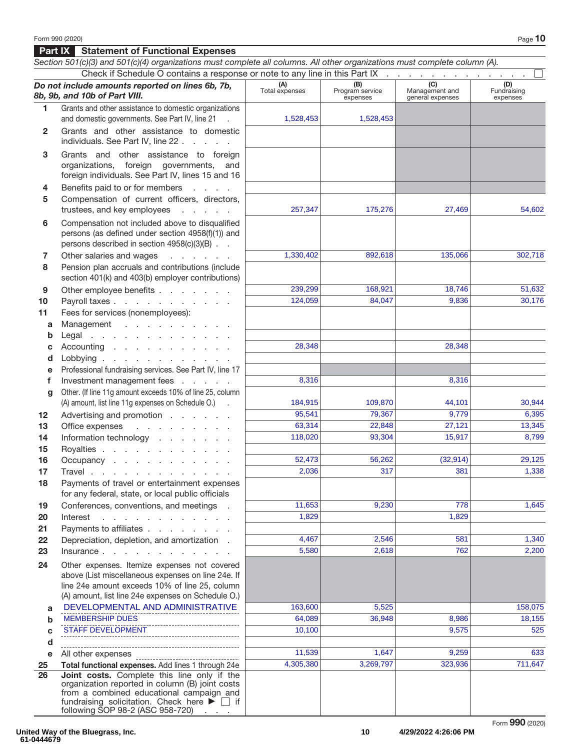## **Part IX Statement of Functional Expenses**

|    | Section 501(c)(3) and 501(c)(4) organizations must complete all columns. All other organizations must complete column (A).                                                                                       |                       |                                    |                                           |                                |
|----|------------------------------------------------------------------------------------------------------------------------------------------------------------------------------------------------------------------|-----------------------|------------------------------------|-------------------------------------------|--------------------------------|
|    | Check if Schedule O contains a response or note to any line in this Part IX                                                                                                                                      |                       |                                    |                                           |                                |
|    | Do not include amounts reported on lines 6b, 7b,<br>8b, 9b, and 10b of Part VIII.                                                                                                                                | (A)<br>Total expenses | (B)<br>Program service<br>expenses | (C)<br>Management and<br>general expenses | (D)<br>Fundraising<br>expenses |
| 1. | Grants and other assistance to domestic organizations                                                                                                                                                            |                       |                                    |                                           |                                |
|    | and domestic governments. See Part IV, line 21 .                                                                                                                                                                 | 1,528,453             | 1,528,453                          |                                           |                                |
| 2  | Grants and other assistance to domestic<br>individuals. See Part IV, line 22                                                                                                                                     |                       |                                    |                                           |                                |
| 3  | Grants and other assistance to foreign<br>organizations, foreign governments, and<br>foreign individuals. See Part IV, lines 15 and 16                                                                           |                       |                                    |                                           |                                |
| 4  | Benefits paid to or for members                                                                                                                                                                                  |                       |                                    |                                           |                                |
| 5  | Compensation of current officers, directors,<br>trustees, and key employees<br><b>Contractor</b>                                                                                                                 | 257,347               | 175,276                            | 27,469                                    | 54,602                         |
| 6  | Compensation not included above to disqualified<br>persons (as defined under section 4958(f)(1)) and<br>persons described in section 4958(c)(3)(B)                                                               |                       |                                    |                                           |                                |
| 7  | Other salaries and wages<br>and the company of the company                                                                                                                                                       | 1,330,402             | 892,618                            | 135,066                                   | 302,718                        |
| 8  | Pension plan accruals and contributions (include<br>section 401(k) and 403(b) employer contributions)                                                                                                            |                       |                                    |                                           |                                |
| 9  | Other employee benefits                                                                                                                                                                                          | 239,299               | 168,921                            | 18,746                                    | 51,632                         |
| 10 | Payroll taxes                                                                                                                                                                                                    | 124,059               | 84,047                             | 9,836                                     | 30.176                         |
| 11 | Fees for services (nonemployees):                                                                                                                                                                                |                       |                                    |                                           |                                |
| a  | Management                                                                                                                                                                                                       |                       |                                    |                                           |                                |
| b  | Legal                                                                                                                                                                                                            |                       |                                    |                                           |                                |
| C  | Accounting                                                                                                                                                                                                       | 28,348                |                                    | 28,348                                    |                                |
| d  | Lobbying                                                                                                                                                                                                         |                       |                                    |                                           |                                |
| e  | Professional fundraising services. See Part IV, line 17                                                                                                                                                          |                       |                                    |                                           |                                |
| f  | Investment management fees                                                                                                                                                                                       | 8,316                 |                                    | 8,316                                     |                                |
| g  | Other. (If line 11g amount exceeds 10% of line 25, column                                                                                                                                                        |                       |                                    |                                           |                                |
|    | (A) amount, list line 11g expenses on Schedule O.) .                                                                                                                                                             | 184,915               | 109,870                            | 44,101                                    | 30,944                         |
| 12 | Advertising and promotion                                                                                                                                                                                        | 95,541                | 79,367                             | 9,779                                     | 6,395                          |
| 13 | and the contract of the con-<br>Office expenses                                                                                                                                                                  | 63,314                | 22,848                             | 27,121                                    | 13,345                         |
| 14 | Information technology                                                                                                                                                                                           | 118,020               | 93,304                             | 15,917                                    | 8.799                          |
| 15 | Royalties                                                                                                                                                                                                        |                       |                                    |                                           |                                |
| 16 | Occupancy                                                                                                                                                                                                        | 52,473                | 56,262                             | (32, 914)                                 | 29,125                         |
| 17 | Travel                                                                                                                                                                                                           | 2,036                 | 317                                | 381                                       | 1,338                          |
| 18 | Payments of travel or entertainment expenses<br>for any federal, state, or local public officials                                                                                                                |                       |                                    |                                           |                                |
| 19 | Conferences, conventions, and meetings .                                                                                                                                                                         | 11,653                | 9,230                              | 778                                       | 1,645                          |
| 20 | Interest<br>and the contract of the contract of                                                                                                                                                                  | 1,829                 |                                    | 1,829                                     |                                |
| 21 | Payments to affiliates                                                                                                                                                                                           |                       |                                    |                                           |                                |
| 22 | Depreciation, depletion, and amortization.                                                                                                                                                                       | 4,467                 | 2,546                              | 581                                       | 1,340                          |
| 23 | Insurance                                                                                                                                                                                                        | 5,580                 | 2,618                              | 762                                       | 2,200                          |
| 24 | Other expenses. Itemize expenses not covered<br>above (List miscellaneous expenses on line 24e. If                                                                                                               |                       |                                    |                                           |                                |
|    | line 24e amount exceeds 10% of line 25, column<br>(A) amount, list line 24e expenses on Schedule O.)                                                                                                             |                       |                                    |                                           |                                |
| a  | DEVELOPMENTAL AND ADMINISTRATIVE                                                                                                                                                                                 | 163,600               | 5,525                              |                                           | 158,075                        |
| b  | <b>MEMBERSHIP DUES</b>                                                                                                                                                                                           | 64,089                | 36,948                             | 8,986                                     | 18,155                         |
| C  | <b>STAFF DEVELOPMENT</b>                                                                                                                                                                                         | 10,100                |                                    | 9,575                                     | 525                            |
| d  |                                                                                                                                                                                                                  |                       |                                    |                                           |                                |
| е  | All other expenses                                                                                                                                                                                               | 11,539                | 1,647                              | 9,259                                     | 633                            |
| 25 | Total functional expenses. Add lines 1 through 24e                                                                                                                                                               | 4,305,380             | 3,269,797                          | 323,936                                   | 711,647                        |
| 26 | Joint costs. Complete this line only if the<br>organization reported in column (B) joint costs<br>from a combined educational campaign and<br>fundraising solicitation. Check here $\blacktriangleright \Box$ if |                       |                                    |                                           |                                |
|    | following SOP 98-2 (ASC 958-720)<br><b>Carl Adams</b>                                                                                                                                                            |                       |                                    |                                           |                                |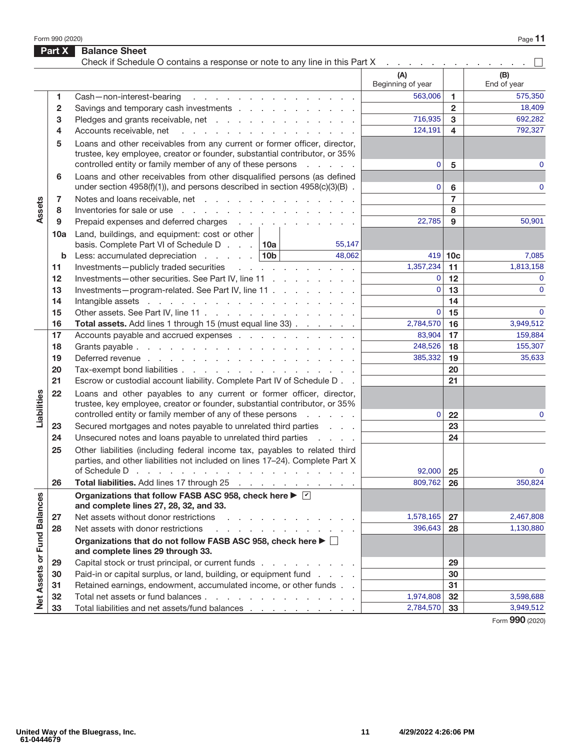Form 990 (2020) Page **11** 

|                             | Part X       | <b>Balance Sheet</b><br>Check if Schedule O contains a response or note to any line in this Part X                                                          | the contract of the contract of the contract of |                |                    |
|-----------------------------|--------------|-------------------------------------------------------------------------------------------------------------------------------------------------------------|-------------------------------------------------|----------------|--------------------|
|                             |              |                                                                                                                                                             | (A)<br>Beginning of year                        |                | (B)<br>End of year |
|                             | 1.           | Cash-non-interest-bearing<br>design and contract to the contract of the con-                                                                                | 563,006                                         | 1              | 575,350            |
|                             | $\mathbf{2}$ | Savings and temporary cash investments                                                                                                                      |                                                 | $\mathbf{2}$   | 18,409             |
|                             | 3            | Pledges and grants receivable, net                                                                                                                          | 716,935                                         | 3              | 692,282            |
|                             | 4            | Accounts receivable, net<br>and the contract of the contract of the contract of                                                                             | 124,191                                         | 4              | 792,327            |
|                             | 5            | Loans and other receivables from any current or former officer, director,                                                                                   |                                                 |                |                    |
|                             |              | trustee, key employee, creator or founder, substantial contributor, or 35%<br>controlled entity or family member of any of these persons<br>and the company | $\mathbf 0$                                     | 5              | 0                  |
|                             | 6            | Loans and other receivables from other disqualified persons (as defined                                                                                     |                                                 |                |                    |
|                             |              | under section $4958(f)(1)$ , and persons described in section $4958(c)(3)(B)$ .                                                                             | 0                                               | 6              | $\mathbf{0}$       |
| Assets                      | 7            | Notes and loans receivable, net                                                                                                                             |                                                 | $\overline{7}$ |                    |
|                             | 8            | Inventories for sale or use reader and reader and reader and reader and reader and reader and reader and reader                                             |                                                 | 8              |                    |
|                             | 9            | Prepaid expenses and deferred charges                                                                                                                       | 22,785                                          | 9              | 50,901             |
|                             | 10a          | Land, buildings, and equipment: cost or other                                                                                                               |                                                 |                |                    |
|                             |              | basis. Complete Part VI of Schedule D $\ldots$ 10a<br>55,147                                                                                                |                                                 |                |                    |
|                             | b            | Less: accumulated depreciation $\ldots$ 10b<br>48,062                                                                                                       |                                                 | $419$ 10c      | 7,085              |
|                             | 11           | Investments-publicly traded securities                                                                                                                      | 1,357,234                                       | 11             | 1,813,158          |
|                             | 12           | Investments-other securities. See Part IV, line 11                                                                                                          | $\mathbf{0}$                                    | 12             | $\mathbf{0}$       |
|                             | 13           | Investments-program-related. See Part IV, line 11                                                                                                           | $\overline{0}$                                  | 13             | $\mathbf{0}$       |
|                             | 14           |                                                                                                                                                             |                                                 | 14             |                    |
|                             | 15           | Other assets. See Part IV, line 11                                                                                                                          | $\overline{0}$                                  | 15             | $\mathbf{0}$       |
|                             | 16           | Total assets. Add lines 1 through 15 (must equal line 33)                                                                                                   | 2,784,570                                       | 16             | 3,949,512          |
|                             | 17           | Accounts payable and accrued expenses                                                                                                                       | 83,904                                          | 17             | 159,884            |
|                             | 18           |                                                                                                                                                             | 248,526                                         | 18             | 155,307            |
|                             | 19           |                                                                                                                                                             | 385,332                                         | 19             | 35,633             |
|                             | 20<br>21     | Tax-exempt bond liabilities                                                                                                                                 |                                                 | 20<br>21       |                    |
|                             |              | Escrow or custodial account liability. Complete Part IV of Schedule D                                                                                       |                                                 |                |                    |
| Liabilities                 | 22           | Loans and other payables to any current or former officer, director,<br>trustee, key employee, creator or founder, substantial contributor, or 35%          |                                                 |                |                    |
|                             |              | controlled entity or family member of any of these persons<br>and a state of                                                                                | 0                                               | 22             | 0                  |
|                             | 23           | Secured mortgages and notes payable to unrelated third parties                                                                                              |                                                 | 23<br>24       |                    |
|                             | 24           | Unsecured notes and loans payable to unrelated third parties                                                                                                |                                                 |                |                    |
|                             | 25           | Other liabilities (including federal income tax, payables to related third<br>parties, and other liabilities not included on lines 17-24). Complete Part X  |                                                 |                | $\mathbf{0}$       |
|                             | 26           | of Schedule D $\cdots$ $\cdots$ $\cdots$ $\cdots$ $\cdots$ $\cdots$ $\cdots$ $\cdots$ $\cdots$<br>Total liabilities. Add lines 17 through 25                | 92,000<br>809,762                               | 25             | 350,824            |
|                             |              | Organizations that follow FASB ASC 958, check here ▶ Ø                                                                                                      |                                                 | 26             |                    |
|                             |              | and complete lines 27, 28, 32, and 33.                                                                                                                      |                                                 |                |                    |
|                             | 27           | Net assets without donor restrictions<br>a construction of the construction of the<br>Net assets with donor restrictions                                    | 1,578,165                                       | 27             | 2,467,808          |
|                             | 28           | a construction of the construction of the con-                                                                                                              | 396,643                                         | 28             | 1,130,880          |
| Net Assets or Fund Balances |              | Organizations that do not follow FASB ASC 958, check here ▶ □<br>and complete lines 29 through 33.                                                          |                                                 |                |                    |
|                             | 29           | Capital stock or trust principal, or current funds                                                                                                          |                                                 | 29             |                    |
|                             | 30           | Paid-in or capital surplus, or land, building, or equipment fund                                                                                            |                                                 | 30             |                    |
|                             | 31           | Retained earnings, endowment, accumulated income, or other funds                                                                                            |                                                 | 31             |                    |
|                             | 32           | Total net assets or fund balances                                                                                                                           | 1,974,808                                       | 32             | 3,598,688          |
|                             | 33           | Total liabilities and net assets/fund balances                                                                                                              | 2,784,570                                       | 33             | 3,949,512          |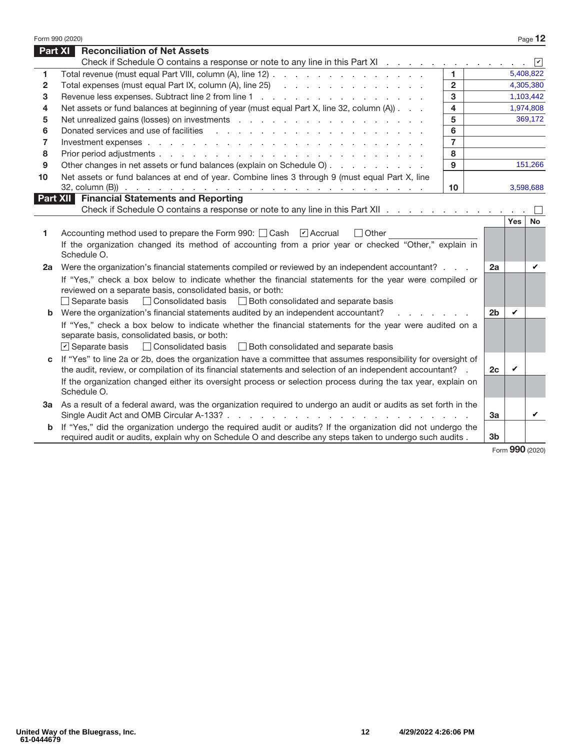|                | Form 990 (2020)                                                                                                                                                                                                                |                         |                |            | Page 12            |
|----------------|--------------------------------------------------------------------------------------------------------------------------------------------------------------------------------------------------------------------------------|-------------------------|----------------|------------|--------------------|
| <b>Part XI</b> | <b>Reconciliation of Net Assets</b>                                                                                                                                                                                            |                         |                |            |                    |
|                | Check if Schedule O contains a response or note to any line in this Part XI                                                                                                                                                    |                         |                |            | $ \boldsymbol{v} $ |
| 1              | Total revenue (must equal Part VIII, column (A), line 12)                                                                                                                                                                      | 1.                      |                |            | 5,408,822          |
| $\mathbf{2}$   | Total expenses (must equal Part IX, column (A), line 25) (all contact and contact and contact and contact and contact and contact and contact and contact and contact and contact and contact and contact and contact and cont | $\overline{2}$          |                |            | 4,305,380          |
| 3              |                                                                                                                                                                                                                                | 3                       |                |            | 1,103,442          |
| 4              | Net assets or fund balances at beginning of year (must equal Part X, line 32, column (A))                                                                                                                                      | $\overline{\mathbf{4}}$ |                |            | 1,974,808          |
| 5              |                                                                                                                                                                                                                                | 5                       |                |            | 369,172            |
| 6              | Donated services and use of facilities                                                                                                                                                                                         | 6                       |                |            |                    |
| $\overline{7}$ |                                                                                                                                                                                                                                | $\overline{7}$          |                |            |                    |
| 8              |                                                                                                                                                                                                                                | 8                       |                |            |                    |
| 9              | Other changes in net assets or fund balances (explain on Schedule O)                                                                                                                                                           | 9                       |                |            | 151,266            |
| 10             | Net assets or fund balances at end of year. Combine lines 3 through 9 (must equal Part X, line                                                                                                                                 |                         |                |            |                    |
|                |                                                                                                                                                                                                                                | 10                      |                |            | 3,598,688          |
|                | <b>Part XII Financial Statements and Reporting</b>                                                                                                                                                                             |                         |                |            |                    |
|                | Check if Schedule O contains a response or note to any line in this Part XII                                                                                                                                                   |                         |                | <b>Yes</b> |                    |
|                |                                                                                                                                                                                                                                |                         |                |            | <b>No</b>          |
| 1              | Accounting method used to prepare the Form 990: Cash [7] Accrual<br>$\Box$ Other                                                                                                                                               |                         |                |            |                    |
|                | If the organization changed its method of accounting from a prior year or checked "Other," explain in<br>Schedule O.                                                                                                           |                         |                |            |                    |
| 2a             | Were the organization's financial statements compiled or reviewed by an independent accountant?                                                                                                                                |                         | 2a             |            | V                  |
|                | If "Yes," check a box below to indicate whether the financial statements for the year were compiled or                                                                                                                         |                         |                |            |                    |
|                | reviewed on a separate basis, consolidated basis, or both:                                                                                                                                                                     |                         |                |            |                    |
|                | □ Consolidated basis □ Both consolidated and separate basis<br>$\Box$ Separate basis                                                                                                                                           |                         |                |            |                    |
|                | <b>b</b> Were the organization's financial statements audited by an independent accountant?                                                                                                                                    |                         | 2 <sub>b</sub> | V          |                    |
|                | If "Yes," check a box below to indicate whether the financial statements for the year were audited on a                                                                                                                        |                         |                |            |                    |
|                | separate basis, consolidated basis, or both:                                                                                                                                                                                   |                         |                |            |                    |
|                | $\triangleright$ Separate basis<br>□ Consolidated basis □ Both consolidated and separate basis                                                                                                                                 |                         |                |            |                    |
|                | If "Yes" to line 2a or 2b, does the organization have a committee that assumes responsibility for oversight of                                                                                                                 |                         |                |            |                    |
|                | the audit, review, or compilation of its financial statements and selection of an independent accountant? .                                                                                                                    |                         | 2c             | ✓          |                    |
|                | If the organization changed either its oversight process or selection process during the tax year, explain on<br>Schedule O.                                                                                                   |                         |                |            |                    |
|                | 3a As a result of a federal award, was the organization required to undergo an audit or audits as set forth in the                                                                                                             |                         |                |            |                    |
|                |                                                                                                                                                                                                                                |                         | 3a             |            | V                  |
| b              | If "Yes," did the organization undergo the required audit or audits? If the organization did not undergo the<br>required audit or audits, explain why on Schedule O and describe any steps taken to undergo such audits.       |                         | 3 <sub>b</sub> |            |                    |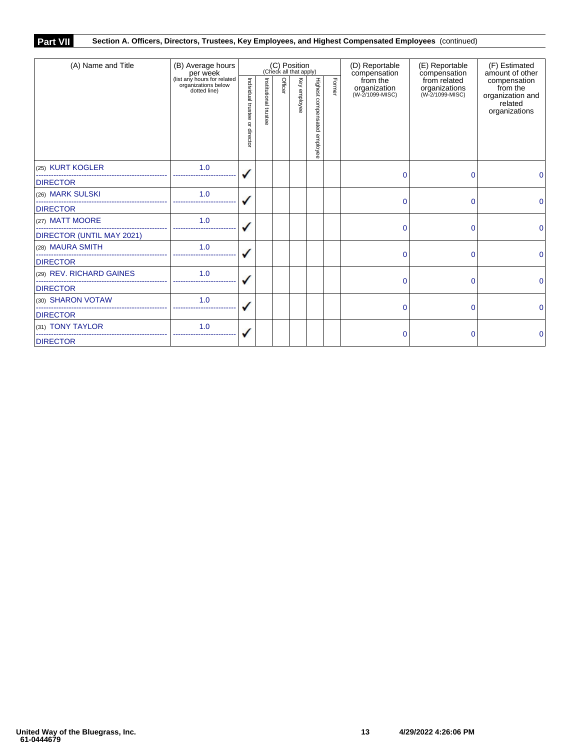## **Part VII Section A. Officers, Directors, Trustees, Key Employees, and Highest Compensated Employees** (continued)

| (A) Name and Title        | (B) Average hours<br>per week                                      | (C) Position<br>(Check all that apply) |                       |         |              |                                 |        | (D) Reportable<br>compensation              | (E) Reportable<br>compensation                   | (F) Estimated<br>amount of other                                         |   |
|---------------------------|--------------------------------------------------------------------|----------------------------------------|-----------------------|---------|--------------|---------------------------------|--------|---------------------------------------------|--------------------------------------------------|--------------------------------------------------------------------------|---|
|                           | (list any hours for related<br>organizations below<br>dotted line) | Individual trustee<br>₽<br>director    | Institutional trustee | Officer | Key employee | Highest compensated<br>employee | Former | from the<br>organization<br>(W-2/1099-MISC) | from related<br>organizations<br>(W-2/1099-MISC) | compensation<br>from the<br>organization and<br>related<br>organizations |   |
| (25) KURT KOGLER          | 1.0                                                                |                                        |                       |         |              |                                 |        | $\Omega$                                    | 0                                                | 0                                                                        |   |
| <b>DIRECTOR</b>           |                                                                    |                                        |                       |         |              |                                 |        |                                             |                                                  |                                                                          |   |
| (26) MARK SULSKI          | 1.0                                                                |                                        |                       |         |              |                                 |        | $\mathbf{0}$                                | $\Omega$                                         | 0                                                                        |   |
| <b>DIRECTOR</b>           |                                                                    |                                        |                       |         |              |                                 |        |                                             |                                                  |                                                                          |   |
| (27) MATT MOORE           | 1.0                                                                |                                        |                       |         |              |                                 |        | $\Omega$                                    | 0                                                | 0                                                                        |   |
| DIRECTOR (UNTIL MAY 2021) |                                                                    |                                        |                       |         |              |                                 |        |                                             |                                                  |                                                                          |   |
| (28) MAURA SMITH          | 1.0                                                                |                                        |                       |         |              |                                 |        |                                             | $\Omega$                                         | $\Omega$                                                                 | 0 |
| <b>DIRECTOR</b>           |                                                                    |                                        |                       |         |              |                                 |        |                                             |                                                  |                                                                          |   |
| (29) REV. RICHARD GAINES  | 1.0                                                                |                                        |                       |         |              |                                 |        | 0                                           | 0                                                | $\mathbf{0}$                                                             |   |
| <b>DIRECTOR</b>           |                                                                    |                                        |                       |         |              |                                 |        |                                             |                                                  |                                                                          |   |
| (30) SHARON VOTAW         | 1.0                                                                |                                        |                       |         |              |                                 |        | $\Omega$                                    | 0                                                | $\Omega$                                                                 |   |
| <b>DIRECTOR</b>           |                                                                    |                                        |                       |         |              |                                 |        |                                             |                                                  |                                                                          |   |
| (31) TONY TAYLOR          | 1.0                                                                |                                        |                       |         |              |                                 |        | 0                                           | 0                                                | 0                                                                        |   |
| <b>DIRECTOR</b>           |                                                                    |                                        |                       |         |              |                                 |        |                                             |                                                  |                                                                          |   |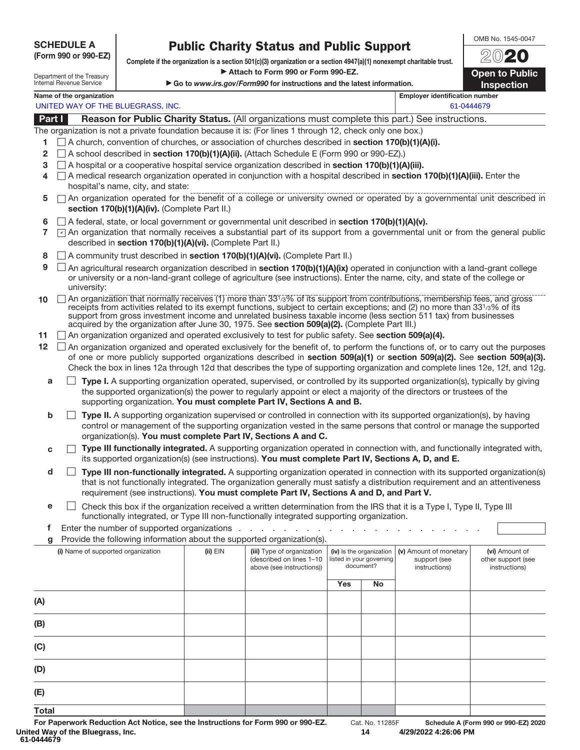### **SCHEDULE A**

### **(Form 990 or 990-EZ)**

**Public Charity Status and Public Support Complete if the organization is a section 501(c)(3) organization or a section 4947(a)(1) nonexempt charitable trust.** a **Attach to Form 990 or Form 990-EZ.** 

▶ Go to *www.irs.gov/Form990* for instructions and the latest information.

OMB No. 1545-0047 20**20**

**Open to Public Inspection**

| Department of the Treasury |  |
|----------------------------|--|
| Internal Revenue Service   |  |

**Name of the organization Employer identification number Employer identification number** UNITED WAY OF THE BLUEGRASS, INC. And the state of the state of the state of the state of the state of the state of the state of the state of the state of the state of the state of the state of the state of the state of th

**Part I Reason for Public Charity Status.** (All organizations must complete this part.) See instructions.

The organization is not a private foundation because it is: (For lines 1 through 12, check only one box.)

- **1** A church, convention of churches, or association of churches described in **section 170(b)(1)(A)(i).**
- **2** A school described in **section 170(b)(1)(A)(ii).** (Attach Schedule E (Form 990 or 990-EZ).)
- **3** A hospital or a cooperative hospital service organization described in **section 170(b)(1)(A)(iii).**
- **4** A medical research organization operated in conjunction with a hospital described in **section 170(b)(1)(A)(iii).** Enter the hospital's name, city, and state:
- **5**  $\Box$  An organization operated for the benefit of a college or university owned or operated by a governmental unit described in **section 170(b)(1)(A)(iv).** (Complete Part II.)
- **6** A federal, state, or local government or governmental unit described in **section 170(b)(1)(A)(v).**
- 7  $\triangledown$  An organization that normally receives a substantial part of its support from a governmental unit or from the general public described in **section 170(b)(1)(A)(vi).** (Complete Part II.)
- **8 □** A community trust described in **section 170(b)(1)(A)(vi).** (Complete Part II.)
- **9**  $\Box$  An agricultural research organization described in **section 170(b)(1)(A)(ix)** operated in conjunction with a land-grant college or university or a non-land-grant college of agriculture (see instructions). Enter the name, city, and state of the college or university:
- 10 An organization that normally receives (1) more than 33<sup>1</sup>/3% of its support from contributions, membership fees, and gross receipts from activities related to its exempt functions, subject to certain exceptions; and (2) no more than 331/3% of its support from gross investment income and unrelated business taxable income (less section 511 tax) from businesses acquired by the organization after June 30, 1975. See **section 509(a)(2).** (Complete Part III.)
- **11** An organization organized and operated exclusively to test for public safety. See **section 509(a)(4).**
- **12** An organization organized and operated exclusively for the benefit of, to perform the functions of, or to carry out the purposes of one or more publicly supported organizations described in **section 509(a)(1)** or **section 509(a)(2).** See **section 509(a)(3).**  Check the box in lines 12a through 12d that describes the type of supporting organization and complete lines 12e, 12f, and 12g.
	- **a Type I.** A supporting organization operated, supervised, or controlled by its supported organization(s), typically by giving the supported organization(s) the power to regularly appoint or elect a majority of the directors or trustees of the supporting organization. **You must complete Part IV, Sections A and B.**
	- **b Type II.** A supporting organization supervised or controlled in connection with its supported organization(s), by having control or management of the supporting organization vested in the same persons that control or manage the supported organization(s). **You must complete Part IV, Sections A and C.**
	- **c Type III functionally integrated.** A supporting organization operated in connection with, and functionally integrated with, its supported organization(s) (see instructions). **You must complete Part IV, Sections A, D, and E.**
	- **d Type III non-functionally integrated.** A supporting organization operated in connection with its supported organization(s) that is not functionally integrated. The organization generally must satisfy a distribution requirement and an attentiveness requirement (see instructions). **You must complete Part IV, Sections A and D, and Part V.**
	- **e** □ Check this box if the organization received a written determination from the IRS that it is a Type I, Type II, Type III functionally integrated, or Type III non-functionally integrated supporting organization.
	- **f** Enter the number of supported organizations . . . . . . .
	- **g** Provide the following information about the supported organization(s).

| ы<br>Thorige the following implifiation about the supported organization(s). |              |                                                                                     |                                                                   |    |                                                         |                                                       |
|------------------------------------------------------------------------------|--------------|-------------------------------------------------------------------------------------|-------------------------------------------------------------------|----|---------------------------------------------------------|-------------------------------------------------------|
| (i) Name of supported organization                                           | $(ii)$ $EIN$ | (iii) Type of organization<br>(described on lines 1-10<br>above (see instructions)) | (iv) Is the organization<br>listed in your governing<br>document? |    | (v) Amount of monetary<br>support (see<br>instructions) | (vi) Amount of<br>other support (see<br>instructions) |
|                                                                              |              |                                                                                     | <b>Yes</b>                                                        | No |                                                         |                                                       |
| (A)                                                                          |              |                                                                                     |                                                                   |    |                                                         |                                                       |
| (B)                                                                          |              |                                                                                     |                                                                   |    |                                                         |                                                       |
| (C)                                                                          |              |                                                                                     |                                                                   |    |                                                         |                                                       |
| (D)                                                                          |              |                                                                                     |                                                                   |    |                                                         |                                                       |
| (E)                                                                          |              |                                                                                     |                                                                   |    |                                                         |                                                       |
| <b>Total</b>                                                                 |              |                                                                                     |                                                                   |    |                                                         |                                                       |

**14 4/29/2022 4:26:06 PM**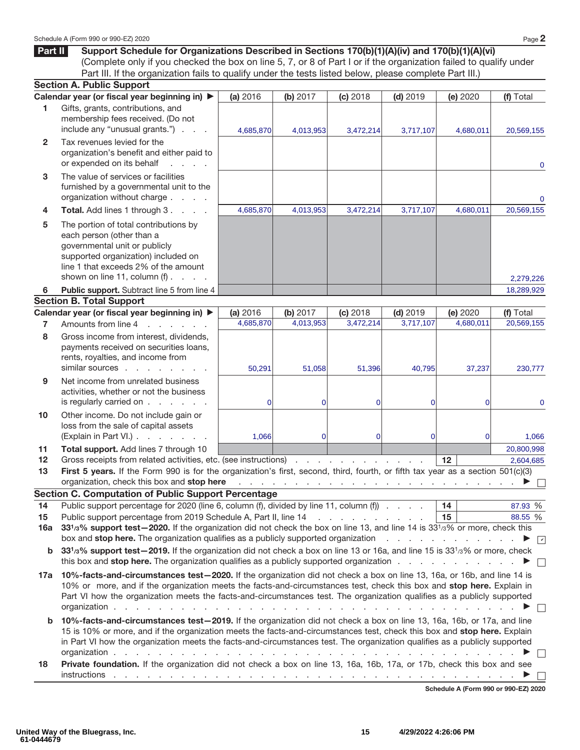**Part II** Support Schedule for Organizations Described in Sections 170(b)(1)(A)(iv) and 170(b)(1)(A)(vi) (Complete only if you checked the box on line 5, 7, or 8 of Part I or if the organization failed to qualify under Part III. If the organization fails to qualify under the tests listed below, please complete Part III.)

|                     | <b>Section A. Public Support</b>                                                                                                                                                                                                                                                                                                                                                                                                                                         |                       |                              |                                     |                         |                                                                                                       |                         |
|---------------------|--------------------------------------------------------------------------------------------------------------------------------------------------------------------------------------------------------------------------------------------------------------------------------------------------------------------------------------------------------------------------------------------------------------------------------------------------------------------------|-----------------------|------------------------------|-------------------------------------|-------------------------|-------------------------------------------------------------------------------------------------------|-------------------------|
|                     | Calendar year (or fiscal year beginning in) ▶                                                                                                                                                                                                                                                                                                                                                                                                                            | (a) 2016              | (b) 2017                     | (c) 2018                            | $(d)$ 2019              | (e) 2020                                                                                              | (f) Total               |
| 1.                  | Gifts, grants, contributions, and<br>membership fees received. (Do not<br>include any "unusual grants.")                                                                                                                                                                                                                                                                                                                                                                 | 4,685,870             | 4,013,953                    | 3,472,214                           | 3,717,107               | 4,680,011                                                                                             | 20,569,155              |
| $\overline{2}$      | Tax revenues levied for the<br>organization's benefit and either paid to<br>or expended on its behalf                                                                                                                                                                                                                                                                                                                                                                    |                       |                              |                                     |                         |                                                                                                       | $\mathbf 0$             |
| 3                   | The value of services or facilities<br>furnished by a governmental unit to the<br>organization without charge                                                                                                                                                                                                                                                                                                                                                            |                       |                              |                                     |                         |                                                                                                       | 0                       |
| 4                   | Total. Add lines 1 through 3.                                                                                                                                                                                                                                                                                                                                                                                                                                            | 4,685,870             | 4,013,953                    | 3,472,214                           | 3,717,107               | 4,680,011                                                                                             | 20,569,155              |
| 5                   | The portion of total contributions by<br>each person (other than a<br>governmental unit or publicly<br>supported organization) included on<br>line 1 that exceeds 2% of the amount<br>shown on line 11, column $(f)$ .                                                                                                                                                                                                                                                   |                       |                              |                                     |                         |                                                                                                       |                         |
|                     |                                                                                                                                                                                                                                                                                                                                                                                                                                                                          |                       |                              |                                     |                         |                                                                                                       | 2,279,226               |
| 6                   | Public support. Subtract line 5 from line 4                                                                                                                                                                                                                                                                                                                                                                                                                              |                       |                              |                                     |                         |                                                                                                       | 18,289,929              |
|                     | <b>Section B. Total Support</b>                                                                                                                                                                                                                                                                                                                                                                                                                                          |                       |                              |                                     |                         |                                                                                                       |                         |
|                     | Calendar year (or fiscal year beginning in) ▶<br>Amounts from line 4<br>and the contract of the con-                                                                                                                                                                                                                                                                                                                                                                     | (a) 2016<br>4,685,870 | (b) $2017$<br>4,013,953      | (c) 2018<br>3,472,214               | $(d)$ 2019<br>3,717,107 | (e) 2020<br>4,680,011                                                                                 | (f) Total<br>20.569.155 |
| $\overline{7}$<br>8 | Gross income from interest, dividends,<br>payments received on securities loans,<br>rents, royalties, and income from                                                                                                                                                                                                                                                                                                                                                    |                       |                              |                                     |                         |                                                                                                       |                         |
|                     | similar sources                                                                                                                                                                                                                                                                                                                                                                                                                                                          | 50,291                | 51,058                       | 51,396                              | 40,795                  | 37,237                                                                                                | 230,777                 |
| 9                   | Net income from unrelated business<br>activities, whether or not the business<br>is regularly carried on                                                                                                                                                                                                                                                                                                                                                                 | $\Omega$              | $\overline{0}$               | $\overline{0}$                      | $\overline{0}$          | $\overline{0}$                                                                                        | 0                       |
| 10                  | Other income. Do not include gain or<br>loss from the sale of capital assets<br>(Explain in Part VI.)                                                                                                                                                                                                                                                                                                                                                                    | 1,066                 | $\mathbf{0}$                 | $\overline{0}$                      | 0                       | $\overline{0}$                                                                                        | 1,066                   |
| 11                  | Total support. Add lines 7 through 10                                                                                                                                                                                                                                                                                                                                                                                                                                    |                       |                              |                                     |                         |                                                                                                       | 20,800,998              |
| 12                  | Gross receipts from related activities, etc. (see instructions)                                                                                                                                                                                                                                                                                                                                                                                                          |                       |                              |                                     |                         | 12                                                                                                    | 2,604,685               |
| 13                  | First 5 years. If the Form 990 is for the organization's first, second, third, fourth, or fifth tax year as a section 501(c)(3)<br>organization, check this box and stop here                                                                                                                                                                                                                                                                                            |                       |                              |                                     |                         | $\rightarrow$ . The contract of the contract of the contract of the contract of $\blacktriangleright$ |                         |
|                     | <b>Section C. Computation of Public Support Percentage</b>                                                                                                                                                                                                                                                                                                                                                                                                               |                       |                              |                                     |                         |                                                                                                       |                         |
| 14<br>15            | Public support percentage for 2020 (line 6, column (f), divided by line 11, column (f))<br>Public support percentage from 2019 Schedule A, Part II, line 14                                                                                                                                                                                                                                                                                                              |                       |                              | the contract of the contract of the |                         | 14<br>15                                                                                              | 87.93 %<br>88.55 %      |
| 16a                 | 33 <sup>1</sup> /3% support test-2020. If the organization did not check the box on line 13, and line 14 is 33 <sup>1</sup> /3% or more, check this                                                                                                                                                                                                                                                                                                                      |                       |                              |                                     |                         |                                                                                                       |                         |
|                     | box and stop here. The organization qualifies as a publicly supported organization                                                                                                                                                                                                                                                                                                                                                                                       |                       |                              |                                     |                         |                                                                                                       | $\sqrt{2}$              |
| b                   | 331/3% support test-2019. If the organization did not check a box on line 13 or 16a, and line 15 is 331/3% or more, check<br>this box and <b>stop here.</b> The organization qualifies as a publicly supported organization $\ldots$ , $\ldots$                                                                                                                                                                                                                          |                       |                              |                                     |                         |                                                                                                       |                         |
| 17a                 | 10%-facts-and-circumstances test-2020. If the organization did not check a box on line 13, 16a, or 16b, and line 14 is<br>10% or more, and if the organization meets the facts-and-circumstances test, check this box and stop here. Explain in<br>Part VI how the organization meets the facts-and-circumstances test. The organization qualifies as a publicly supported<br>organization.<br>de la participat de la participat de la participat de la participat de la |                       |                              |                                     |                         |                                                                                                       |                         |
| b                   | 10%-facts-and-circumstances test-2019. If the organization did not check a box on line 13, 16a, 16b, or 17a, and line<br>15 is 10% or more, and if the organization meets the facts-and-circumstances test, check this box and stop here. Explain<br>in Part VI how the organization meets the facts-and-circumstances test. The organization qualifies as a publicly supported<br>organization.                                                                         |                       | and the contract of the con- |                                     |                         |                                                                                                       |                         |
| 18                  | Private foundation. If the organization did not check a box on line 13, 16a, 16b, 17a, or 17b, check this box and see                                                                                                                                                                                                                                                                                                                                                    |                       |                              |                                     |                         |                                                                                                       |                         |
|                     |                                                                                                                                                                                                                                                                                                                                                                                                                                                                          |                       |                              |                                     |                         | Schedule A (Form 990 or 990-EZ) 2020                                                                  |                         |
|                     |                                                                                                                                                                                                                                                                                                                                                                                                                                                                          |                       |                              |                                     |                         |                                                                                                       |                         |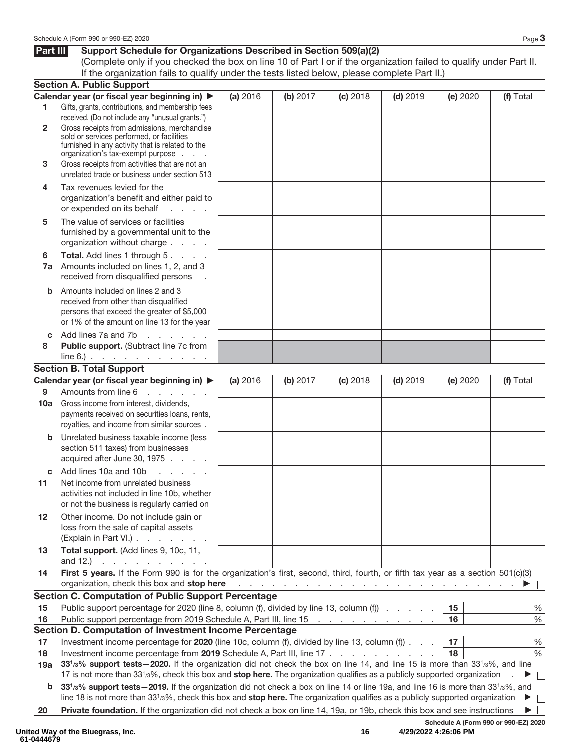### **Part III** Support Schedule for Organizations Described in Section 509(a)(2)

(Complete only if you checked the box on line 10 of Part I or if the organization failed to qualify under Part II. If the organization fails to qualify under the tests listed below, please complete Part II.)

|              | <b>Section A. Public Support</b>                                                                                                                                                                                                                                      |          |                                                                             |          |            |          |                                      |
|--------------|-----------------------------------------------------------------------------------------------------------------------------------------------------------------------------------------------------------------------------------------------------------------------|----------|-----------------------------------------------------------------------------|----------|------------|----------|--------------------------------------|
|              | Calendar year (or fiscal year beginning in) ▶                                                                                                                                                                                                                         | (a) 2016 | (b) 2017                                                                    | (c) 2018 | $(d)$ 2019 | (e) 2020 | (f) Total                            |
| 1            | Gifts, grants, contributions, and membership fees                                                                                                                                                                                                                     |          |                                                                             |          |            |          |                                      |
|              | received. (Do not include any "unusual grants.")                                                                                                                                                                                                                      |          |                                                                             |          |            |          |                                      |
| $\mathbf{2}$ | Gross receipts from admissions, merchandise<br>sold or services performed, or facilities                                                                                                                                                                              |          |                                                                             |          |            |          |                                      |
|              | furnished in any activity that is related to the                                                                                                                                                                                                                      |          |                                                                             |          |            |          |                                      |
|              | organization's tax-exempt purpose                                                                                                                                                                                                                                     |          |                                                                             |          |            |          |                                      |
| 3            | Gross receipts from activities that are not an                                                                                                                                                                                                                        |          |                                                                             |          |            |          |                                      |
|              | unrelated trade or business under section 513                                                                                                                                                                                                                         |          |                                                                             |          |            |          |                                      |
| 4            | Tax revenues levied for the                                                                                                                                                                                                                                           |          |                                                                             |          |            |          |                                      |
|              | organization's benefit and either paid to                                                                                                                                                                                                                             |          |                                                                             |          |            |          |                                      |
|              | or expended on its behalf<br><b>Service State</b>                                                                                                                                                                                                                     |          |                                                                             |          |            |          |                                      |
| 5            | The value of services or facilities                                                                                                                                                                                                                                   |          |                                                                             |          |            |          |                                      |
|              | furnished by a governmental unit to the                                                                                                                                                                                                                               |          |                                                                             |          |            |          |                                      |
|              | organization without charge                                                                                                                                                                                                                                           |          |                                                                             |          |            |          |                                      |
| 6            | Total. Add lines 1 through 5.                                                                                                                                                                                                                                         |          |                                                                             |          |            |          |                                      |
| 7a           | Amounts included on lines 1, 2, and 3                                                                                                                                                                                                                                 |          |                                                                             |          |            |          |                                      |
|              | received from disqualified persons                                                                                                                                                                                                                                    |          |                                                                             |          |            |          |                                      |
| b            | Amounts included on lines 2 and 3                                                                                                                                                                                                                                     |          |                                                                             |          |            |          |                                      |
|              | received from other than disqualified                                                                                                                                                                                                                                 |          |                                                                             |          |            |          |                                      |
|              | persons that exceed the greater of \$5,000<br>or 1% of the amount on line 13 for the year                                                                                                                                                                             |          |                                                                             |          |            |          |                                      |
|              |                                                                                                                                                                                                                                                                       |          |                                                                             |          |            |          |                                      |
| C<br>8       | and a straight<br>Add lines 7a and 7b<br>Public support. (Subtract line 7c from                                                                                                                                                                                       |          |                                                                             |          |            |          |                                      |
|              | $line 6.)$                                                                                                                                                                                                                                                            |          |                                                                             |          |            |          |                                      |
|              | <b>Section B. Total Support</b>                                                                                                                                                                                                                                       |          |                                                                             |          |            |          |                                      |
|              | Calendar year (or fiscal year beginning in) ▶                                                                                                                                                                                                                         | (a) 2016 | (b) 2017                                                                    | (c) 2018 | $(d)$ 2019 | (e) 2020 | (f) Total                            |
| 9            | Amounts from line 6<br>and a series of                                                                                                                                                                                                                                |          |                                                                             |          |            |          |                                      |
| 10a          | Gross income from interest, dividends,                                                                                                                                                                                                                                |          |                                                                             |          |            |          |                                      |
|              | payments received on securities loans, rents,                                                                                                                                                                                                                         |          |                                                                             |          |            |          |                                      |
|              | royalties, and income from similar sources.                                                                                                                                                                                                                           |          |                                                                             |          |            |          |                                      |
| b            | Unrelated business taxable income (less                                                                                                                                                                                                                               |          |                                                                             |          |            |          |                                      |
|              | section 511 taxes) from businesses                                                                                                                                                                                                                                    |          |                                                                             |          |            |          |                                      |
|              | acquired after June 30, 1975                                                                                                                                                                                                                                          |          |                                                                             |          |            |          |                                      |
| C            | Add lines 10a and 10b<br>and a state of                                                                                                                                                                                                                               |          |                                                                             |          |            |          |                                      |
| 11           | Net income from unrelated business                                                                                                                                                                                                                                    |          |                                                                             |          |            |          |                                      |
|              | activities not included in line 10b, whether                                                                                                                                                                                                                          |          |                                                                             |          |            |          |                                      |
|              | or not the business is regularly carried on                                                                                                                                                                                                                           |          |                                                                             |          |            |          |                                      |
| 12           | Other income. Do not include gain or                                                                                                                                                                                                                                  |          |                                                                             |          |            |          |                                      |
|              | loss from the sale of capital assets                                                                                                                                                                                                                                  |          |                                                                             |          |            |          |                                      |
|              | (Explain in Part VI.)                                                                                                                                                                                                                                                 |          |                                                                             |          |            |          |                                      |
| 13           | Total support. (Add lines 9, 10c, 11,                                                                                                                                                                                                                                 |          |                                                                             |          |            |          |                                      |
|              | and 12.) $\cdots$ $\cdots$ $\cdots$                                                                                                                                                                                                                                   |          |                                                                             |          |            |          |                                      |
| 14           | First 5 years. If the Form 990 is for the organization's first, second, third, fourth, or fifth tax year as a section 501(c)(3)                                                                                                                                       |          |                                                                             |          |            |          |                                      |
|              | organization, check this box and stop here                                                                                                                                                                                                                            |          | المتعاونة والمتعاونة والمتعاونة والمتعاونة والمتعاونة والمتعاونة والمتعاونة |          |            |          |                                      |
|              | <b>Section C. Computation of Public Support Percentage</b>                                                                                                                                                                                                            |          |                                                                             |          |            |          |                                      |
| 15           | Public support percentage for 2020 (line 8, column (f), divided by line 13, column (f))                                                                                                                                                                               |          |                                                                             |          |            | 15       | $\%$                                 |
| 16           | Public support percentage from 2019 Schedule A, Part III, line 15                                                                                                                                                                                                     |          |                                                                             |          |            | 16       | %                                    |
|              | Section D. Computation of Investment Income Percentage                                                                                                                                                                                                                |          |                                                                             |          |            |          |                                      |
| 17           | Investment income percentage for 2020 (line 10c, column (f), divided by line 13, column (f)                                                                                                                                                                           |          |                                                                             |          |            | 17       | $\%$                                 |
| 18           | Investment income percentage from 2019 Schedule A, Part III, line 17                                                                                                                                                                                                  |          |                                                                             |          |            | 18       | $\%$                                 |
| 19a          | 331/3% support tests - 2020. If the organization did not check the box on line 14, and line 15 is more than 331/3%, and line                                                                                                                                          |          |                                                                             |          |            |          |                                      |
|              | 17 is not more than 33 <sup>1</sup> /3%, check this box and stop here. The organization qualifies as a publicly supported organization                                                                                                                                |          |                                                                             |          |            |          | $\Box$                               |
| b            | 331/3% support tests - 2019. If the organization did not check a box on line 14 or line 19a, and line 16 is more than 331/3%, and<br>line 18 is not more than $3313%$ , check this box and stop here. The organization qualifies as a publicly supported organization |          |                                                                             |          |            |          |                                      |
|              |                                                                                                                                                                                                                                                                       |          |                                                                             |          |            |          | $\Box$<br>▶                          |
| 20           | Private foundation. If the organization did not check a box on line 14, 19a, or 19b, check this box and see instructions                                                                                                                                              |          |                                                                             |          |            |          | $\perp$<br>▶                         |
|              |                                                                                                                                                                                                                                                                       |          |                                                                             |          |            |          | Schedule A (Form 990 or 990-EZ) 2020 |

**16 4/29/2022 4:26:06 PM**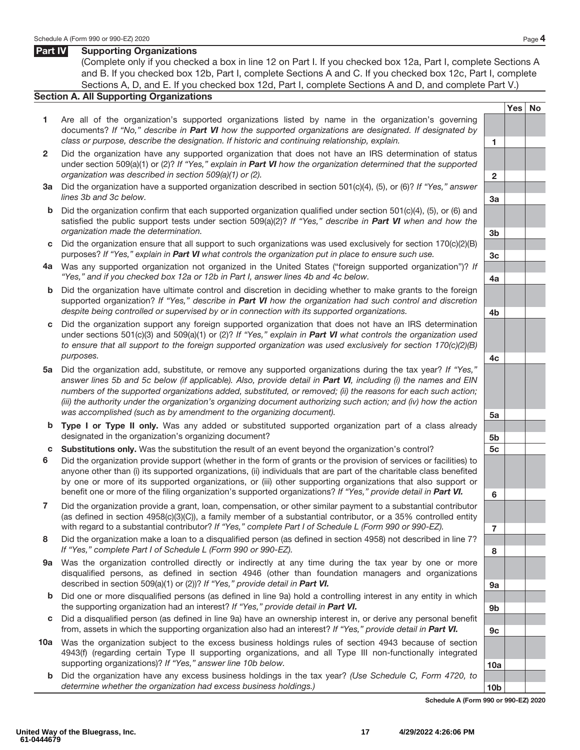### **Part IV Supporting Organizations**

(Complete only if you checked a box in line 12 on Part I. If you checked box 12a, Part I, complete Sections A and B. If you checked box 12b, Part I, complete Sections A and C. If you checked box 12c, Part I, complete Sections A, D, and E. If you checked box 12d, Part I, complete Sections A and D, and complete Part V.)

### **Section A. All Supporting Organizations**

- **1** Are all of the organization's supported organizations listed by name in the organization's governing documents? If "No," describe in *Part VI* how the supported organizations are designated. If designated by class or purpose, describe the designation. If historic and continuing relationship, explain. **1**
- **2** Did the organization have any supported organization that does not have an IRS determination of status under section 509(a)(1) or (2)? If "Yes," explain in *Part VI* how the organization determined that the supported organization was described in section 509(a)(1) or (2). **2**
- **3a** Did the organization have a supported organization described in section 501(c)(4), (5), or (6)? If "Yes," answer lines 3b and 3c below. **3a**
- **b** Did the organization confirm that each supported organization qualified under section 501(c)(4), (5), or (6) and satisfied the public support tests under section 509(a)(2)? If "Yes," describe in **Part VI** when and how the organization made the determination. **3b**
- **c** Did the organization ensure that all support to such organizations was used exclusively for section 170(c)(2)(B) purposes? If "Yes," explain in *Part VI* what controls the organization put in place to ensure such use. **3c**
- **4a** Was any supported organization not organized in the United States ("foreign supported organization")? If "Yes," and if you checked box 12a or 12b in Part I, answer lines 4b and 4c below. **4a**
- **b** Did the organization have ultimate control and discretion in deciding whether to make grants to the foreign supported organization? If "Yes," describe in *Part VI* how the organization had such control and discretion despite being controlled or supervised by or in connection with its supported organizations. **4b**
- **c** Did the organization support any foreign supported organization that does not have an IRS determination under sections 501(c)(3) and 509(a)(1) or (2)? If "Yes," explain in *Part VI* what controls the organization used to ensure that all support to the foreign supported organization was used exclusively for section 170(c)(2)(B) purposes. **4c**
- **5a** Did the organization add, substitute, or remove any supported organizations during the tax year? If "Yes," answer lines 5b and 5c below (if applicable). Also, provide detail in *Part VI*, including (i) the names and EIN numbers of the supported organizations added, substituted, or removed; (ii) the reasons for each such action; (iii) the authority under the organization's organizing document authorizing such action; and (iv) how the action was accomplished (such as by amendment to the organizing document). **5a**
- **b Type I or Type II only.** Was any added or substituted supported organization part of a class already designated in the organization's organizing document? **5b**
- **c Substitutions only.** Was the substitution the result of an event beyond the organization's control? **5c**
- **6** Did the organization provide support (whether in the form of grants or the provision of services or facilities) to anyone other than (i) its supported organizations, (ii) individuals that are part of the charitable class benefited by one or more of its supported organizations, or (iii) other supporting organizations that also support or benefit one or more of the filing organization's supported organizations? If "Yes," provide detail in *Part VI.* **6**
- **7** Did the organization provide a grant, loan, compensation, or other similar payment to a substantial contributor (as defined in section 4958(c)(3)(C)), a family member of a substantial contributor, or a 35% controlled entity with regard to a substantial contributor? If "Yes," complete Part I of Schedule L (Form 990 or 990-EZ).
- **8** Did the organization make a loan to a disqualified person (as defined in section 4958) not described in line 7? If "Yes," complete Part I of Schedule L (Form 990 or 990-EZ). **8**
- **9a** Was the organization controlled directly or indirectly at any time during the tax year by one or more disqualified persons, as defined in section 4946 (other than foundation managers and organizations described in section 509(a)(1) or (2))? If "Yes," provide detail in **Part VI. 1999**
- **b** Did one or more disqualified persons (as defined in line 9a) hold a controlling interest in any entity in which the supporting organization had an interest? If "Yes," provide detail in *Part VI.* **9b**
- **c** Did a disqualified person (as defined in line 9a) have an ownership interest in, or derive any personal benefit from, assets in which the supporting organization also had an interest? If "Yes," provide detail in *Part VI.* **9c**
- **10a** Was the organization subject to the excess business holdings rules of section 4943 because of section 4943(f) (regarding certain Type II supporting organizations, and all Type III non-functionally integrated supporting organizations)? If "Yes," answer line 10b below. **10a**
	- **b** Did the organization have any excess business holdings in the tax year? (Use Schedule C, Form 4720, to determine whether the organization had excess business holdings.) **10b**

**Schedule A (Form 990 or 990-EZ) 2020**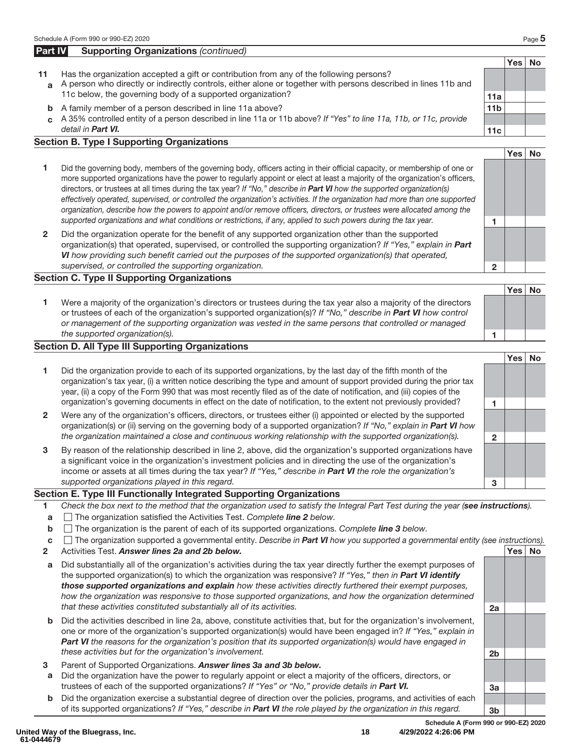### **Part IV** Supporting Organizations (continued)

- **11** Has the organization accepted a gift or contribution from any of the following persons? **a** A person who directly or indirectly controls, either alone or together with persons described in lines 11b and
	- 11c below, the governing body of a supported organization? **11a**
	- **b** A family member of a person described in line 11a above? **11b 11b c** A 35% controlled entity of a person described in line 11a or 11b above? If "Yes" to line 11a, 11b, or 11c, provide detail in *Part VI.* **11c**

### **Section B. Type I Supporting Organizations**

- **1** Did the governing body, members of the governing body, officers acting in their official capacity, or membership of one or more supported organizations have the power to regularly appoint or elect at least a majority of the organization's officers, directors, or trustees at all times during the tax year? If "No," describe in *Part VI* how the supported organization(s) effectively operated, supervised, or controlled the organization's activities. If the organization had more than one supported organization, describe how the powers to appoint and/or remove officers, directors, or trustees were allocated among the supported organizations and what conditions or restrictions, if any, applied to such powers during the tax year. **1**
- **2** Did the organization operate for the benefit of any supported organization other than the supported organization(s) that operated, supervised, or controlled the supporting organization? If "Yes," explain in *Part VI* how providing such benefit carried out the purposes of the supported organization(s) that operated, supervised, or controlled the supporting organization. **2**

### **Section C. Type II Supporting Organizations**

**1** Were a majority of the organization's directors or trustees during the tax year also a majority of the directors or trustees of each of the organization's supported organization(s)? If "No," describe in *Part VI* how control or management of the supporting organization was vested in the same persons that controlled or managed the supported organization(s). **1**

### **Section D. All Type III Supporting Organizations**

- **Yes No 1** Did the organization provide to each of its supported organizations, by the last day of the fifth month of the organization's tax year, (i) a written notice describing the type and amount of support provided during the prior tax year, (ii) a copy of the Form 990 that was most recently filed as of the date of notification, and (iii) copies of the organization's governing documents in effect on the date of notification, to the extent not previously provided? **1 2** Were any of the organization's officers, directors, or trustees either (i) appointed or elected by the supported organization(s) or (ii) serving on the governing body of a supported organization? If "No," explain in *Part VI* how the organization maintained a close and continuous working relationship with the supported organization(s). **2 3** By reason of the relationship described in line 2, above, did the organization's supported organizations have
- a significant voice in the organization's investment policies and in directing the use of the organization's income or assets at all times during the tax year? If "Yes," describe in *Part VI* the role the organization's supported organizations played in this regard. **3**

### **Section E. Type III Functionally Integrated Supporting Organizations**

- **1** Check the box next to the method that the organization used to satisfy the Integral Part Test during the year (*see instructions*).
- **a** The organization satisfied the Activities Test. Complete *line 2* below.
- **b** The organization is the parent of each of its supported organizations. Complete **line 3** below.
- **c** The organization supported a governmental entity. Describe in *Part VI* how you supported a governmental entity (see instructions).
- **2** Activities Test. *Answer lines 2a and 2b below.* **Yes No**
- **a** Did substantially all of the organization's activities during the tax year directly further the exempt purposes of the supported organization(s) to which the organization was responsive? If "Yes," then in *Part VI identify those supported organizations and explain* how these activities directly furthered their exempt purposes, how the organization was responsive to those supported organizations, and how the organization determined that these activities constituted substantially all of its activities. **2a**
- **b** Did the activities described in line 2a, above, constitute activities that, but for the organization's involvement, one or more of the organization's supported organization(s) would have been engaged in? If "Yes," explain in **Part VI** the reasons for the organization's position that its supported organization(s) would have engaged in these activities but for the organization's involvement. **2b**
- **3** Parent of Supported Organizations. *Answer lines 3a and 3b below.*
- **a** Did the organization have the power to regularly appoint or elect a majority of the officers, directors, or trustees of each of the supported organizations? If "Yes" or "No," provide details in *Part VI.* **3a**
- **b** Did the organization exercise a substantial degree of direction over the policies, programs, and activities of each of its supported organizations? If "Yes," describe in *Part VI* the role played by the organization in this regard. **3b**

**Schedule A (Form 990 or 990-EZ) 2020**

**Yes No**



**Yes No**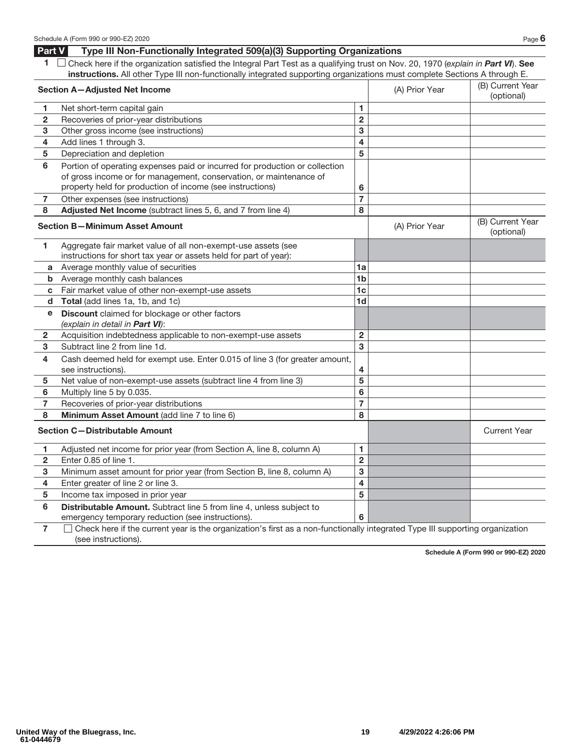### **Part V Type III Non-Functionally Integrated 509(a)(3) Supporting Organizations**

**1** Check here if the organization satisfied the Integral Part Test as a qualifying trust on Nov. 20, 1970 (explain in *Part VI*). **See instructions.** All other Type III non-functionally integrated supporting organizations must complete Sections A through E.

|                | <b>Section A-Adjusted Net Income</b>                                                                                                                                                                           |                         | (A) Prior Year | (B) Current Year<br>(optional) |
|----------------|----------------------------------------------------------------------------------------------------------------------------------------------------------------------------------------------------------------|-------------------------|----------------|--------------------------------|
| 1              | Net short-term capital gain                                                                                                                                                                                    | 1.                      |                |                                |
| $\overline{2}$ | Recoveries of prior-year distributions                                                                                                                                                                         | $\overline{2}$          |                |                                |
| 3              | Other gross income (see instructions)                                                                                                                                                                          | 3                       |                |                                |
| 4              | Add lines 1 through 3.                                                                                                                                                                                         | 4                       |                |                                |
| 5              | Depreciation and depletion                                                                                                                                                                                     | 5                       |                |                                |
| 6              | Portion of operating expenses paid or incurred for production or collection<br>of gross income or for management, conservation, or maintenance of<br>property held for production of income (see instructions) | 6                       |                |                                |
| 7              | Other expenses (see instructions)                                                                                                                                                                              | $\overline{7}$          |                |                                |
| 8              | Adjusted Net Income (subtract lines 5, 6, and 7 from line 4)                                                                                                                                                   | 8                       |                |                                |
|                | <b>Section B-Minimum Asset Amount</b>                                                                                                                                                                          |                         | (A) Prior Year | (B) Current Year<br>(optional) |
| 1.             | Aggregate fair market value of all non-exempt-use assets (see<br>instructions for short tax year or assets held for part of year):                                                                             |                         |                |                                |
| a              | Average monthly value of securities                                                                                                                                                                            | 1a                      |                |                                |
| b              | Average monthly cash balances                                                                                                                                                                                  | 1 <sub>b</sub>          |                |                                |
| c              | Fair market value of other non-exempt-use assets                                                                                                                                                               | 1 <sub>c</sub>          |                |                                |
| d              | Total (add lines 1a, 1b, and 1c)                                                                                                                                                                               | 1 <sub>d</sub>          |                |                                |
| е              | Discount claimed for blockage or other factors<br>(explain in detail in Part VI):                                                                                                                              |                         |                |                                |
| 2              | Acquisition indebtedness applicable to non-exempt-use assets                                                                                                                                                   | $\overline{\mathbf{2}}$ |                |                                |
| 3              | Subtract line 2 from line 1d.                                                                                                                                                                                  | 3                       |                |                                |
| 4              | Cash deemed held for exempt use. Enter 0.015 of line 3 (for greater amount,<br>see instructions).                                                                                                              | 4                       |                |                                |
| 5              | Net value of non-exempt-use assets (subtract line 4 from line 3)                                                                                                                                               | 5                       |                |                                |
| 6              | Multiply line 5 by 0.035.                                                                                                                                                                                      | 6                       |                |                                |
| 7              | Recoveries of prior-year distributions                                                                                                                                                                         | $\overline{7}$          |                |                                |
| 8              | Minimum Asset Amount (add line 7 to line 6)                                                                                                                                                                    | 8                       |                |                                |
|                | <b>Section C-Distributable Amount</b>                                                                                                                                                                          |                         |                | <b>Current Year</b>            |
| 1              | Adjusted net income for prior year (from Section A, line 8, column A)                                                                                                                                          | 1                       |                |                                |
| 2              | Enter 0.85 of line 1.                                                                                                                                                                                          | $\overline{2}$          |                |                                |
| 3              | Minimum asset amount for prior year (from Section B, line 8, column A)                                                                                                                                         | 3                       |                |                                |
| 4              | Enter greater of line 2 or line 3.                                                                                                                                                                             | 4                       |                |                                |
| 5              | Income tax imposed in prior year                                                                                                                                                                               | 5                       |                |                                |
| 6              | Distributable Amount. Subtract line 5 from line 4, unless subject to<br>emergency temporary reduction (see instructions).                                                                                      | 6                       |                |                                |
|                |                                                                                                                                                                                                                |                         |                |                                |

**7** Check here if the current year is the organization's first as a non-functionally integrated Type III supporting organization (see instructions).

**Schedule A (Form 990 or 990-EZ) 2020**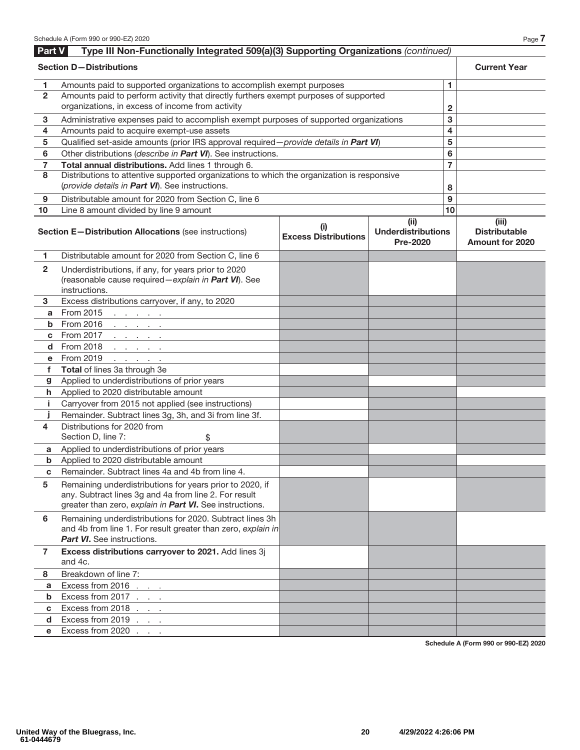| Part V                  | Type III Non-Functionally Integrated 509(a)(3) Supporting Organizations (continued)                                                                                           |                                    |                                                      |                |                                                         |
|-------------------------|-------------------------------------------------------------------------------------------------------------------------------------------------------------------------------|------------------------------------|------------------------------------------------------|----------------|---------------------------------------------------------|
|                         | <b>Section D-Distributions</b>                                                                                                                                                |                                    |                                                      |                | <b>Current Year</b>                                     |
| 1.                      | Amounts paid to supported organizations to accomplish exempt purposes                                                                                                         |                                    | 1.                                                   |                |                                                         |
| $\overline{2}$          | Amounts paid to perform activity that directly furthers exempt purposes of supported<br>organizations, in excess of income from activity                                      |                                    | $\overline{2}$                                       |                |                                                         |
| 3                       | Administrative expenses paid to accomplish exempt purposes of supported organizations                                                                                         |                                    |                                                      | 3              |                                                         |
| 4                       | Amounts paid to acquire exempt-use assets                                                                                                                                     |                                    |                                                      | 4              |                                                         |
| 5                       | Qualified set-aside amounts (prior IRS approval required - provide details in Part VI)                                                                                        |                                    |                                                      | 5              |                                                         |
| 6                       | Other distributions (describe in Part VI). See instructions.                                                                                                                  |                                    |                                                      | 6              |                                                         |
| 7                       | Total annual distributions. Add lines 1 through 6.                                                                                                                            |                                    |                                                      | $\overline{7}$ |                                                         |
| 8                       | Distributions to attentive supported organizations to which the organization is responsive<br>(provide details in Part VI). See instructions.                                 |                                    |                                                      | 8              |                                                         |
| 9                       | Distributable amount for 2020 from Section C, line 6                                                                                                                          |                                    |                                                      | 9              |                                                         |
| 10                      | Line 8 amount divided by line 9 amount                                                                                                                                        |                                    |                                                      | 10             |                                                         |
|                         | Section E-Distribution Allocations (see instructions)                                                                                                                         | (i)<br><b>Excess Distributions</b> | (ii)<br><b>Underdistributions</b><br><b>Pre-2020</b> |                | (iii)<br><b>Distributable</b><br><b>Amount for 2020</b> |
| 1.                      | Distributable amount for 2020 from Section C, line 6                                                                                                                          |                                    |                                                      |                |                                                         |
| $\overline{\mathbf{2}}$ | Underdistributions, if any, for years prior to 2020<br>(reasonable cause required - explain in Part VI). See<br>instructions.                                                 |                                    |                                                      |                |                                                         |
| 3                       | Excess distributions carryover, if any, to 2020                                                                                                                               |                                    |                                                      |                |                                                         |
| a                       | From 2015<br>and a state of the                                                                                                                                               |                                    |                                                      |                |                                                         |
| b                       | From 2016 $\cdots$ $\cdots$                                                                                                                                                   |                                    |                                                      |                |                                                         |
| C                       | From 2017<br>and a state of the                                                                                                                                               |                                    |                                                      |                |                                                         |
|                         | d From 2018                                                                                                                                                                   |                                    |                                                      |                |                                                         |
| e.                      | From 2019<br>and a state of                                                                                                                                                   |                                    |                                                      |                |                                                         |
| f                       | Total of lines 3a through 3e                                                                                                                                                  |                                    |                                                      |                |                                                         |
| g                       | Applied to underdistributions of prior years                                                                                                                                  |                                    |                                                      |                |                                                         |
| h.                      | Applied to 2020 distributable amount                                                                                                                                          |                                    |                                                      |                |                                                         |
| j.                      | Carryover from 2015 not applied (see instructions)                                                                                                                            |                                    |                                                      |                |                                                         |
| Ĵ                       | Remainder. Subtract lines 3g, 3h, and 3i from line 3f.                                                                                                                        |                                    |                                                      |                |                                                         |
| 4                       | Distributions for 2020 from<br>Section D, line 7:<br>\$                                                                                                                       |                                    |                                                      |                |                                                         |
| a                       | Applied to underdistributions of prior years                                                                                                                                  |                                    |                                                      |                |                                                         |
| b                       | Applied to 2020 distributable amount                                                                                                                                          |                                    |                                                      |                |                                                         |
| C                       | Remainder. Subtract lines 4a and 4b from line 4.                                                                                                                              |                                    |                                                      |                |                                                         |
| 5                       | Remaining underdistributions for years prior to 2020, if<br>any. Subtract lines 3g and 4a from line 2. For result<br>greater than zero, explain in Part VI. See instructions. |                                    |                                                      |                |                                                         |
| 6                       | Remaining underdistributions for 2020. Subtract lines 3h<br>and 4b from line 1. For result greater than zero, explain in<br><b>Part VI.</b> See instructions.                 |                                    |                                                      |                |                                                         |
| $\mathbf{7}$            | Excess distributions carryover to 2021. Add lines 3j<br>and 4c.                                                                                                               |                                    |                                                      |                |                                                         |
| 8                       | Breakdown of line 7:                                                                                                                                                          |                                    |                                                      |                |                                                         |
| a                       | Excess from 2016 $\ldots$                                                                                                                                                     |                                    |                                                      |                |                                                         |
| b                       | Excess from 2017 $\ldots$                                                                                                                                                     |                                    |                                                      |                |                                                         |
| C                       | Excess from 2018 $\ldots$ $\ldots$                                                                                                                                            |                                    |                                                      |                |                                                         |
| d                       | Excess from 2019 $\ldots$ $\qquad \qquad$                                                                                                                                     |                                    |                                                      |                |                                                         |
| е                       | Excess from 2020                                                                                                                                                              |                                    |                                                      |                |                                                         |

**Schedule A (Form 990 or 990-EZ) 2020**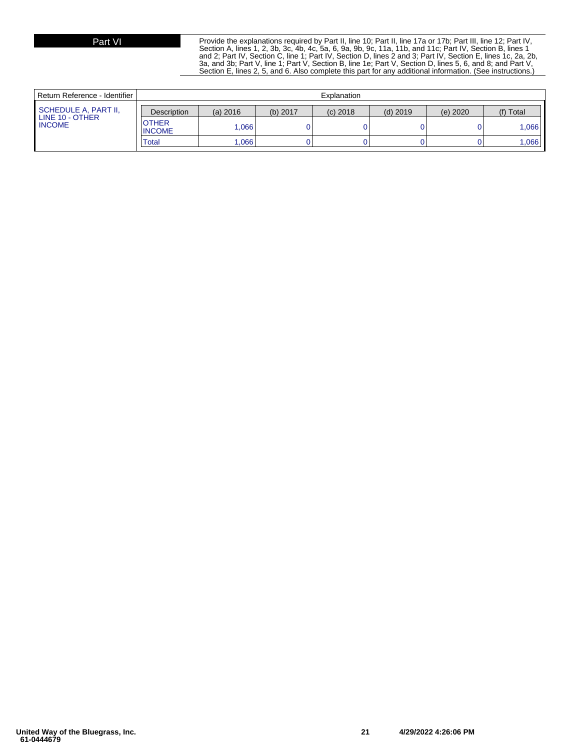Part VI Provide the explanations required by Part II, line 10; Part II, line 17a or 17b; Part III, line 12; Part IV, Section B, lines 1<br>Section A, lines 1, 2, 3b, 3c, 4b, 4c, 5a, 6, 9a, 9b, 9c, 11a, 11b, and 11c; Part IV, and 2; Part IV, Section C, line 1; Part IV, Section D, lines 2 and 3; Part IV, Section E, lines 1c, 2a, 2b, 3a, and 3b; Part V, line 1; Part V, Section B, line 1e; Part V, Section D, lines 5, 6, and 8; and Part V, Section E, lines 2, 5, and 6. Also complete this part for any additional information. (See instructions.)

| Return Reference - Identifier I  | Explanation                   |          |            |            |            |            |           |
|----------------------------------|-------------------------------|----------|------------|------------|------------|------------|-----------|
| SCHEDULE A, PART II,             | <b>Description</b>            | (a) 2016 | $(b)$ 2017 | $(c)$ 2018 | $(d)$ 2019 | $(e)$ 2020 | (f) Total |
| LINE 10 - OTHER<br><b>INCOME</b> | <b>OTHER</b><br><b>INCOME</b> | .066     |            |            |            |            | .066      |
|                                  | <b>Total</b>                  | ,066     |            |            |            |            | 0.066     |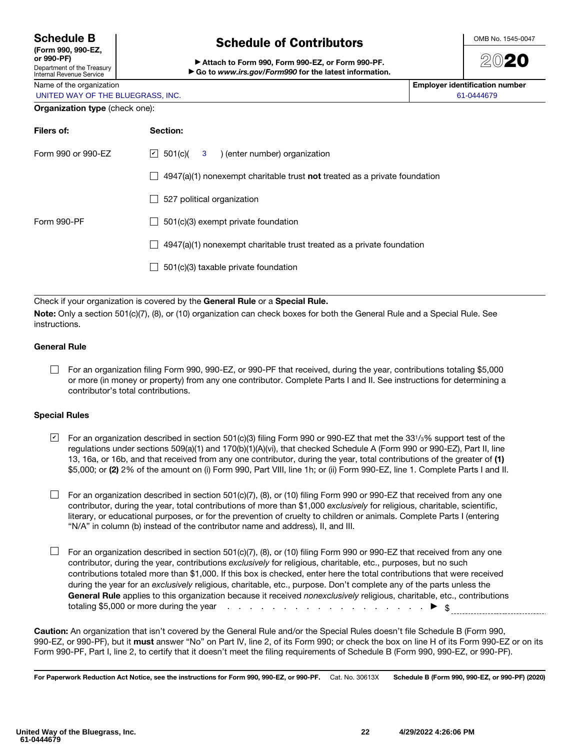### Schedule B

(Form 990, 990-EZ,  $\alpha$ r 990-PF)

### Department of the Treasury Internal Revenue Service

Name of the organization UNITED WAY OF THE BLUEGRASS, INC.

## Schedule of Contributors

▶ Attach to Form 990, Form 990-EZ, or Form 990-PF. ▶ Go to *www.irs.gov/Form990* for the latest information. OMB No. 1545-0047

2020

| <b>Employer identification number</b> |  |
|---------------------------------------|--|
| 61-0444679                            |  |

### Organization type (check one):

| Filers of:         | Section:                                                                    |
|--------------------|-----------------------------------------------------------------------------|
| Form 990 or 990-EZ | $ v $ 501(c)( 3) (enter number) organization                                |
|                    | $4947(a)(1)$ nonexempt charitable trust not treated as a private foundation |
|                    | 527 political organization                                                  |
| Form 990-PF        | 501(c)(3) exempt private foundation                                         |
|                    | 4947(a)(1) nonexempt charitable trust treated as a private foundation       |
|                    | 501(c)(3) taxable private foundation                                        |
|                    |                                                                             |

Check if your organization is covered by the General Rule or a Special Rule.

Note: Only a section 501(c)(7), (8), or (10) organization can check boxes for both the General Rule and a Special Rule. See instructions.

### General Rule

For an organization filing Form 990, 990-EZ, or 990-PF that received, during the year, contributions totaling \$5,000 or more (in money or property) from any one contributor. Complete Parts I and II. See instructions for determining a contributor's total contributions.

### Special Rules

 $\blacktrianglelefteq$  For an organization described in section 501(c)(3) filing Form 990 or 990-EZ that met the 331/3% support test of the regulations under sections 509(a)(1) and 170(b)(1)(A)(vi), that checked Schedule A (Form 990 or 990-EZ), Part II, line 13, 16a, or 16b, and that received from any one contributor, during the year, total contributions of the greater of (1) \$5,000; or (2) 2% of the amount on (i) Form 990, Part VIII, line 1h; or (ii) Form 990-EZ, line 1. Complete Parts I and II.

 $\Box$  For an organization described in section 501(c)(7), (8), or (10) filing Form 990 or 990-EZ that received from any one contributor, during the year, total contributions of more than \$1,000 *exclusively* for religious, charitable, scientific, literary, or educational purposes, or for the prevention of cruelty to children or animals. Complete Parts I (entering "N/A" in column (b) instead of the contributor name and address), II, and III.

 $\Box$  For an organization described in section 501(c)(7), (8), or (10) filing Form 990 or 990-EZ that received from any one contributor, during the year, contributions *exclusively* for religious, charitable, etc., purposes, but no such contributions totaled more than \$1,000. If this box is checked, enter here the total contributions that were received during the year for an *exclusively* religious, charitable, etc., purpose. Don't complete any of the parts unless the General Rule applies to this organization because it received *nonexclusively* religious, charitable, etc., contributions totaling \$5,000 or more during the year  $\cdots$  . . . . . . . . . . . . . . . . .  $\blacktriangleright \ \ \ \$$ 

Caution: An organization that isn't covered by the General Rule and/or the Special Rules doesn't file Schedule B (Form 990, 990-EZ, or 990-PF), but it must answer "No" on Part IV, line 2, of its Form 990; or check the box on line H of its Form 990-EZ or on its Form 990-PF, Part I, line 2, to certify that it doesn't meet the filing requirements of Schedule B (Form 990, 990-EZ, or 990-PF).

For Paperwork Reduction Act Notice, see the instructions for Form 990, 990-EZ, or 990-PF. Cat. No. 30613X Schedule B (Form 990, 990-EZ, or 990-PF) (2020)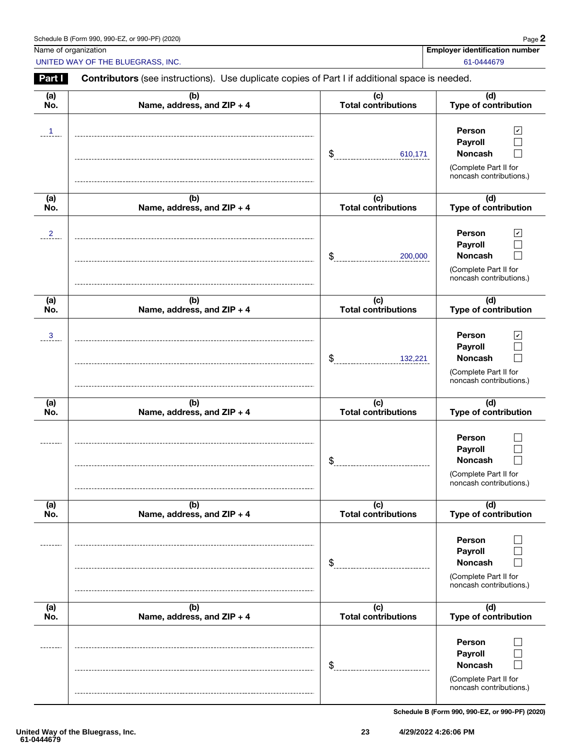| Schedule B (Form 990, 990-EZ, or 990-PF) (2020) | Page |
|-------------------------------------------------|------|
|-------------------------------------------------|------|

Name of organization **Employer identification number**  $\blacksquare$ 

UNITED WAY OF THE BLUEGRASS, INC. And the state of the state of the state of the state of the state of the state of the state of the state of the state of the state of the state of the state of the state of the state of th

Part I Contributors (see instructions). Use duplicate copies of Part I if additional space is needed.

| <u>Faru</u>     | <b>Contributors</b> (see instructions). Ose duplicate copies or Part I ii additional space is needed. |                                              |                                                                                                                              |
|-----------------|-------------------------------------------------------------------------------------------------------|----------------------------------------------|------------------------------------------------------------------------------------------------------------------------------|
| (a)<br>No.      | (b)<br>Name, address, and ZIP + 4                                                                     | (c)<br><b>Total contributions</b>            | (d)<br>Type of contribution                                                                                                  |
| $\overline{1}$  |                                                                                                       | \$<br>610,171                                | $\mathbf{v}$<br>Person<br>Payroll<br><b>Noncash</b><br>(Complete Part II for<br>noncash contributions.)                      |
| (a)<br>No.      | (b)<br>Name, address, and ZIP + 4                                                                     | (c)<br><b>Total contributions</b>            | (d)<br>Type of contribution                                                                                                  |
| $\frac{2}{\pi}$ |                                                                                                       | \$<br>200,000                                | Person<br>$\boldsymbol{\mathcal{C}}$<br>Payroll<br><b>Noncash</b><br>(Complete Part II for<br>noncash contributions.)        |
| (a)<br>No.      | (b)<br>Name, address, and ZIP + 4                                                                     | (c)<br><b>Total contributions</b>            | (d)<br>Type of contribution                                                                                                  |
| $\mathbf{3}$    |                                                                                                       | \$<br>132,221                                | $\overline{\mathbf{v}}$<br>Person<br>Payroll<br><b>Noncash</b><br>$\sim$<br>(Complete Part II for<br>noncash contributions.) |
| (a)<br>No.      | (b)<br>Name, address, and ZIP + 4                                                                     | (c)<br><b>Total contributions</b>            | (d)<br>Type of contribution                                                                                                  |
|                 |                                                                                                       | \$                                           | Person<br>Payroll<br><b>Noncash</b><br>(Complete Part II for<br>noncash contributions.)                                      |
| (a)<br>No.      | (b)<br>Name, address, and ZIP + 4                                                                     | $\overline{c}$<br><b>Total contributions</b> | (d)<br>Type of contribution                                                                                                  |
|                 |                                                                                                       | $\frac{1}{2}$                                | Person<br>Payroll<br><b>Noncash</b><br>(Complete Part II for<br>noncash contributions.)                                      |
| (a)<br>No.      | (b)<br>Name, address, and ZIP + 4                                                                     | (c)<br><b>Total contributions</b>            | (d)<br><b>Type of contribution</b>                                                                                           |
|                 |                                                                                                       | $\frac{1}{2}$                                | Person<br>Payroll<br><b>Noncash</b><br>(Complete Part II for<br>noncash contributions.)                                      |

Schedule B (Form 990, 990-EZ, or 990-PF) (2020)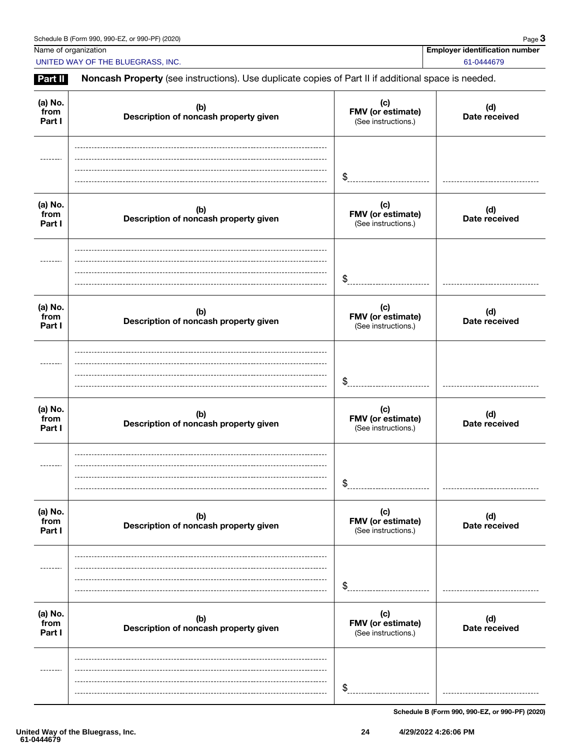UNITED WAY OF THE BLUEGRASS, INC. And the state of the state of the state of the state of the state of the state of the state of the state of the state of the state of the state of the state of the state of the state of th

Name of organization **Employer identification number**  $\blacksquare$ 

| (b)<br>Description of noncash property given | (c)<br>FMV (or estimate)<br>(See instructions.) | (d)<br>Date received                                                                                |
|----------------------------------------------|-------------------------------------------------|-----------------------------------------------------------------------------------------------------|
|                                              | $\frac{1}{2}$                                   |                                                                                                     |
| (b)<br>Description of noncash property given | (c)<br>FMV (or estimate)<br>(See instructions.) | (d)<br>Date received                                                                                |
|                                              | \$                                              |                                                                                                     |
| (b)<br>Description of noncash property given | (c)<br>FMV (or estimate)<br>(See instructions.) | (d)<br>Date received                                                                                |
|                                              | \$                                              |                                                                                                     |
| (b)<br>Description of noncash property given | (c)<br>FMV (or estimate)<br>(See instructions.) | (d)<br>Date received                                                                                |
|                                              | \$                                              |                                                                                                     |
| (b)<br>Description of noncash property given | (c)<br>FMV (or estimate)<br>(See instructions.) | (d)<br>Date received                                                                                |
|                                              | \$                                              |                                                                                                     |
| (b)<br>Description of noncash property given | (c)<br>FMV (or estimate)<br>(See instructions.) | (d)<br>Date received                                                                                |
|                                              | \$                                              |                                                                                                     |
|                                              |                                                 | Noncash Property (see instructions). Use duplicate copies of Part II if additional space is needed. |

Schedule B (Form 990, 990-EZ, or 990-PF) (2020)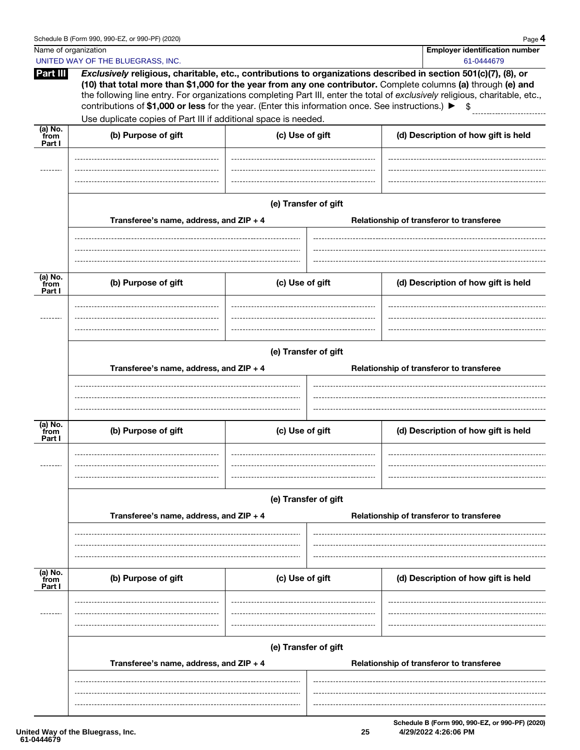|                                        | Schedule B (Form 990, 990-EZ, or 990-PF) (2020)                                                                       |                 |                      | Page 4                                                                                                                                                                                                                                                                                                                                                                   |
|----------------------------------------|-----------------------------------------------------------------------------------------------------------------------|-----------------|----------------------|--------------------------------------------------------------------------------------------------------------------------------------------------------------------------------------------------------------------------------------------------------------------------------------------------------------------------------------------------------------------------|
| Name of organization                   |                                                                                                                       |                 |                      | <b>Employer identification number</b>                                                                                                                                                                                                                                                                                                                                    |
|                                        | UNITED WAY OF THE BLUEGRASS, INC.                                                                                     |                 |                      | 61-0444679                                                                                                                                                                                                                                                                                                                                                               |
| Part III                               | contributions of \$1,000 or less for the year. (Enter this information once. See instructions.) $\blacktriangleright$ |                 |                      | Exclusively religious, charitable, etc., contributions to organizations described in section 501(c)(7), (8), or<br>(10) that total more than \$1,000 for the year from any one contributor. Complete columns (a) through (e) and<br>the following line entry. For organizations completing Part III, enter the total of exclusively religious, charitable, etc.,<br>- \$ |
|                                        | Use duplicate copies of Part III if additional space is needed.                                                       |                 |                      |                                                                                                                                                                                                                                                                                                                                                                          |
| $\overline{a}$ ) No.<br>from<br>Part I | (b) Purpose of gift                                                                                                   | (c) Use of gift |                      | (d) Description of how gift is held                                                                                                                                                                                                                                                                                                                                      |
|                                        |                                                                                                                       |                 |                      |                                                                                                                                                                                                                                                                                                                                                                          |
|                                        | Transferee's name, address, and ZIP + 4                                                                               |                 | (e) Transfer of gift | Relationship of transferor to transferee                                                                                                                                                                                                                                                                                                                                 |
|                                        |                                                                                                                       |                 |                      |                                                                                                                                                                                                                                                                                                                                                                          |
| (a) No.<br>from<br>Part I              | (b) Purpose of gift                                                                                                   | (c) Use of gift |                      | (d) Description of how gift is held                                                                                                                                                                                                                                                                                                                                      |
|                                        |                                                                                                                       |                 |                      |                                                                                                                                                                                                                                                                                                                                                                          |
|                                        |                                                                                                                       |                 | (e) Transfer of gift |                                                                                                                                                                                                                                                                                                                                                                          |
|                                        | Transferee's name, address, and ZIP + 4                                                                               |                 |                      | Relationship of transferor to transferee                                                                                                                                                                                                                                                                                                                                 |
|                                        |                                                                                                                       |                 |                      |                                                                                                                                                                                                                                                                                                                                                                          |
| (a) No.<br>from<br>Part I              | (b) Purpose of gift                                                                                                   | (c) Use of gift |                      | (d) Description of how gift is held                                                                                                                                                                                                                                                                                                                                      |
|                                        |                                                                                                                       |                 |                      |                                                                                                                                                                                                                                                                                                                                                                          |
|                                        |                                                                                                                       |                 | (e) Transfer of gift |                                                                                                                                                                                                                                                                                                                                                                          |
|                                        | Transferee's name, address, and ZIP + 4                                                                               |                 |                      | Relationship of transferor to transferee                                                                                                                                                                                                                                                                                                                                 |
|                                        |                                                                                                                       |                 |                      |                                                                                                                                                                                                                                                                                                                                                                          |
| (a) No.<br>from<br>Part I              | (b) Purpose of gift                                                                                                   | (c) Use of gift |                      | (d) Description of how gift is held                                                                                                                                                                                                                                                                                                                                      |
|                                        |                                                                                                                       |                 |                      |                                                                                                                                                                                                                                                                                                                                                                          |
|                                        |                                                                                                                       |                 | (e) Transfer of gift |                                                                                                                                                                                                                                                                                                                                                                          |
|                                        | Transferee's name, address, and ZIP + 4                                                                               |                 |                      | Relationship of transferor to transferee                                                                                                                                                                                                                                                                                                                                 |
|                                        |                                                                                                                       |                 |                      |                                                                                                                                                                                                                                                                                                                                                                          |
|                                        |                                                                                                                       |                 |                      |                                                                                                                                                                                                                                                                                                                                                                          |

Schedule B (Form 990, 990-EZ, or 990-PF) (2020) **25 4/29/2022 4:26:06 PM**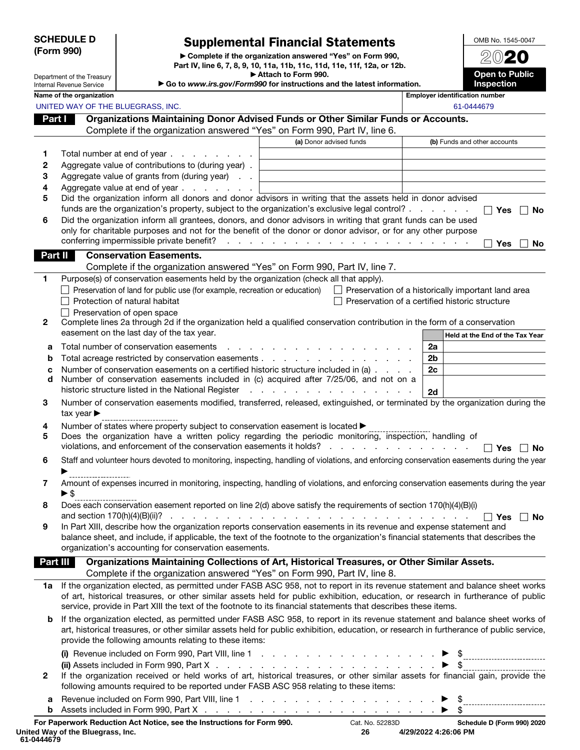### SCHEDULE D (Form 990)

Department of the Treasury Internal Revenue Service

## Supplemental Financial Statements

▶ Complete if the organization answered "Yes" on Form 990, Part IV, line 6, 7, 8, 9, 10, 11a, 11b, 11c, 11d, 11e, 11f, 12a, or 12b. ▶ Attach to Form 990.

▶ Go to *www.irs.gov/Form990* for instructions and the latest information.

Inspection

OMB No. 1545-0047 2020

Open to Public

|                 | Name of the organization                                                                                                                  |                                                                                                                                                                                                                               | <b>Employer identification number</b>                     |
|-----------------|-------------------------------------------------------------------------------------------------------------------------------------------|-------------------------------------------------------------------------------------------------------------------------------------------------------------------------------------------------------------------------------|-----------------------------------------------------------|
|                 | UNITED WAY OF THE BLUEGRASS, INC.                                                                                                         |                                                                                                                                                                                                                               | 61-0444679                                                |
| Part I          | Organizations Maintaining Donor Advised Funds or Other Similar Funds or Accounts.                                                         |                                                                                                                                                                                                                               |                                                           |
|                 | Complete if the organization answered "Yes" on Form 990, Part IV, line 6.                                                                 |                                                                                                                                                                                                                               |                                                           |
|                 |                                                                                                                                           | (a) Donor advised funds                                                                                                                                                                                                       | (b) Funds and other accounts                              |
| 1               | Total number at end of year.<br>and a state of the state of the                                                                           |                                                                                                                                                                                                                               |                                                           |
| 2               | Aggregate value of contributions to (during year).                                                                                        |                                                                                                                                                                                                                               |                                                           |
| 3               | Aggregate value of grants from (during year)                                                                                              |                                                                                                                                                                                                                               |                                                           |
| 4               | Aggregate value at end of year                                                                                                            |                                                                                                                                                                                                                               |                                                           |
| 5               | Did the organization inform all donors and donor advisors in writing that the assets held in donor advised                                |                                                                                                                                                                                                                               |                                                           |
|                 | funds are the organization's property, subject to the organization's exclusive legal control?                                             |                                                                                                                                                                                                                               | $\Box$ Yes<br>No                                          |
| 6               | Did the organization inform all grantees, donors, and donor advisors in writing that grant funds can be used                              |                                                                                                                                                                                                                               |                                                           |
|                 | only for charitable purposes and not for the benefit of the donor or donor advisor, or for any other purpose                              |                                                                                                                                                                                                                               |                                                           |
|                 | conferring impermissible private benefit?                                                                                                 | de la casa de la casa de la casa de la casa de la casa de la                                                                                                                                                                  | Yes<br>No                                                 |
| Part II         | <b>Conservation Easements.</b>                                                                                                            |                                                                                                                                                                                                                               |                                                           |
|                 | Complete if the organization answered "Yes" on Form 990, Part IV, line 7.                                                                 |                                                                                                                                                                                                                               |                                                           |
| 1               | Purpose(s) of conservation easements held by the organization (check all that apply).                                                     |                                                                                                                                                                                                                               |                                                           |
|                 | $\Box$ Preservation of land for public use (for example, recreation or education)                                                         |                                                                                                                                                                                                                               | $\Box$ Preservation of a historically important land area |
|                 | $\Box$ Protection of natural habitat                                                                                                      |                                                                                                                                                                                                                               | Preservation of a certified historic structure            |
|                 | $\Box$ Preservation of open space                                                                                                         |                                                                                                                                                                                                                               |                                                           |
| $\mathbf{2}$    | Complete lines 2a through 2d if the organization held a qualified conservation contribution in the form of a conservation                 |                                                                                                                                                                                                                               |                                                           |
|                 | easement on the last day of the tax year.                                                                                                 |                                                                                                                                                                                                                               | Held at the End of the Tax Year                           |
| а               | Total number of conservation easements<br>$\mathcal{L}^{\text{max}}$                                                                      | a construction of the construction of the construction of the construction of the construction of the construction of the construction of the construction of the construction of the construction of the construction of the | 2a                                                        |
| b               |                                                                                                                                           |                                                                                                                                                                                                                               | 2b                                                        |
| c               | Number of conservation easements on a certified historic structure included in (a)                                                        |                                                                                                                                                                                                                               | 2c                                                        |
| d               | Number of conservation easements included in (c) acquired after 7/25/06, and not on a                                                     |                                                                                                                                                                                                                               |                                                           |
|                 | historic structure listed in the National Register                                                                                        | and the company of the company of the                                                                                                                                                                                         | 2d                                                        |
| 3               | Number of conservation easements modified, transferred, released, extinguished, or terminated by the organization during the              |                                                                                                                                                                                                                               |                                                           |
|                 | tax year $\blacktriangleright$                                                                                                            |                                                                                                                                                                                                                               |                                                           |
| 4               | Number of states where property subject to conservation easement is located $\blacktriangleright$                                         |                                                                                                                                                                                                                               |                                                           |
| 5               | Does the organization have a written policy regarding the periodic monitoring, inspection, handling of                                    |                                                                                                                                                                                                                               |                                                           |
|                 |                                                                                                                                           |                                                                                                                                                                                                                               | ∣ ∣ Yes<br><b>No</b>                                      |
| 6               | Staff and volunteer hours devoted to monitoring, inspecting, handling of violations, and enforcing conservation easements during the year |                                                                                                                                                                                                                               |                                                           |
|                 |                                                                                                                                           |                                                                                                                                                                                                                               |                                                           |
| 7               | Amount of expenses incurred in monitoring, inspecting, handling of violations, and enforcing conservation easements during the year       |                                                                                                                                                                                                                               |                                                           |
|                 | $\blacktriangleright$ \$                                                                                                                  |                                                                                                                                                                                                                               |                                                           |
| 8               | Does each conservation easement reported on line 2(d) above satisfy the requirements of section 170(h)(4)(B)(i)                           |                                                                                                                                                                                                                               |                                                           |
|                 | and section 170(h)(4)(B)(ii)?                                                                                                             |                                                                                                                                                                                                                               | $\Box$ Yes $\Box$ No                                      |
| 9               | In Part XIII, describe how the organization reports conservation easements in its revenue and expense statement and                       |                                                                                                                                                                                                                               |                                                           |
|                 | balance sheet, and include, if applicable, the text of the footnote to the organization's financial statements that describes the         |                                                                                                                                                                                                                               |                                                           |
|                 | organization's accounting for conservation easements.                                                                                     |                                                                                                                                                                                                                               |                                                           |
| <b>Part III</b> | Organizations Maintaining Collections of Art, Historical Treasures, or Other Similar Assets.                                              |                                                                                                                                                                                                                               |                                                           |
|                 | Complete if the organization answered "Yes" on Form 990, Part IV, line 8.                                                                 |                                                                                                                                                                                                                               |                                                           |
|                 | 1a If the organization elected, as permitted under FASB ASC 958, not to report in its revenue statement and balance sheet works           |                                                                                                                                                                                                                               |                                                           |
|                 | of art, historical treasures, or other similar assets held for public exhibition, education, or research in furtherance of public         |                                                                                                                                                                                                                               |                                                           |
|                 | service, provide in Part XIII the text of the footnote to its financial statements that describes these items.                            |                                                                                                                                                                                                                               |                                                           |
| b               | If the organization elected, as permitted under FASB ASC 958, to report in its revenue statement and balance sheet works of               |                                                                                                                                                                                                                               |                                                           |
|                 | art, historical treasures, or other similar assets held for public exhibition, education, or research in furtherance of public service,   |                                                                                                                                                                                                                               |                                                           |
|                 | provide the following amounts relating to these items:                                                                                    |                                                                                                                                                                                                                               |                                                           |
|                 | (i) Revenue included on Form 990, Part VIII, line $1 \ldots \ldots \ldots \ldots \ldots \ldots \ldots$                                    |                                                                                                                                                                                                                               |                                                           |
|                 | (ii) Assets included in Form 990, Part X $\ldots$ $\ldots$ $\ldots$ $\ldots$ $\ldots$ $\ldots$ $\ldots$ $\ldots$ $\ldots$                 |                                                                                                                                                                                                                               | $\blacktriangleright$ \$                                  |
| 2               | If the organization received or held works of art, historical treasures, or other similar assets for financial gain, provide the          |                                                                                                                                                                                                                               |                                                           |
|                 | following amounts required to be reported under FASB ASC 958 relating to these items:                                                     |                                                                                                                                                                                                                               |                                                           |
| a               |                                                                                                                                           |                                                                                                                                                                                                                               |                                                           |
|                 |                                                                                                                                           |                                                                                                                                                                                                                               |                                                           |
|                 |                                                                                                                                           |                                                                                                                                                                                                                               |                                                           |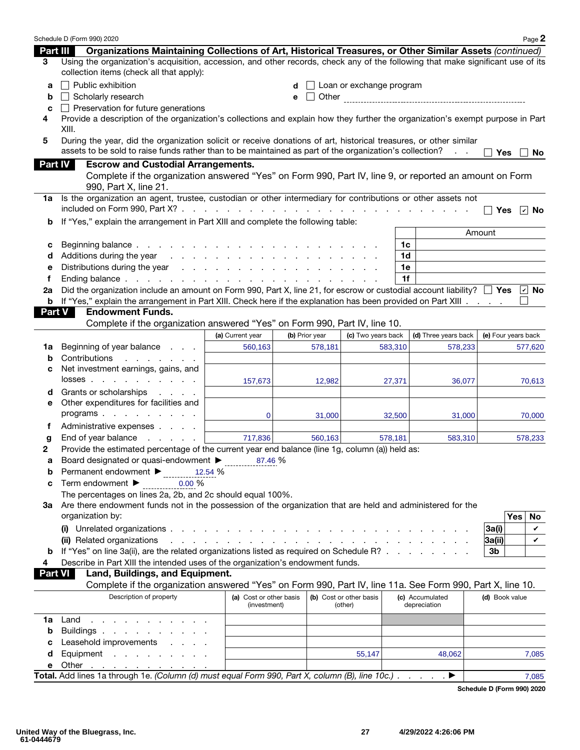|               | Schedule D (Form 990) 2020                                                                                                                                                  |                                                                                                                                                                                                                                |                |                          |         |                                 | Page 2                  |
|---------------|-----------------------------------------------------------------------------------------------------------------------------------------------------------------------------|--------------------------------------------------------------------------------------------------------------------------------------------------------------------------------------------------------------------------------|----------------|--------------------------|---------|---------------------------------|-------------------------|
| Part III      | Organizations Maintaining Collections of Art, Historical Treasures, or Other Similar Assets (continued)                                                                     |                                                                                                                                                                                                                                |                |                          |         |                                 |                         |
| 3             | Using the organization's acquisition, accession, and other records, check any of the following that make significant use of its<br>collection items (check all that apply): |                                                                                                                                                                                                                                |                |                          |         |                                 |                         |
| a             | $\Box$ Public exhibition                                                                                                                                                    |                                                                                                                                                                                                                                |                | Loan or exchange program |         |                                 |                         |
| b             | Scholarly research                                                                                                                                                          |                                                                                                                                                                                                                                | $\perp$<br>е   |                          |         |                                 |                         |
| C             | $\Box$ Preservation for future generations                                                                                                                                  |                                                                                                                                                                                                                                |                |                          |         |                                 |                         |
| 4             | Provide a description of the organization's collections and explain how they further the organization's exempt purpose in Part                                              |                                                                                                                                                                                                                                |                |                          |         |                                 |                         |
|               | XIII.                                                                                                                                                                       |                                                                                                                                                                                                                                |                |                          |         |                                 |                         |
| 5             | During the year, did the organization solicit or receive donations of art, historical treasures, or other similar                                                           |                                                                                                                                                                                                                                |                |                          |         |                                 |                         |
|               | assets to be sold to raise funds rather than to be maintained as part of the organization's collection?                                                                     |                                                                                                                                                                                                                                |                |                          |         |                                 | <b>Yes</b><br><b>No</b> |
| Part IV       | <b>Escrow and Custodial Arrangements.</b>                                                                                                                                   |                                                                                                                                                                                                                                |                |                          |         |                                 |                         |
|               | Complete if the organization answered "Yes" on Form 990, Part IV, line 9, or reported an amount on Form                                                                     |                                                                                                                                                                                                                                |                |                          |         |                                 |                         |
|               | 990, Part X, line 21.                                                                                                                                                       |                                                                                                                                                                                                                                |                |                          |         |                                 |                         |
| 1a            | Is the organization an agent, trustee, custodian or other intermediary for contributions or other assets not                                                                |                                                                                                                                                                                                                                |                |                          |         |                                 |                         |
|               |                                                                                                                                                                             |                                                                                                                                                                                                                                |                |                          |         |                                 | <b>Yes</b><br>∣r⊟No     |
| b             | If "Yes," explain the arrangement in Part XIII and complete the following table:                                                                                            |                                                                                                                                                                                                                                |                |                          |         |                                 |                         |
|               |                                                                                                                                                                             |                                                                                                                                                                                                                                |                |                          |         |                                 | Amount                  |
| с             | Beginning balance.                                                                                                                                                          | the contract of the contract of the contract of the contract of the contract of                                                                                                                                                |                |                          | 1c      |                                 |                         |
| d             | Additions during the year                                                                                                                                                   | in the contract of the contract of the contract of the contract of the contract of the contract of the contract of the contract of the contract of the contract of the contract of the contract of the contract of the contrac |                |                          | 1d      |                                 |                         |
| е             |                                                                                                                                                                             |                                                                                                                                                                                                                                |                |                          | 1e      |                                 |                         |
| f             | Ending balance $\cdots$ $\cdots$ $\cdots$ $\cdots$ $\cdots$ $\cdots$ $\cdots$                                                                                               |                                                                                                                                                                                                                                |                |                          | 1f      |                                 |                         |
| 2a            | Did the organization include an amount on Form 990, Part X, line 21, for escrow or custodial account liability? $\Box$ Yes $\Box$ No                                        |                                                                                                                                                                                                                                |                |                          |         |                                 |                         |
| <b>Part V</b> | <b>b</b> If "Yes," explain the arrangement in Part XIII. Check here if the explanation has been provided on Part XIII<br><b>Endowment Funds.</b>                            |                                                                                                                                                                                                                                |                |                          |         |                                 |                         |
|               | Complete if the organization answered "Yes" on Form 990, Part IV, line 10.                                                                                                  |                                                                                                                                                                                                                                |                |                          |         |                                 |                         |
|               |                                                                                                                                                                             | (a) Current year                                                                                                                                                                                                               | (b) Prior year | (c) Two years back       |         | (d) Three years back            | (e) Four years back     |
| 1a            | Beginning of year balance                                                                                                                                                   | 560,163                                                                                                                                                                                                                        | 578,181        |                          | 583,310 | 578,233                         | 577,620                 |
| b             | Contributions<br>and a state of the state of the                                                                                                                            |                                                                                                                                                                                                                                |                |                          |         |                                 |                         |
| с             | Net investment earnings, gains, and                                                                                                                                         |                                                                                                                                                                                                                                |                |                          |         |                                 |                         |
|               | $losses$                                                                                                                                                                    | 157,673                                                                                                                                                                                                                        | 12,982         |                          | 27,371  | 36,077                          | 70,613                  |
| d             | Grants or scholarships<br>and a state of                                                                                                                                    |                                                                                                                                                                                                                                |                |                          |         |                                 |                         |
| е             | Other expenditures for facilities and                                                                                                                                       |                                                                                                                                                                                                                                |                |                          |         |                                 |                         |
|               | programs                                                                                                                                                                    | $\Omega$                                                                                                                                                                                                                       | 31,000         |                          | 32,500  | 31,000                          | 70,000                  |
| Ť             | Administrative expenses                                                                                                                                                     |                                                                                                                                                                                                                                |                |                          |         |                                 |                         |
| g             | End of year balance<br>and a state of the state                                                                                                                             | 717,836                                                                                                                                                                                                                        | 560,163        |                          | 578,181 | 583,310                         | 578,233                 |
| 2             | Provide the estimated percentage of the current year end balance (line 1g, column (a)) held as:                                                                             |                                                                                                                                                                                                                                |                |                          |         |                                 |                         |
| а             | Board designated or quasi-endowment $\blacktriangleright$                                                                                                                   | 87.46 %                                                                                                                                                                                                                        |                |                          |         |                                 |                         |
| b             | Permanent endowment ▶ 12.54 %                                                                                                                                               |                                                                                                                                                                                                                                |                |                          |         |                                 |                         |
| c             | Term endowment ▶<br>0.00%                                                                                                                                                   |                                                                                                                                                                                                                                |                |                          |         |                                 |                         |
|               | The percentages on lines 2a, 2b, and 2c should equal 100%.                                                                                                                  |                                                                                                                                                                                                                                |                |                          |         |                                 |                         |
|               | 3a Are there endowment funds not in the possession of the organization that are held and administered for the                                                               |                                                                                                                                                                                                                                |                |                          |         |                                 |                         |
|               | organization by:                                                                                                                                                            |                                                                                                                                                                                                                                |                |                          |         |                                 | Yes<br>No               |
|               |                                                                                                                                                                             |                                                                                                                                                                                                                                |                |                          |         |                                 | 3a(i)<br>V              |
|               | (ii) Related organizations                                                                                                                                                  |                                                                                                                                                                                                                                |                |                          |         |                                 | 3a(i) <br>✓             |
| b             | If "Yes" on line 3a(ii), are the related organizations listed as required on Schedule R?                                                                                    |                                                                                                                                                                                                                                |                |                          |         |                                 | 3b                      |
| 4             | Describe in Part XIII the intended uses of the organization's endowment funds.                                                                                              |                                                                                                                                                                                                                                |                |                          |         |                                 |                         |
|               | Land, Buildings, and Equipment.<br><b>Part VI</b><br>Complete if the organization answered "Yes" on Form 990, Part IV, line 11a. See Form 990, Part X, line 10.             |                                                                                                                                                                                                                                |                |                          |         |                                 |                         |
|               | Description of property                                                                                                                                                     | (a) Cost or other basis                                                                                                                                                                                                        |                | (b) Cost or other basis  |         |                                 |                         |
|               |                                                                                                                                                                             | (investment)                                                                                                                                                                                                                   |                | (other)                  |         | (c) Accumulated<br>depreciation | (d) Book value          |
| 1a            | Land $\ldots$ , $\ldots$ , $\ldots$                                                                                                                                         |                                                                                                                                                                                                                                |                |                          |         |                                 |                         |
| b             | Buildings                                                                                                                                                                   |                                                                                                                                                                                                                                |                |                          |         |                                 |                         |
| с             | Leasehold improvements                                                                                                                                                      |                                                                                                                                                                                                                                |                |                          |         |                                 |                         |
| d             | Equipment                                                                                                                                                                   |                                                                                                                                                                                                                                |                | 55,147                   |         | 48,062                          | 7,085                   |
| е             | Other $\ldots$ $\ldots$ $\ldots$ $\ldots$                                                                                                                                   |                                                                                                                                                                                                                                |                |                          |         |                                 |                         |
|               | Total. Add lines 1a through 1e. (Column (d) must equal Form 990, Part X, column (B), line 10c.) ▶                                                                           |                                                                                                                                                                                                                                |                |                          |         |                                 | 7,085                   |

Schedule D (Form 990) 2020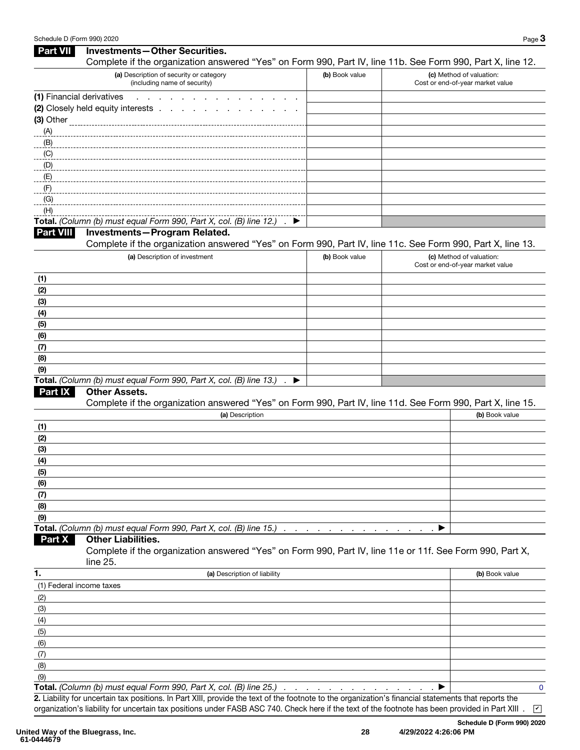| Complete if the organization answered "Yes" on Form 990, Part IV, line 11b. See Form 990, Part X, line 12.<br>(a) Description of security or category<br>(b) Book value<br>(c) Method of valuation:<br>(including name of security)<br>Cost or end-of-year market value<br>(1) Financial derivatives<br>and a state of the<br>(2) Closely held equity interests<br>$-E$<br>$-F$<br>(G)<br>(H)<br>Total. (Column (b) must equal Form 990, Part X, col. (B) line 12.) . ▶<br><b>Investments-Program Related.</b><br><b>Part VIII</b><br>Complete if the organization answered "Yes" on Form 990, Part IV, line 11c. See Form 990, Part X, line 13.<br>(a) Description of investment<br>(b) Book value<br>(c) Method of valuation:<br>Cost or end-of-year market value<br>(1)<br>(2)<br>(3)<br>(4)<br>(5)<br>(6)<br>(7)<br>(8)<br>(9)<br>Total. (Column (b) must equal Form 990, Part X, col. (B) line 13.) . ▶<br><b>Other Assets.</b><br>Part IX<br>Complete if the organization answered "Yes" on Form 990, Part IV, line 11d. See Form 990, Part X, line 15.<br>(a) Description<br>(b) Book value<br>(1)<br>(2)<br>(3)<br>(4)<br>(5)<br>(6)<br>(7)<br>(8)<br>(9)<br>Total. (Column (b) must equal Form 990, Part X, col. (B) line 15.)<br>$\sim$<br><b>Contract Contract</b><br>$\sim$<br><b>Other Liabilities.</b><br>Part X<br>Complete if the organization answered "Yes" on Form 990, Part IV, line 11e or 11f. See Form 990, Part X,<br>line 25.<br>1.<br>(a) Description of liability<br>(b) Book value<br>(1) Federal income taxes<br>(2)<br>(3)<br>(4)<br>(5)<br>(6)<br>(7)<br>(8)<br>(9)<br>Total. (Column (b) must equal Form 990, Part X, col. (B) line 25.).<br>$\mathbf 0$<br>2. Liability for uncertain tax positions. In Part XIII, provide the text of the footnote to the organization's financial statements that reports the | <b>Part VII</b> | <b>Investments-Other Securities.</b> |  |  |
|--------------------------------------------------------------------------------------------------------------------------------------------------------------------------------------------------------------------------------------------------------------------------------------------------------------------------------------------------------------------------------------------------------------------------------------------------------------------------------------------------------------------------------------------------------------------------------------------------------------------------------------------------------------------------------------------------------------------------------------------------------------------------------------------------------------------------------------------------------------------------------------------------------------------------------------------------------------------------------------------------------------------------------------------------------------------------------------------------------------------------------------------------------------------------------------------------------------------------------------------------------------------------------------------------------------------------------------------------------------------------------------------------------------------------------------------------------------------------------------------------------------------------------------------------------------------------------------------------------------------------------------------------------------------------------------------------------------------------------------------------------------------------------------------------------------------------------------------------|-----------------|--------------------------------------|--|--|
|                                                                                                                                                                                                                                                                                                                                                                                                                                                                                                                                                                                                                                                                                                                                                                                                                                                                                                                                                                                                                                                                                                                                                                                                                                                                                                                                                                                                                                                                                                                                                                                                                                                                                                                                                                                                                                                  |                 |                                      |  |  |
|                                                                                                                                                                                                                                                                                                                                                                                                                                                                                                                                                                                                                                                                                                                                                                                                                                                                                                                                                                                                                                                                                                                                                                                                                                                                                                                                                                                                                                                                                                                                                                                                                                                                                                                                                                                                                                                  |                 |                                      |  |  |
|                                                                                                                                                                                                                                                                                                                                                                                                                                                                                                                                                                                                                                                                                                                                                                                                                                                                                                                                                                                                                                                                                                                                                                                                                                                                                                                                                                                                                                                                                                                                                                                                                                                                                                                                                                                                                                                  |                 |                                      |  |  |
|                                                                                                                                                                                                                                                                                                                                                                                                                                                                                                                                                                                                                                                                                                                                                                                                                                                                                                                                                                                                                                                                                                                                                                                                                                                                                                                                                                                                                                                                                                                                                                                                                                                                                                                                                                                                                                                  |                 |                                      |  |  |
|                                                                                                                                                                                                                                                                                                                                                                                                                                                                                                                                                                                                                                                                                                                                                                                                                                                                                                                                                                                                                                                                                                                                                                                                                                                                                                                                                                                                                                                                                                                                                                                                                                                                                                                                                                                                                                                  |                 |                                      |  |  |
|                                                                                                                                                                                                                                                                                                                                                                                                                                                                                                                                                                                                                                                                                                                                                                                                                                                                                                                                                                                                                                                                                                                                                                                                                                                                                                                                                                                                                                                                                                                                                                                                                                                                                                                                                                                                                                                  | (A)             |                                      |  |  |
|                                                                                                                                                                                                                                                                                                                                                                                                                                                                                                                                                                                                                                                                                                                                                                                                                                                                                                                                                                                                                                                                                                                                                                                                                                                                                                                                                                                                                                                                                                                                                                                                                                                                                                                                                                                                                                                  | (B)             |                                      |  |  |
|                                                                                                                                                                                                                                                                                                                                                                                                                                                                                                                                                                                                                                                                                                                                                                                                                                                                                                                                                                                                                                                                                                                                                                                                                                                                                                                                                                                                                                                                                                                                                                                                                                                                                                                                                                                                                                                  | (C)             |                                      |  |  |
|                                                                                                                                                                                                                                                                                                                                                                                                                                                                                                                                                                                                                                                                                                                                                                                                                                                                                                                                                                                                                                                                                                                                                                                                                                                                                                                                                                                                                                                                                                                                                                                                                                                                                                                                                                                                                                                  | $\Box$ (D)      |                                      |  |  |
|                                                                                                                                                                                                                                                                                                                                                                                                                                                                                                                                                                                                                                                                                                                                                                                                                                                                                                                                                                                                                                                                                                                                                                                                                                                                                                                                                                                                                                                                                                                                                                                                                                                                                                                                                                                                                                                  |                 |                                      |  |  |
|                                                                                                                                                                                                                                                                                                                                                                                                                                                                                                                                                                                                                                                                                                                                                                                                                                                                                                                                                                                                                                                                                                                                                                                                                                                                                                                                                                                                                                                                                                                                                                                                                                                                                                                                                                                                                                                  |                 |                                      |  |  |
|                                                                                                                                                                                                                                                                                                                                                                                                                                                                                                                                                                                                                                                                                                                                                                                                                                                                                                                                                                                                                                                                                                                                                                                                                                                                                                                                                                                                                                                                                                                                                                                                                                                                                                                                                                                                                                                  |                 |                                      |  |  |
|                                                                                                                                                                                                                                                                                                                                                                                                                                                                                                                                                                                                                                                                                                                                                                                                                                                                                                                                                                                                                                                                                                                                                                                                                                                                                                                                                                                                                                                                                                                                                                                                                                                                                                                                                                                                                                                  |                 |                                      |  |  |
|                                                                                                                                                                                                                                                                                                                                                                                                                                                                                                                                                                                                                                                                                                                                                                                                                                                                                                                                                                                                                                                                                                                                                                                                                                                                                                                                                                                                                                                                                                                                                                                                                                                                                                                                                                                                                                                  |                 |                                      |  |  |
|                                                                                                                                                                                                                                                                                                                                                                                                                                                                                                                                                                                                                                                                                                                                                                                                                                                                                                                                                                                                                                                                                                                                                                                                                                                                                                                                                                                                                                                                                                                                                                                                                                                                                                                                                                                                                                                  |                 |                                      |  |  |
|                                                                                                                                                                                                                                                                                                                                                                                                                                                                                                                                                                                                                                                                                                                                                                                                                                                                                                                                                                                                                                                                                                                                                                                                                                                                                                                                                                                                                                                                                                                                                                                                                                                                                                                                                                                                                                                  |                 |                                      |  |  |
|                                                                                                                                                                                                                                                                                                                                                                                                                                                                                                                                                                                                                                                                                                                                                                                                                                                                                                                                                                                                                                                                                                                                                                                                                                                                                                                                                                                                                                                                                                                                                                                                                                                                                                                                                                                                                                                  |                 |                                      |  |  |
|                                                                                                                                                                                                                                                                                                                                                                                                                                                                                                                                                                                                                                                                                                                                                                                                                                                                                                                                                                                                                                                                                                                                                                                                                                                                                                                                                                                                                                                                                                                                                                                                                                                                                                                                                                                                                                                  |                 |                                      |  |  |
|                                                                                                                                                                                                                                                                                                                                                                                                                                                                                                                                                                                                                                                                                                                                                                                                                                                                                                                                                                                                                                                                                                                                                                                                                                                                                                                                                                                                                                                                                                                                                                                                                                                                                                                                                                                                                                                  |                 |                                      |  |  |
|                                                                                                                                                                                                                                                                                                                                                                                                                                                                                                                                                                                                                                                                                                                                                                                                                                                                                                                                                                                                                                                                                                                                                                                                                                                                                                                                                                                                                                                                                                                                                                                                                                                                                                                                                                                                                                                  |                 |                                      |  |  |
|                                                                                                                                                                                                                                                                                                                                                                                                                                                                                                                                                                                                                                                                                                                                                                                                                                                                                                                                                                                                                                                                                                                                                                                                                                                                                                                                                                                                                                                                                                                                                                                                                                                                                                                                                                                                                                                  |                 |                                      |  |  |
|                                                                                                                                                                                                                                                                                                                                                                                                                                                                                                                                                                                                                                                                                                                                                                                                                                                                                                                                                                                                                                                                                                                                                                                                                                                                                                                                                                                                                                                                                                                                                                                                                                                                                                                                                                                                                                                  |                 |                                      |  |  |
|                                                                                                                                                                                                                                                                                                                                                                                                                                                                                                                                                                                                                                                                                                                                                                                                                                                                                                                                                                                                                                                                                                                                                                                                                                                                                                                                                                                                                                                                                                                                                                                                                                                                                                                                                                                                                                                  |                 |                                      |  |  |
|                                                                                                                                                                                                                                                                                                                                                                                                                                                                                                                                                                                                                                                                                                                                                                                                                                                                                                                                                                                                                                                                                                                                                                                                                                                                                                                                                                                                                                                                                                                                                                                                                                                                                                                                                                                                                                                  |                 |                                      |  |  |
|                                                                                                                                                                                                                                                                                                                                                                                                                                                                                                                                                                                                                                                                                                                                                                                                                                                                                                                                                                                                                                                                                                                                                                                                                                                                                                                                                                                                                                                                                                                                                                                                                                                                                                                                                                                                                                                  |                 |                                      |  |  |
|                                                                                                                                                                                                                                                                                                                                                                                                                                                                                                                                                                                                                                                                                                                                                                                                                                                                                                                                                                                                                                                                                                                                                                                                                                                                                                                                                                                                                                                                                                                                                                                                                                                                                                                                                                                                                                                  |                 |                                      |  |  |
|                                                                                                                                                                                                                                                                                                                                                                                                                                                                                                                                                                                                                                                                                                                                                                                                                                                                                                                                                                                                                                                                                                                                                                                                                                                                                                                                                                                                                                                                                                                                                                                                                                                                                                                                                                                                                                                  |                 |                                      |  |  |
|                                                                                                                                                                                                                                                                                                                                                                                                                                                                                                                                                                                                                                                                                                                                                                                                                                                                                                                                                                                                                                                                                                                                                                                                                                                                                                                                                                                                                                                                                                                                                                                                                                                                                                                                                                                                                                                  |                 |                                      |  |  |
|                                                                                                                                                                                                                                                                                                                                                                                                                                                                                                                                                                                                                                                                                                                                                                                                                                                                                                                                                                                                                                                                                                                                                                                                                                                                                                                                                                                                                                                                                                                                                                                                                                                                                                                                                                                                                                                  |                 |                                      |  |  |
|                                                                                                                                                                                                                                                                                                                                                                                                                                                                                                                                                                                                                                                                                                                                                                                                                                                                                                                                                                                                                                                                                                                                                                                                                                                                                                                                                                                                                                                                                                                                                                                                                                                                                                                                                                                                                                                  |                 |                                      |  |  |
|                                                                                                                                                                                                                                                                                                                                                                                                                                                                                                                                                                                                                                                                                                                                                                                                                                                                                                                                                                                                                                                                                                                                                                                                                                                                                                                                                                                                                                                                                                                                                                                                                                                                                                                                                                                                                                                  |                 |                                      |  |  |
|                                                                                                                                                                                                                                                                                                                                                                                                                                                                                                                                                                                                                                                                                                                                                                                                                                                                                                                                                                                                                                                                                                                                                                                                                                                                                                                                                                                                                                                                                                                                                                                                                                                                                                                                                                                                                                                  |                 |                                      |  |  |
|                                                                                                                                                                                                                                                                                                                                                                                                                                                                                                                                                                                                                                                                                                                                                                                                                                                                                                                                                                                                                                                                                                                                                                                                                                                                                                                                                                                                                                                                                                                                                                                                                                                                                                                                                                                                                                                  |                 |                                      |  |  |
|                                                                                                                                                                                                                                                                                                                                                                                                                                                                                                                                                                                                                                                                                                                                                                                                                                                                                                                                                                                                                                                                                                                                                                                                                                                                                                                                                                                                                                                                                                                                                                                                                                                                                                                                                                                                                                                  |                 |                                      |  |  |
|                                                                                                                                                                                                                                                                                                                                                                                                                                                                                                                                                                                                                                                                                                                                                                                                                                                                                                                                                                                                                                                                                                                                                                                                                                                                                                                                                                                                                                                                                                                                                                                                                                                                                                                                                                                                                                                  |                 |                                      |  |  |
|                                                                                                                                                                                                                                                                                                                                                                                                                                                                                                                                                                                                                                                                                                                                                                                                                                                                                                                                                                                                                                                                                                                                                                                                                                                                                                                                                                                                                                                                                                                                                                                                                                                                                                                                                                                                                                                  |                 |                                      |  |  |
|                                                                                                                                                                                                                                                                                                                                                                                                                                                                                                                                                                                                                                                                                                                                                                                                                                                                                                                                                                                                                                                                                                                                                                                                                                                                                                                                                                                                                                                                                                                                                                                                                                                                                                                                                                                                                                                  |                 |                                      |  |  |
|                                                                                                                                                                                                                                                                                                                                                                                                                                                                                                                                                                                                                                                                                                                                                                                                                                                                                                                                                                                                                                                                                                                                                                                                                                                                                                                                                                                                                                                                                                                                                                                                                                                                                                                                                                                                                                                  |                 |                                      |  |  |
|                                                                                                                                                                                                                                                                                                                                                                                                                                                                                                                                                                                                                                                                                                                                                                                                                                                                                                                                                                                                                                                                                                                                                                                                                                                                                                                                                                                                                                                                                                                                                                                                                                                                                                                                                                                                                                                  |                 |                                      |  |  |
|                                                                                                                                                                                                                                                                                                                                                                                                                                                                                                                                                                                                                                                                                                                                                                                                                                                                                                                                                                                                                                                                                                                                                                                                                                                                                                                                                                                                                                                                                                                                                                                                                                                                                                                                                                                                                                                  |                 |                                      |  |  |
|                                                                                                                                                                                                                                                                                                                                                                                                                                                                                                                                                                                                                                                                                                                                                                                                                                                                                                                                                                                                                                                                                                                                                                                                                                                                                                                                                                                                                                                                                                                                                                                                                                                                                                                                                                                                                                                  |                 |                                      |  |  |
|                                                                                                                                                                                                                                                                                                                                                                                                                                                                                                                                                                                                                                                                                                                                                                                                                                                                                                                                                                                                                                                                                                                                                                                                                                                                                                                                                                                                                                                                                                                                                                                                                                                                                                                                                                                                                                                  |                 |                                      |  |  |
|                                                                                                                                                                                                                                                                                                                                                                                                                                                                                                                                                                                                                                                                                                                                                                                                                                                                                                                                                                                                                                                                                                                                                                                                                                                                                                                                                                                                                                                                                                                                                                                                                                                                                                                                                                                                                                                  |                 |                                      |  |  |
|                                                                                                                                                                                                                                                                                                                                                                                                                                                                                                                                                                                                                                                                                                                                                                                                                                                                                                                                                                                                                                                                                                                                                                                                                                                                                                                                                                                                                                                                                                                                                                                                                                                                                                                                                                                                                                                  |                 |                                      |  |  |
|                                                                                                                                                                                                                                                                                                                                                                                                                                                                                                                                                                                                                                                                                                                                                                                                                                                                                                                                                                                                                                                                                                                                                                                                                                                                                                                                                                                                                                                                                                                                                                                                                                                                                                                                                                                                                                                  |                 |                                      |  |  |
|                                                                                                                                                                                                                                                                                                                                                                                                                                                                                                                                                                                                                                                                                                                                                                                                                                                                                                                                                                                                                                                                                                                                                                                                                                                                                                                                                                                                                                                                                                                                                                                                                                                                                                                                                                                                                                                  |                 |                                      |  |  |
|                                                                                                                                                                                                                                                                                                                                                                                                                                                                                                                                                                                                                                                                                                                                                                                                                                                                                                                                                                                                                                                                                                                                                                                                                                                                                                                                                                                                                                                                                                                                                                                                                                                                                                                                                                                                                                                  |                 |                                      |  |  |
|                                                                                                                                                                                                                                                                                                                                                                                                                                                                                                                                                                                                                                                                                                                                                                                                                                                                                                                                                                                                                                                                                                                                                                                                                                                                                                                                                                                                                                                                                                                                                                                                                                                                                                                                                                                                                                                  |                 |                                      |  |  |
|                                                                                                                                                                                                                                                                                                                                                                                                                                                                                                                                                                                                                                                                                                                                                                                                                                                                                                                                                                                                                                                                                                                                                                                                                                                                                                                                                                                                                                                                                                                                                                                                                                                                                                                                                                                                                                                  |                 |                                      |  |  |
|                                                                                                                                                                                                                                                                                                                                                                                                                                                                                                                                                                                                                                                                                                                                                                                                                                                                                                                                                                                                                                                                                                                                                                                                                                                                                                                                                                                                                                                                                                                                                                                                                                                                                                                                                                                                                                                  |                 |                                      |  |  |
|                                                                                                                                                                                                                                                                                                                                                                                                                                                                                                                                                                                                                                                                                                                                                                                                                                                                                                                                                                                                                                                                                                                                                                                                                                                                                                                                                                                                                                                                                                                                                                                                                                                                                                                                                                                                                                                  |                 |                                      |  |  |
|                                                                                                                                                                                                                                                                                                                                                                                                                                                                                                                                                                                                                                                                                                                                                                                                                                                                                                                                                                                                                                                                                                                                                                                                                                                                                                                                                                                                                                                                                                                                                                                                                                                                                                                                                                                                                                                  |                 |                                      |  |  |
|                                                                                                                                                                                                                                                                                                                                                                                                                                                                                                                                                                                                                                                                                                                                                                                                                                                                                                                                                                                                                                                                                                                                                                                                                                                                                                                                                                                                                                                                                                                                                                                                                                                                                                                                                                                                                                                  |                 |                                      |  |  |

2. Liability for uncertain tax positions. In Part XIII, provide the text of the footnote to the organization's financial statements that reports the  $\alpha$ ganization's liability for uncertain tax positions under FASB ASC 740. Check here if the text of the footnote has been provided in Part XIII .  $\,$   $\,$   $\,$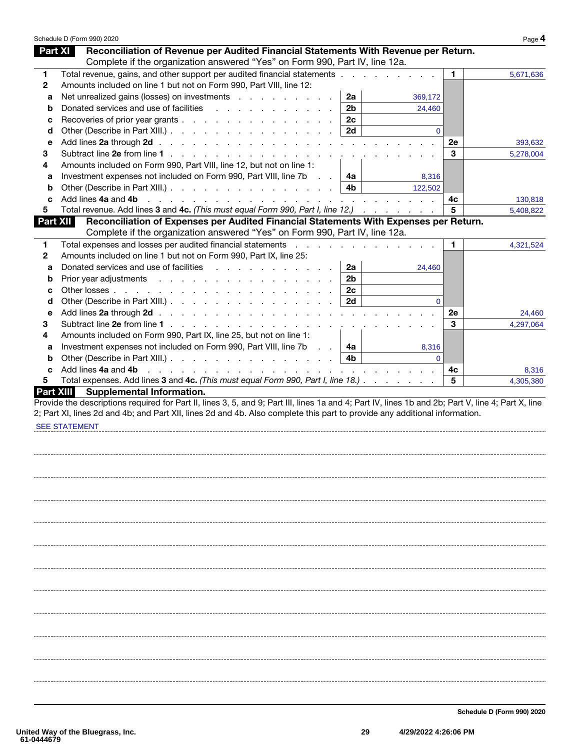|                  | Schedule D (Form 990) 2020                                                                                                                                                                                                                            |                  |          |         | Page 4    |
|------------------|-------------------------------------------------------------------------------------------------------------------------------------------------------------------------------------------------------------------------------------------------------|------------------|----------|---------|-----------|
| <b>Part XI</b>   | Reconciliation of Revenue per Audited Financial Statements With Revenue per Return.                                                                                                                                                                   |                  |          |         |           |
|                  | Complete if the organization answered "Yes" on Form 990, Part IV, line 12a.                                                                                                                                                                           |                  |          |         |           |
| 1                | Total revenue, gains, and other support per audited financial statements                                                                                                                                                                              |                  |          | 1.      | 5,671,636 |
| $\mathbf{2}$     | Amounts included on line 1 but not on Form 990, Part VIII, line 12:                                                                                                                                                                                   |                  |          |         |           |
| a                | Net unrealized gains (losses) on investments                                                                                                                                                                                                          | 2a               | 369,172  |         |           |
| b                | Donated services and use of facilities                                                                                                                                                                                                                | 2 <sub>b</sub>   | 24,460   |         |           |
| c                | Recoveries of prior year grants                                                                                                                                                                                                                       | 2c               |          |         |           |
| d                | Other (Describe in Part XIII.)                                                                                                                                                                                                                        | 2d               | $\Omega$ |         |           |
| е                |                                                                                                                                                                                                                                                       |                  |          | 2e      | 393,632   |
| 3                |                                                                                                                                                                                                                                                       |                  |          | 3       | 5,278,004 |
| 4                | Amounts included on Form 990, Part VIII, line 12, but not on line 1:                                                                                                                                                                                  |                  |          |         |           |
| а                | Investment expenses not included on Form 990, Part VIII, line 7b<br>$\mathcal{L}^{\text{max}}$                                                                                                                                                        | 4a               | 8,316    |         |           |
| b                |                                                                                                                                                                                                                                                       | 4b.              | 122,502  |         |           |
| c                | Add lines 4a and 4b<br>the contract of the contract of the contract of the contract of the contract of the contract of the contract of the contract of the contract of the contract of the contract of the contract of the contract of the contract o |                  |          | 4c      | 130,818   |
| 5                | Total revenue. Add lines 3 and 4c. (This must equal Form 990, Part I, line 12.)                                                                                                                                                                       |                  |          | 5       | 5,408,822 |
| <b>Part XII</b>  | Reconciliation of Expenses per Audited Financial Statements With Expenses per Return.                                                                                                                                                                 |                  |          |         |           |
|                  | Complete if the organization answered "Yes" on Form 990, Part IV, line 12a.                                                                                                                                                                           |                  |          |         |           |
| 1                | Total expenses and losses per audited financial statements                                                                                                                                                                                            |                  |          | 1.      | 4,321,524 |
| 2                | Amounts included on line 1 but not on Form 990, Part IX, line 25:                                                                                                                                                                                     |                  |          |         |           |
| a                | Donated services and use of facilities expansion of the services and use of facilities                                                                                                                                                                | 2a               | 24,460   |         |           |
| b                |                                                                                                                                                                                                                                                       | 2 <sub>b</sub>   |          |         |           |
| c                |                                                                                                                                                                                                                                                       | 2c               |          |         |           |
| d                | Other (Describe in Part XIII.)                                                                                                                                                                                                                        | 2d               | $\Omega$ |         |           |
|                  |                                                                                                                                                                                                                                                       |                  |          | 2e      |           |
| е                | Subtract line 2e from line 1                                                                                                                                                                                                                          |                  |          | 3       | 24,460    |
| 3                |                                                                                                                                                                                                                                                       | $\sim$ 10 $\sim$ |          |         | 4,297,064 |
| 4                | Amounts included on Form 990, Part IX, line 25, but not on line 1:                                                                                                                                                                                    |                  |          |         |           |
| а                | Investment expenses not included on Form 990, Part VIII, line 7b<br>$\mathcal{L}=\mathcal{L}$ .                                                                                                                                                       | 4a               | 8,316    |         |           |
| b                | Other (Describe in Part XIII.)                                                                                                                                                                                                                        | 4b               | $\Omega$ |         |           |
| c                | Add lines 4a and 4b<br>and the contract of the contract of the contract of the contract of the contract of the contract of the contract of the contract of the contract of the contract of the contract of the contract of the contract of the contra |                  |          | 4c<br>5 | 8,316     |
| 5                | Total expenses. Add lines 3 and 4c. (This must equal Form 990, Part I, line 18.)                                                                                                                                                                      |                  |          |         | 4,305,380 |
| <b>Part XIII</b> | <b>Supplemental Information.</b><br>Provide the descriptions required for Part II, lines 3, 5, and 9; Part III, lines 1a and 4; Part IV, lines 1b and 2b; Part V, line 4; Part X, line                                                                |                  |          |         |           |
|                  | 2; Part XI, lines 2d and 4b; and Part XII, lines 2d and 4b. Also complete this part to provide any additional information.                                                                                                                            |                  |          |         |           |
|                  |                                                                                                                                                                                                                                                       |                  |          |         |           |
|                  | <b>SEE STATEMENT</b>                                                                                                                                                                                                                                  |                  |          |         |           |
|                  |                                                                                                                                                                                                                                                       |                  |          |         |           |
|                  |                                                                                                                                                                                                                                                       |                  |          |         |           |
|                  |                                                                                                                                                                                                                                                       |                  |          |         |           |
|                  |                                                                                                                                                                                                                                                       |                  |          |         |           |
|                  |                                                                                                                                                                                                                                                       |                  |          |         |           |
|                  |                                                                                                                                                                                                                                                       |                  |          |         |           |
|                  |                                                                                                                                                                                                                                                       |                  |          |         |           |
|                  |                                                                                                                                                                                                                                                       |                  |          |         |           |
|                  |                                                                                                                                                                                                                                                       |                  |          |         |           |
|                  |                                                                                                                                                                                                                                                       |                  |          |         |           |
|                  |                                                                                                                                                                                                                                                       |                  |          |         |           |
|                  |                                                                                                                                                                                                                                                       |                  |          |         |           |
|                  |                                                                                                                                                                                                                                                       |                  |          |         |           |
|                  |                                                                                                                                                                                                                                                       |                  |          |         |           |
|                  |                                                                                                                                                                                                                                                       |                  |          |         |           |
|                  |                                                                                                                                                                                                                                                       |                  |          |         |           |
|                  |                                                                                                                                                                                                                                                       |                  |          |         |           |
|                  |                                                                                                                                                                                                                                                       |                  |          |         |           |
|                  |                                                                                                                                                                                                                                                       |                  |          |         |           |
|                  |                                                                                                                                                                                                                                                       |                  |          |         |           |
|                  |                                                                                                                                                                                                                                                       |                  |          |         |           |
|                  |                                                                                                                                                                                                                                                       |                  |          |         |           |
|                  |                                                                                                                                                                                                                                                       |                  |          |         |           |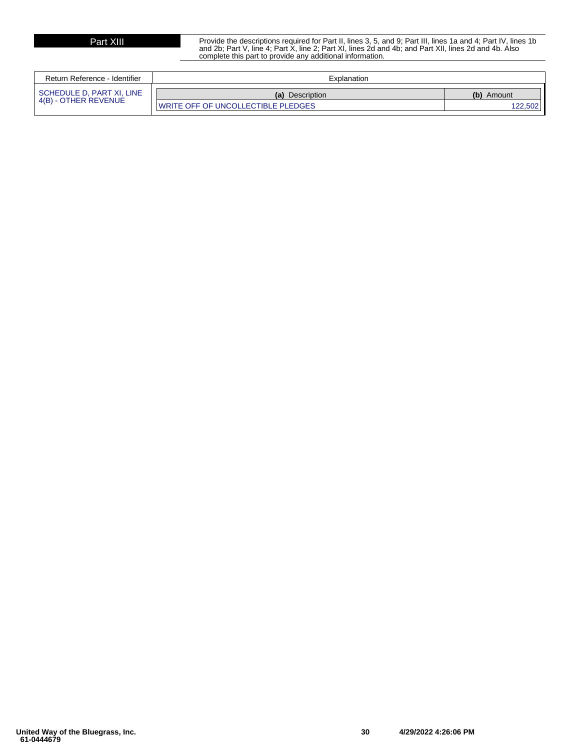Part XIII Provide the descriptions required for Part II, lines 3, 5, and 9; Part III, lines 1a and 4; Part IV, lines 1b<br>and 2b; Part V, line 4; Part X, line 2; Part XI, lines 2d and 4b; and Part XII, lines 2d and 4b. Also complete this part to provide any additional information.

| Return Reference - Identifier | Explanation                                |               |
|-------------------------------|--------------------------------------------|---------------|
| SCHEDULE D, PART XI, LINE     | (a) Description                            | (b)<br>Amount |
| 4(B) - OTHER REVENUE          | <b>IWRITE OFF OF UNCOLLECTIBLE PLEDGES</b> |               |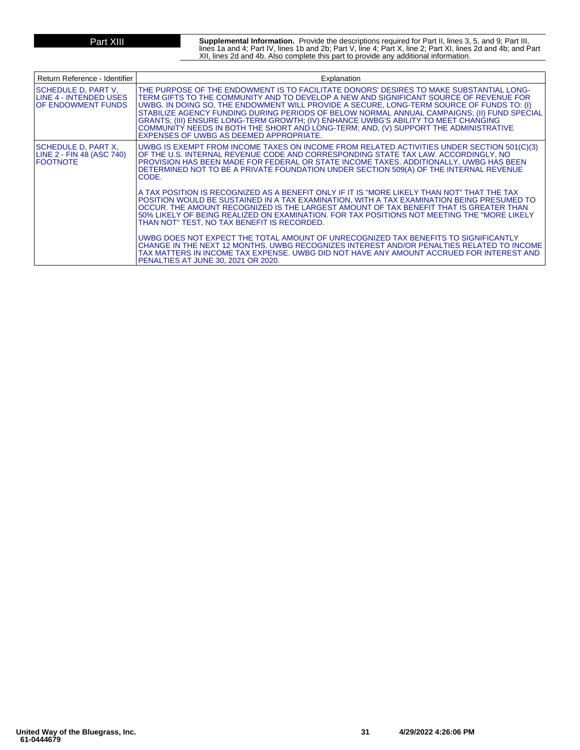**Part XIII** Supplemental Information. Provide the descriptions required for Part II, lines 3, 5, and 9; Part III,<br>lines 1a and 4; Part IV, lines 1b and 2b; Part V, line 4; Part X, line 2; Part XI, lines 2d and 4b; and Part XII, lines 2d and 4b. Also complete this part to provide any additional information.

| Return Reference - Identifier                                                       | Explanation                                                                                                                                                                                                                                                                                                                                                                                                                                                                                                                                                                                             |
|-------------------------------------------------------------------------------------|---------------------------------------------------------------------------------------------------------------------------------------------------------------------------------------------------------------------------------------------------------------------------------------------------------------------------------------------------------------------------------------------------------------------------------------------------------------------------------------------------------------------------------------------------------------------------------------------------------|
| <b>SCHEDULE D. PART V.</b><br>ILINE 4 - INTENDED USES<br><b>IOF ENDOWMENT FUNDS</b> | THE PURPOSE OF THE ENDOWMENT IS TO FACILITATE DONORS' DESIRES TO MAKE SUBSTANTIAL LONG-<br>TERM GIFTS TO THE COMMUNITY AND TO DEVELOP A NEW AND SIGNIFICANT SOURCE OF REVENUE FOR<br>UWBG. IN DOING SO, THE ENDOWMENT WILL PROVIDE A SECURE, LONG-TERM SOURCE OF FUNDS TO: (I)<br>STABILIZE AGENCY FUNDING DURING PERIODS OF BELOW NORMAL ANNUAL CAMPAIGNS; (II) FUND SPECIAL<br>GRANTS; (III) ENSURE LONG-TERM GROWTH; (IV) ENHANCE UWBG'S ABILITY TO MEET CHANGING<br>COMMUNITY NEEDS IN BOTH THE SHORT AND LONG-TERM; AND, (V) SUPPORT THE ADMINISTRATIVE<br>EXPENSES OF UWBG AS DEEMED APPROPRIATE. |
| SCHEDULE D, PART X,<br>LINE 2 - FIN 48 (ASC 740)<br><b>IFOOTNOTE</b>                | UWBG IS EXEMPT FROM INCOME TAXES ON INCOME FROM RELATED ACTIVITIES UNDER SECTION 501(C)(3)<br>OF THE U.S. INTERNAL REVENUE CODE AND CORRESPONDING STATE TAX LAW. ACCORDINGLY, NO<br>PROVISION HAS BEEN MADE FOR FEDERAL OR STATE INCOME TAXES. ADDITIONALLY, UWBG HAS BEEN<br>DETERMINED NOT TO BE A PRIVATE FOUNDATION UNDER SECTION 509(A) OF THE INTERNAL REVENUE<br>CODE.                                                                                                                                                                                                                           |
|                                                                                     | A TAX POSITION IS RECOGNIZED AS A BENEFIT ONLY IF IT IS "MORE LIKELY THAN NOT" THAT THE TAX<br>POSITION WOULD BE SUSTAINED IN A TAX EXAMINATION, WITH A TAX EXAMINATION BEING PRESUMED TO<br>OCCUR. THE AMOUNT RECOGNIZED IS THE LARGEST AMOUNT OF TAX BENEFIT THAT IS GREATER THAN<br>50% LIKELY OF BEING REALIZED ON EXAMINATION. FOR TAX POSITIONS NOT MEETING THE "MORE LIKELY<br>THAN NOT" TEST, NO TAX BENEFIT IS RECORDED.                                                                                                                                                                       |
|                                                                                     | UWBG DOES NOT EXPECT THE TOTAL AMOUNT OF UNRECOGNIZED TAX BENEFITS TO SIGNIFICANTLY<br>CHANGE IN THE NEXT 12 MONTHS, UWBG RECOGNIZES INTEREST AND/OR PENALTIES RELATED TO INCOME<br>TAX MATTERS IN INCOME TAX EXPENSE. UWBG DID NOT HAVE ANY AMOUNT ACCRUED FOR INTEREST AND<br>PENALTIES AT JUNE 30, 2021 OR 2020.                                                                                                                                                                                                                                                                                     |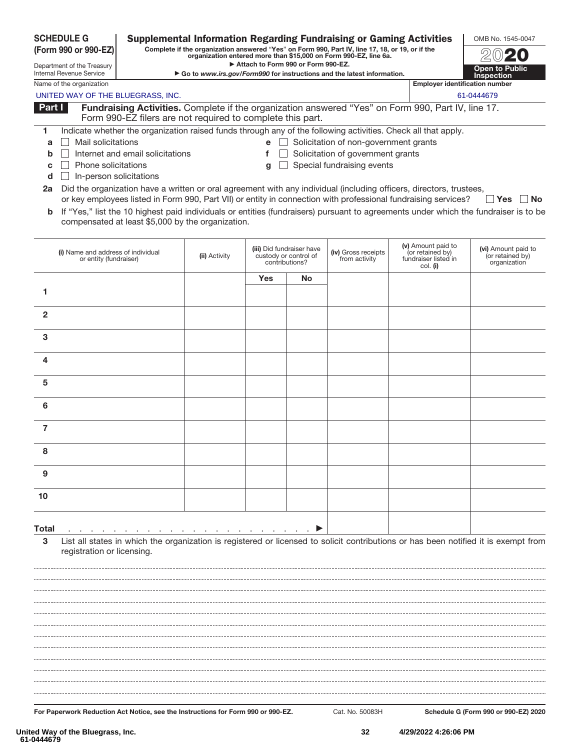|                | (Form 990 or 990-EZ)                                         |                                                            |               |                                    |                                                                      | Complete if the organization answered "Yes" on Form 990, Part IV, line 17, 18, or 19, or if the<br>organization entered more than \$15,000 on Form 990-EZ, line 6a. |                                                                                                                     |                                                                                                                                     |
|----------------|--------------------------------------------------------------|------------------------------------------------------------|---------------|------------------------------------|----------------------------------------------------------------------|---------------------------------------------------------------------------------------------------------------------------------------------------------------------|---------------------------------------------------------------------------------------------------------------------|-------------------------------------------------------------------------------------------------------------------------------------|
|                | Department of the Treasury<br>Internal Revenue Service       |                                                            |               | Attach to Form 990 or Form 990-EZ. |                                                                      | Go to www.irs.gov/Form990 for instructions and the latest information.                                                                                              |                                                                                                                     | <b>Open to Public</b><br><b>Inspection</b>                                                                                          |
|                | Name of the organization                                     |                                                            |               |                                    |                                                                      |                                                                                                                                                                     | <b>Employer identification number</b>                                                                               |                                                                                                                                     |
|                |                                                              | UNITED WAY OF THE BLUEGRASS, INC.                          |               |                                    |                                                                      |                                                                                                                                                                     |                                                                                                                     | 61-0444679                                                                                                                          |
| Part I         |                                                              | Form 990-EZ filers are not required to complete this part. |               |                                    |                                                                      |                                                                                                                                                                     | Fundraising Activities. Complete if the organization answered "Yes" on Form 990, Part IV, line 17.                  |                                                                                                                                     |
| 1              |                                                              |                                                            |               |                                    |                                                                      |                                                                                                                                                                     | Indicate whether the organization raised funds through any of the following activities. Check all that apply.       |                                                                                                                                     |
| a              | Mail solicitations                                           |                                                            |               |                                    |                                                                      | $\mathbf{e}$ Solicitation of non-government grants                                                                                                                  |                                                                                                                     |                                                                                                                                     |
| b              |                                                              | Internet and email solicitations                           |               | f                                  |                                                                      | Solicitation of government grants                                                                                                                                   |                                                                                                                     |                                                                                                                                     |
| C              | Phone solicitations                                          |                                                            |               | g                                  |                                                                      | Special fundraising events                                                                                                                                          |                                                                                                                     |                                                                                                                                     |
| d<br>2a        |                                                              | In-person solicitations                                    |               |                                    |                                                                      |                                                                                                                                                                     | Did the organization have a written or oral agreement with any individual (including officers, directors, trustees, |                                                                                                                                     |
|                |                                                              |                                                            |               |                                    |                                                                      |                                                                                                                                                                     | or key employees listed in Form 990, Part VII) or entity in connection with professional fundraising services?      | ∣ ∣Yes<br>∣No                                                                                                                       |
| b              |                                                              | compensated at least \$5,000 by the organization.          |               |                                    |                                                                      |                                                                                                                                                                     |                                                                                                                     | If "Yes," list the 10 highest paid individuals or entities (fundraisers) pursuant to agreements under which the fundraiser is to be |
|                | (i) Name and address of individual<br>or entity (fundraiser) |                                                            | (ii) Activity |                                    | (iii) Did fundraiser have<br>custody or control of<br>contributions? | (iv) Gross receipts<br>from activity                                                                                                                                | (v) Amount paid to<br>(or retained by)<br>fundraiser listed in<br>col. (i)                                          | (vi) Amount paid to<br>(or retained by)<br>organization                                                                             |
|                |                                                              |                                                            |               | Yes                                | No                                                                   |                                                                                                                                                                     |                                                                                                                     |                                                                                                                                     |
| 1              |                                                              |                                                            |               |                                    |                                                                      |                                                                                                                                                                     |                                                                                                                     |                                                                                                                                     |
| $\overline{2}$ |                                                              |                                                            |               |                                    |                                                                      |                                                                                                                                                                     |                                                                                                                     |                                                                                                                                     |
| 3              |                                                              |                                                            |               |                                    |                                                                      |                                                                                                                                                                     |                                                                                                                     |                                                                                                                                     |
| 4              |                                                              |                                                            |               |                                    |                                                                      |                                                                                                                                                                     |                                                                                                                     |                                                                                                                                     |
| 5              |                                                              |                                                            |               |                                    |                                                                      |                                                                                                                                                                     |                                                                                                                     |                                                                                                                                     |
| 6              |                                                              |                                                            |               |                                    |                                                                      |                                                                                                                                                                     |                                                                                                                     |                                                                                                                                     |
| $\overline{7}$ |                                                              |                                                            |               |                                    |                                                                      |                                                                                                                                                                     |                                                                                                                     |                                                                                                                                     |
| 8              |                                                              |                                                            |               |                                    |                                                                      |                                                                                                                                                                     |                                                                                                                     |                                                                                                                                     |
| 9              |                                                              |                                                            |               |                                    |                                                                      |                                                                                                                                                                     |                                                                                                                     |                                                                                                                                     |
| 10             |                                                              |                                                            |               |                                    |                                                                      |                                                                                                                                                                     |                                                                                                                     |                                                                                                                                     |
|                |                                                              |                                                            |               |                                    |                                                                      |                                                                                                                                                                     |                                                                                                                     |                                                                                                                                     |
| <b>Total</b>   |                                                              |                                                            |               | <b>Contract Contract</b>           | <b>Contract Contract</b>                                             |                                                                                                                                                                     |                                                                                                                     |                                                                                                                                     |
| 3              | registration or licensing.                                   |                                                            |               |                                    |                                                                      |                                                                                                                                                                     |                                                                                                                     | List all states in which the organization is registered or licensed to solicit contributions or has been notified it is exempt from |
|                |                                                              |                                                            |               |                                    |                                                                      |                                                                                                                                                                     |                                                                                                                     |                                                                                                                                     |
|                |                                                              |                                                            |               |                                    |                                                                      |                                                                                                                                                                     |                                                                                                                     |                                                                                                                                     |
|                |                                                              |                                                            |               |                                    |                                                                      |                                                                                                                                                                     |                                                                                                                     |                                                                                                                                     |
|                |                                                              |                                                            |               |                                    |                                                                      |                                                                                                                                                                     |                                                                                                                     |                                                                                                                                     |
|                |                                                              |                                                            |               |                                    |                                                                      |                                                                                                                                                                     |                                                                                                                     |                                                                                                                                     |
|                |                                                              |                                                            |               |                                    |                                                                      |                                                                                                                                                                     |                                                                                                                     |                                                                                                                                     |
|                |                                                              |                                                            |               |                                    |                                                                      |                                                                                                                                                                     |                                                                                                                     |                                                                                                                                     |
|                |                                                              |                                                            |               |                                    |                                                                      |                                                                                                                                                                     |                                                                                                                     |                                                                                                                                     |
|                |                                                              |                                                            |               |                                    |                                                                      |                                                                                                                                                                     |                                                                                                                     |                                                                                                                                     |
|                |                                                              |                                                            |               |                                    |                                                                      |                                                                                                                                                                     |                                                                                                                     |                                                                                                                                     |

**For Paperwork Reduction Act Notice, see the Instructions for Form 990 or 990-EZ.** Cat. No. 50083H **Schedule G (Form 990 or 990-EZ) 2020**

OMB No. 1545-0047

**SCHEDULE G (Form 990 or 990-EZ)**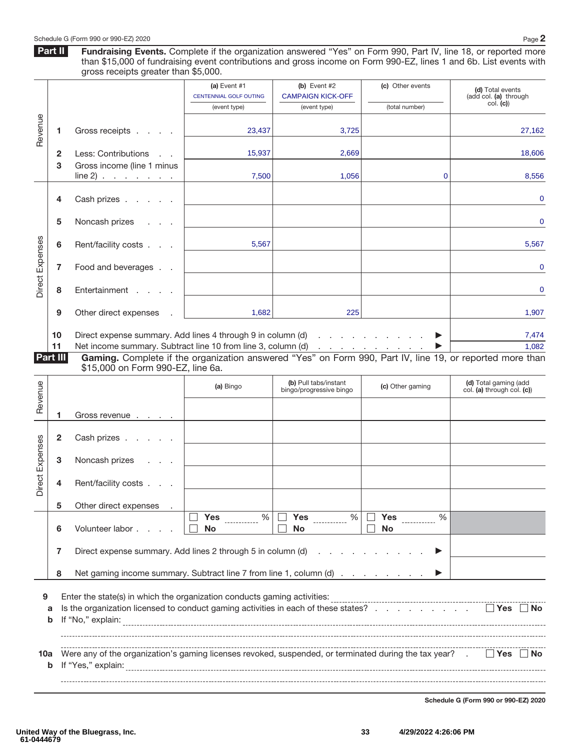Part II **Fundraising Events.** Complete if the organization answered "Yes" on Form 990, Part IV, line 18, or reported more than \$15,000 of fundraising event contributions and gross income on Form 990-EZ, lines 1 and 6b. List events with gross receipts greater than \$5,000.

|                 |                |                                                                                                                                                                          | (a) Event $#1$         | (b) Event $#2$                                   | (c) Other events | (d) Total events                                    |
|-----------------|----------------|--------------------------------------------------------------------------------------------------------------------------------------------------------------------------|------------------------|--------------------------------------------------|------------------|-----------------------------------------------------|
|                 |                |                                                                                                                                                                          | CENTENNIAL GOLF OUTING | <b>CAMPAIGN KICK-OFF</b>                         |                  | (add col. (a) through                               |
|                 |                |                                                                                                                                                                          | (event type)           | (event type)                                     | (total number)   | col. (c)                                            |
| Revenue         | 1.             | Gross receipts                                                                                                                                                           | 23,437                 | 3,725                                            |                  | 27,162                                              |
|                 | $\mathbf{2}$   | Less: Contributions                                                                                                                                                      | 15,937                 | 2,669                                            |                  | 18,606                                              |
|                 | 3              | Gross income (line 1 minus                                                                                                                                               |                        |                                                  |                  |                                                     |
|                 |                | line 2) $\cdots$ $\cdots$                                                                                                                                                | 7,500                  | 1,056                                            | 0                | 8,556                                               |
|                 |                |                                                                                                                                                                          |                        |                                                  |                  |                                                     |
|                 | 4              | Cash prizes                                                                                                                                                              |                        |                                                  |                  | 0                                                   |
|                 |                |                                                                                                                                                                          |                        |                                                  |                  |                                                     |
|                 | 5              | Noncash prizes<br><b>Contractor</b>                                                                                                                                      |                        |                                                  |                  | 0                                                   |
|                 |                |                                                                                                                                                                          |                        |                                                  |                  |                                                     |
| Direct Expenses | 6              | Rent/facility costs                                                                                                                                                      | 5,567                  |                                                  |                  | 5,567                                               |
|                 |                |                                                                                                                                                                          |                        |                                                  |                  |                                                     |
|                 | 7              | Food and beverages                                                                                                                                                       |                        |                                                  |                  | 0                                                   |
|                 |                |                                                                                                                                                                          |                        |                                                  |                  |                                                     |
|                 | 8              | Entertainment                                                                                                                                                            |                        |                                                  |                  | 0                                                   |
|                 |                |                                                                                                                                                                          |                        |                                                  |                  |                                                     |
|                 | 9              | Other direct expenses                                                                                                                                                    | 1,682                  | 225                                              |                  | 1,907                                               |
|                 |                |                                                                                                                                                                          |                        |                                                  |                  |                                                     |
|                 | 10             | Direct expense summary. Add lines 4 through 9 in column (d)                                                                                                              |                        |                                                  | ▶                | 7,474<br>1,082                                      |
|                 | 11<br>Part III | Net income summary. Subtract line 10 from line 3, column (d)<br>Gaming. Complete if the organization answered "Yes" on Form 990, Part IV, line 19, or reported more than |                        |                                                  |                  |                                                     |
|                 |                | \$15,000 on Form 990-EZ, line 6a.                                                                                                                                        |                        |                                                  |                  |                                                     |
|                 |                |                                                                                                                                                                          |                        |                                                  |                  |                                                     |
|                 |                |                                                                                                                                                                          | (a) Bingo              | (b) Pull tabs/instant<br>bingo/progressive bingo | (c) Other gaming | (d) Total gaming (add<br>col. (a) through col. (c)) |
|                 |                |                                                                                                                                                                          |                        |                                                  |                  |                                                     |
| Revenue         | 1              | Gross revenue                                                                                                                                                            |                        |                                                  |                  |                                                     |
|                 |                |                                                                                                                                                                          |                        |                                                  |                  |                                                     |
|                 | 2              | Cash prizes                                                                                                                                                              |                        |                                                  |                  |                                                     |
|                 |                |                                                                                                                                                                          |                        |                                                  |                  |                                                     |
|                 | З              | Noncash prizes                                                                                                                                                           |                        |                                                  |                  |                                                     |
|                 |                |                                                                                                                                                                          |                        |                                                  |                  |                                                     |
| Direct Expenses | 4              | Rent/facility costs                                                                                                                                                      |                        |                                                  |                  |                                                     |
|                 | 5              |                                                                                                                                                                          |                        |                                                  |                  |                                                     |
|                 |                | Other direct expenses                                                                                                                                                    | %<br><b>Yes</b>        | Yes<br>$\%$                                      | Yes<br>%         |                                                     |
|                 | 6              | Volunteer labor                                                                                                                                                          | <b>No</b>              | No                                               | <b>No</b>        |                                                     |
|                 |                |                                                                                                                                                                          |                        |                                                  |                  |                                                     |
|                 | 7              | Direct expense summary. Add lines 2 through 5 in column (d)                                                                                                              |                        | and a strategic and a strategic                  |                  |                                                     |
|                 |                |                                                                                                                                                                          |                        |                                                  |                  |                                                     |
|                 | 8              | Net gaming income summary. Subtract line 7 from line 1, column (d)                                                                                                       |                        |                                                  |                  |                                                     |
|                 |                |                                                                                                                                                                          |                        |                                                  |                  |                                                     |
| 9               |                | Enter the state(s) in which the organization conducts gaming activities:                                                                                                 |                        |                                                  |                  |                                                     |
|                 | а              | Is the organization licensed to conduct gaming activities in each of these states?                                                                                       |                        |                                                  |                  | $\Box$ Yes $\Box$ No                                |
|                 | b              |                                                                                                                                                                          |                        |                                                  |                  |                                                     |
|                 |                |                                                                                                                                                                          |                        |                                                  |                  |                                                     |
|                 |                |                                                                                                                                                                          |                        |                                                  |                  |                                                     |
| 10a             |                | Were any of the organization's gaming licenses revoked, suspended, or terminated during the tax year? .                                                                  |                        |                                                  |                  | $\Box$ Yes $\Box$ No                                |

**Schedule G (Form 990 or 990-EZ) 2020**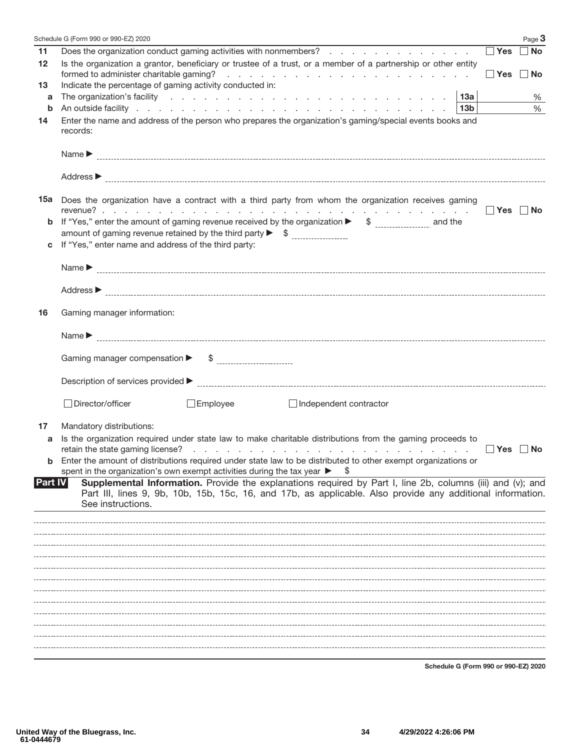|                | Schedule G (Form 990 or 990-EZ) 2020                                                                                                                                                                                                                                                                                           | Page 3    |
|----------------|--------------------------------------------------------------------------------------------------------------------------------------------------------------------------------------------------------------------------------------------------------------------------------------------------------------------------------|-----------|
| 11             | $\Box$ Yes<br>Does the organization conduct gaming activities with nonmembers?                                                                                                                                                                                                                                                 | $\Box$ No |
| 12             | Is the organization a grantor, beneficiary or trustee of a trust, or a member of a partnership or other entity<br>formed to administer charitable gaming?<br>the contract of the contract of the contract of the contract of the contract of<br>∣ ∣Yes                                                                         | ∣ ∣No     |
| 13             | Indicate the percentage of gaming activity conducted in:                                                                                                                                                                                                                                                                       |           |
| a              |                                                                                                                                                                                                                                                                                                                                | %         |
| b              | 13b                                                                                                                                                                                                                                                                                                                            | $\%$      |
| 14             | Enter the name and address of the person who prepares the organization's gaming/special events books and<br>records:                                                                                                                                                                                                           |           |
|                | Name $\blacktriangleright$                                                                                                                                                                                                                                                                                                     |           |
|                |                                                                                                                                                                                                                                                                                                                                |           |
|                | 15a Does the organization have a contract with a third party from whom the organization receives gaming                                                                                                                                                                                                                        |           |
|                | Yes   No                                                                                                                                                                                                                                                                                                                       |           |
| b              | If "Yes," enter the amount of gaming revenue received by the organization $\triangleright$ \$ ________________ and the                                                                                                                                                                                                         |           |
|                |                                                                                                                                                                                                                                                                                                                                |           |
| C              | If "Yes," enter name and address of the third party:                                                                                                                                                                                                                                                                           |           |
|                | Name $\blacktriangleright$                                                                                                                                                                                                                                                                                                     |           |
|                |                                                                                                                                                                                                                                                                                                                                |           |
| 16             | Gaming manager information:                                                                                                                                                                                                                                                                                                    |           |
|                | Name $\blacktriangleright$                                                                                                                                                                                                                                                                                                     |           |
|                | Gaming manager compensation $\blacktriangleright$<br>$\frac{1}{2}$                                                                                                                                                                                                                                                             |           |
|                |                                                                                                                                                                                                                                                                                                                                |           |
|                | $\Box$ Employee<br>□ Director/officer<br>Independent contractor                                                                                                                                                                                                                                                                |           |
| 17             | Mandatory distributions:                                                                                                                                                                                                                                                                                                       |           |
| a              | Is the organization required under state law to make charitable distributions from the gaming proceeds to<br>$\blacksquare$ Yes                                                                                                                                                                                                | ∣ ∣No     |
| b              | Enter the amount of distributions required under state law to be distributed to other exempt organizations or                                                                                                                                                                                                                  |           |
| <b>Part IV</b> | spent in the organization's own exempt activities during the tax year ▶<br>\$<br>Supplemental Information. Provide the explanations required by Part I, line 2b, columns (iii) and (v); and<br>Part III, lines 9, 9b, 10b, 15b, 15c, 16, and 17b, as applicable. Also provide any additional information.<br>See instructions. |           |
|                |                                                                                                                                                                                                                                                                                                                                |           |
|                |                                                                                                                                                                                                                                                                                                                                |           |
|                |                                                                                                                                                                                                                                                                                                                                |           |
|                |                                                                                                                                                                                                                                                                                                                                |           |
|                |                                                                                                                                                                                                                                                                                                                                |           |
|                |                                                                                                                                                                                                                                                                                                                                |           |
|                |                                                                                                                                                                                                                                                                                                                                |           |
|                |                                                                                                                                                                                                                                                                                                                                |           |
|                |                                                                                                                                                                                                                                                                                                                                |           |
|                |                                                                                                                                                                                                                                                                                                                                |           |
|                |                                                                                                                                                                                                                                                                                                                                |           |
|                |                                                                                                                                                                                                                                                                                                                                |           |

**Schedule G (Form 990 or 990-EZ) 2020**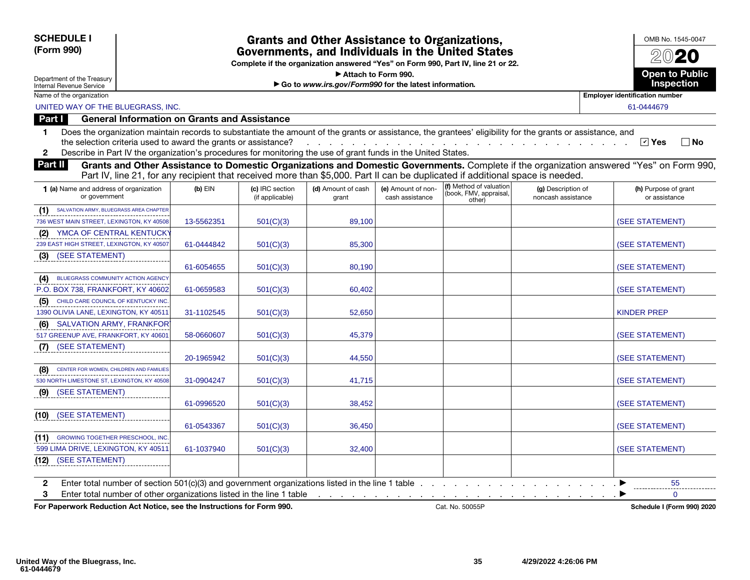### SCHEDULE I (Form 990)

### Grants and Other Assistance to Organizations, Governments, and Individuals in the United States

Complete if the organization answered "Yes" on Form 990, Part IV, line 21 or 22.

▶ Attach to Form 990.

▶ Go to *www.irs.gov/Form990* for the latest information*.*



 $\nabla$  Yes  $\Box$  No

OMB No. 1545-0047

Department of the Treasury Internal Revenue Service

UNITED WAY OF THE BLUEGRASS, INC. 61-0444679

Part I General Information on Grants and Assistance

| achorum in chius on ununcu unu Acciountu |                                                                                                                                                            |
|------------------------------------------|------------------------------------------------------------------------------------------------------------------------------------------------------------|
|                                          | Does the organization maintain records to substantiate the amount of the grants or assistance, the grantees' eligibility for the grants or assistance, and |

the selection criteria used to award the grants or assistance? . . . . . . . . . . . . . . . . . . . . . . . . . . . . . Yes No

2 Describe in Part IV the organization's procedures for monitoring the use of grant funds in the United States.

Part II Grants and Other Assistance to Domestic Organizations and Domestic Governments. Complete if the organization answered "Yes" on Form 990, Part IV, line 21, for any recipient that received more than \$5,000. Part II can be duplicated if additional space is needed.

| 1 (a) Name and address of organization<br>or government | $(b)$ EIN  | (c) IRC section<br>(if applicable) | (d) Amount of cash<br>grant | (e) Amount of non-<br>cash assistance | (f) Method of valuation<br>(book, FMV, appraisal,<br>other) | (g) Description of<br>noncash assistance | (h) Purpose of grant<br>or assistance |
|---------------------------------------------------------|------------|------------------------------------|-----------------------------|---------------------------------------|-------------------------------------------------------------|------------------------------------------|---------------------------------------|
| SALVATION ARMY, BLUEGRASS AREA CHAPTER                  |            |                                    |                             |                                       |                                                             |                                          |                                       |
| 736 WEST MAIN STREET, LEXINGTON, KY 40508               | 13-5562351 | 501(C)(3)                          | 89,100                      |                                       |                                                             |                                          | (SEE STATEMENT)                       |
| YMCA OF CENTRAL KENTUCKY<br>(2)                         |            |                                    |                             |                                       |                                                             |                                          |                                       |
| 239 EAST HIGH STREET, LEXINGTON, KY 40507               | 61-0444842 | 501(C)(3)                          | 85,300                      |                                       |                                                             |                                          | (SEE STATEMENT)                       |
| $(3)$ (SEE STATEMENT)                                   |            |                                    |                             |                                       |                                                             |                                          |                                       |
|                                                         | 61-6054655 | 501(C)(3)                          | 80,190                      |                                       |                                                             |                                          | (SEE STATEMENT)                       |
| BLUEGRASS COMMUNITY ACTION AGENCY<br>(4)                |            |                                    |                             |                                       |                                                             |                                          |                                       |
| P.O. BOX 738, FRANKFORT, KY 40602                       | 61-0659583 | 501(C)(3)                          | 60,402                      |                                       |                                                             |                                          | (SEE STATEMENT)                       |
| (5) CHILD CARE COUNCIL OF KENTUCKY INC.                 |            |                                    |                             |                                       |                                                             |                                          |                                       |
| 1390 OLIVIA LANE, LEXINGTON, KY 40511                   | 31-1102545 | 501(C)(3)                          | 52,650                      |                                       |                                                             |                                          | <b>KINDER PREP</b>                    |
| (6) SALVATION ARMY, FRANKFORT                           |            |                                    |                             |                                       |                                                             |                                          |                                       |
| 517 GREENUP AVE, FRANKFORT, KY 40601                    | 58-0660607 | 501(C)(3)                          | 45,379                      |                                       |                                                             |                                          | (SEE STATEMENT)                       |
| (SEE STATEMENT)<br>(7)                                  |            |                                    |                             |                                       |                                                             |                                          |                                       |
|                                                         | 20-1965942 | 501(C)(3)                          | 44,550                      |                                       |                                                             |                                          | (SEE STATEMENT)                       |
| (8) CENTER FOR WOMEN, CHILDREN AND FAMILIES             |            |                                    |                             |                                       |                                                             |                                          |                                       |
| 530 NORTH LIMESTONE ST. LEXINGTON, KY 40508             | 31-0904247 | 501(C)(3)                          | 41,715                      |                                       |                                                             |                                          | (SEE STATEMENT)                       |
| (9) (SEE STATEMENT)                                     |            |                                    |                             |                                       |                                                             |                                          |                                       |
|                                                         | 61-0996520 | 501(C)(3)                          | 38,452                      |                                       |                                                             |                                          | (SEE STATEMENT)                       |
| (SEE STATEMENT)<br>(10)                                 |            |                                    |                             |                                       |                                                             |                                          |                                       |
|                                                         | 61-0543367 | 501(C)(3)                          | 36,450                      |                                       |                                                             |                                          | (SEE STATEMENT)                       |
| <b>(11)</b> GROWING TOGETHER PRESCHOOL, INC.            |            |                                    |                             |                                       |                                                             |                                          |                                       |
| 599 LIMA DRIVE, LEXINGTON, KY 40511                     | 61-1037940 | 501(C)(3)                          | 32,400                      |                                       |                                                             |                                          | (SEE STATEMENT)                       |
| (12) (SEE STATEMENT)                                    |            |                                    |                             |                                       |                                                             |                                          |                                       |
|                                                         |            |                                    |                             |                                       |                                                             |                                          |                                       |
| 2                                                       |            |                                    |                             |                                       |                                                             | in a communication → D                   | 55                                    |
| 3                                                       |            |                                    |                             |                                       |                                                             |                                          | $\Omega$                              |

For Paperwork Reduction Act Notice, see the Instructions for Form 990. Cat. No. 50055P Schedule I (Form 990) 2020 Cat. No. 50055P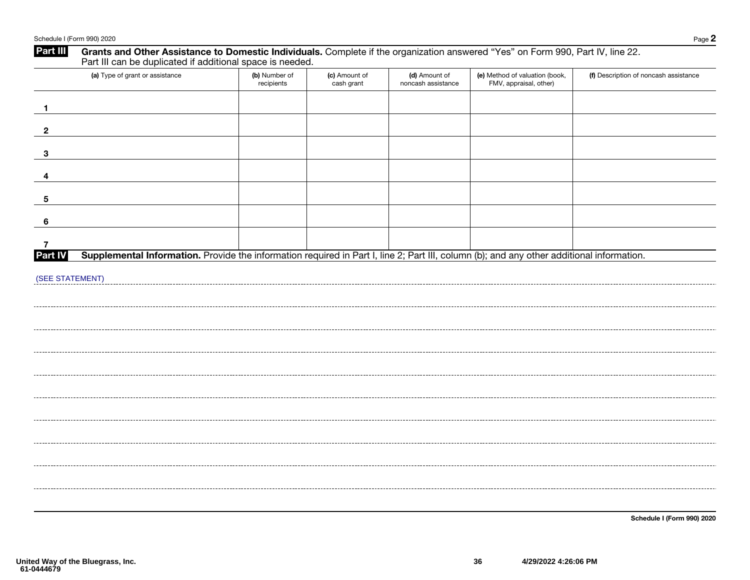| Part III        | Grants and Other Assistance to Domestic Individuals. Complete if the organization answered "Yes" on Form 990, Part IV, line 22.<br>Part III can be duplicated if additional space is needed. |                             |                             |                                     |                                                          |                                       |
|-----------------|----------------------------------------------------------------------------------------------------------------------------------------------------------------------------------------------|-----------------------------|-----------------------------|-------------------------------------|----------------------------------------------------------|---------------------------------------|
|                 | (a) Type of grant or assistance                                                                                                                                                              | (b) Number of<br>recipients | (c) Amount of<br>cash grant | (d) Amount of<br>noncash assistance | (e) Method of valuation (book,<br>FMV, appraisal, other) | (f) Description of noncash assistance |
| $\mathbf{1}$    |                                                                                                                                                                                              |                             |                             |                                     |                                                          |                                       |
| $\mathbf{2}$    |                                                                                                                                                                                              |                             |                             |                                     |                                                          |                                       |
| $\mathbf{3}$    |                                                                                                                                                                                              |                             |                             |                                     |                                                          |                                       |
| 4               |                                                                                                                                                                                              |                             |                             |                                     |                                                          |                                       |
| 5               |                                                                                                                                                                                              |                             |                             |                                     |                                                          |                                       |
| 6               |                                                                                                                                                                                              |                             |                             |                                     |                                                          |                                       |
| 7<br>Part IV    | Supplemental Information. Provide the information required in Part I, line 2; Part III, column (b); and any other additional information.                                                    |                             |                             |                                     |                                                          |                                       |
| (SEE STATEMENT) |                                                                                                                                                                                              |                             |                             |                                     |                                                          |                                       |
|                 |                                                                                                                                                                                              |                             |                             |                                     |                                                          |                                       |
|                 |                                                                                                                                                                                              |                             |                             |                                     |                                                          |                                       |
|                 |                                                                                                                                                                                              |                             |                             |                                     |                                                          |                                       |
|                 |                                                                                                                                                                                              |                             |                             |                                     |                                                          |                                       |
|                 |                                                                                                                                                                                              |                             |                             |                                     |                                                          |                                       |
|                 |                                                                                                                                                                                              |                             |                             |                                     |                                                          |                                       |
|                 |                                                                                                                                                                                              |                             |                             |                                     |                                                          |                                       |
|                 |                                                                                                                                                                                              |                             |                             |                                     |                                                          |                                       |
|                 |                                                                                                                                                                                              |                             |                             |                                     |                                                          |                                       |
|                 |                                                                                                                                                                                              |                             |                             |                                     |                                                          |                                       |
|                 |                                                                                                                                                                                              |                             |                             |                                     |                                                          | Schedule I (Form 990) 2020            |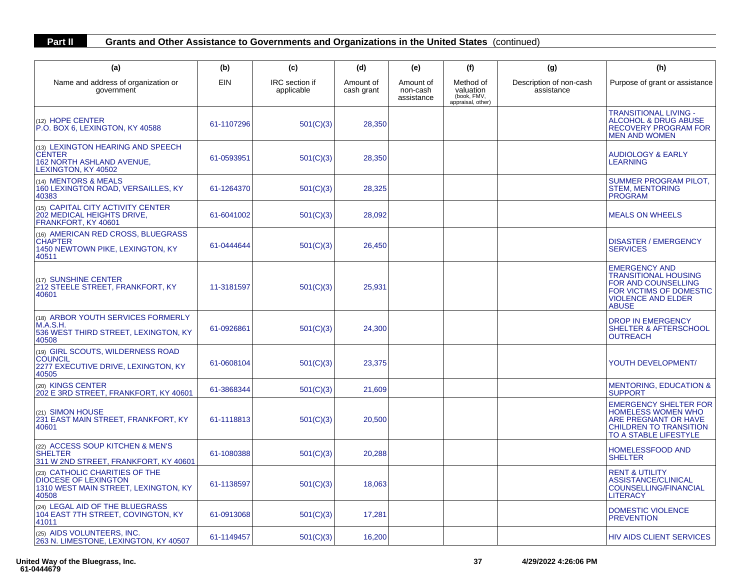### **Part II Grants and Other Assistance to Governments and Organizations in the United States** (continued)

| (a)                                                                                                            | (b)        | (c)                          | (d)                     | (e)                                 | (f)                                                        | (g)                                   | (h)                                                                                                                                                |
|----------------------------------------------------------------------------------------------------------------|------------|------------------------------|-------------------------|-------------------------------------|------------------------------------------------------------|---------------------------------------|----------------------------------------------------------------------------------------------------------------------------------------------------|
| Name and address of organization or<br>government                                                              | EIN        | IRC section if<br>applicable | Amount of<br>cash grant | Amount of<br>non-cash<br>assistance | Method of<br>valuation<br>(book, FMV,<br>appraisal, other) | Description of non-cash<br>assistance | Purpose of grant or assistance                                                                                                                     |
| (12) HOPE CENTER<br>P.O. BOX 6, LEXINGTON, KY 40588                                                            | 61-1107296 | 501(C)(3)                    | 28,350                  |                                     |                                                            |                                       | TRANSITIONAL LIVING -<br>ALCOHOL & DRUG ABUSE<br><b>RECOVERY PROGRAM FOR</b><br><b>MEN AND WOMEN</b>                                               |
| (13) LEXINGTON HEARING AND SPEECH<br><b>CENTER</b><br>162 NORTH ASHLAND AVENUE,<br>LEXINGTON, KY 40502         | 61-0593951 | 501(C)(3)                    | 28,350                  |                                     |                                                            |                                       | <b>AUDIOLOGY &amp; EARLY</b><br>LEARNING                                                                                                           |
| (14) MENTORS & MEALS<br>160 LEXINGTON ROAD, VERSAILLES, KY<br>40383                                            | 61-1264370 | 501(C)(3)                    | 28,325                  |                                     |                                                            |                                       | SUMMER PROGRAM PILOT,<br><b>STEM, MENTORING</b><br><b>PROGRAM</b>                                                                                  |
| (15) CAPITAL CITY ACTIVITY CENTER<br>202 MEDICAL HEIGHTS DRIVE,<br>FRANKFORT, KY 40601                         | 61-6041002 | 501(C)(3)                    | 28,092                  |                                     |                                                            |                                       | <b>MEALS ON WHEELS</b>                                                                                                                             |
| (16) AMERICAN RED CROSS, BLUEGRASS<br><b>CHAPTER</b><br>1450 NEWTOWN PIKE, LEXINGTON, KY<br>40511              | 61-0444644 | 501(C)(3)                    | 26,450                  |                                     |                                                            |                                       | <b>DISASTER / EMERGENCY</b><br><b>SERVICES</b>                                                                                                     |
| (17) SUNSHINE CENTER<br>212 STEELE STREET, FRANKFORT, KY<br>40601                                              | 11-3181597 | 501(C)(3)                    | 25,931                  |                                     |                                                            |                                       | <b>EMERGENCY AND</b><br><b>TRANSITIONAL HOUSING</b><br>FOR AND COUNSELLING<br>FOR VICTIMS OF DOMESTIC<br><b>VIOLENCE AND ELDER</b><br><b>ABUSE</b> |
| (18) ARBOR YOUTH SERVICES FORMERLY<br>M.A.S.H.<br>536 WEST THIRD STREET, LEXINGTON, KY<br>40508                | 61-0926861 | 501(C)(3)                    | 24,300                  |                                     |                                                            |                                       | <b>DROP IN EMERGENCY</b><br>SHELTER & AFTERSCHOOL<br><b>OUTREACH</b>                                                                               |
| (19) GIRL SCOUTS, WILDERNESS ROAD<br><b>COUNCIL</b><br>2277 EXECUTIVE DRIVE, LEXINGTON, KY<br>40505            | 61-0608104 | 501(C)(3)                    | 23,375                  |                                     |                                                            |                                       | YOUTH DEVELOPMENT/                                                                                                                                 |
| (20) KINGS CENTER<br>202 E 3RD STREET, FRANKFORT, KY 40601                                                     | 61-3868344 | 501(C)(3)                    | 21,609                  |                                     |                                                            |                                       | <b>MENTORING, EDUCATION &amp;</b><br><b>SUPPORT</b>                                                                                                |
| (21) SIMON HOUSE<br>231 EAST MAIN STREET, FRANKFORT, KY<br>40601                                               | 61-1118813 | 501(C)(3)                    | 20,500                  |                                     |                                                            |                                       | <b>EMERGENCY SHELTER FOR</b><br><b>HOMELESS WOMEN WHO</b><br>ARE PREGNANT OR HAVE<br><b>CHILDREN TO TRANSITION</b><br>TO A STABLE LIFESTYLE        |
| (22) ACCESS SOUP KITCHEN & MEN'S<br><b>SHELTER</b><br>311 W 2ND STREET, FRANKFORT, KY 40601                    | 61-1080388 | 501(C)(3)                    | 20,288                  |                                     |                                                            |                                       | <b>HOMELESSFOOD AND</b><br><b>SHELTER</b>                                                                                                          |
| (23) CATHOLIC CHARITIES OF THE<br><b>DIOCESE OF LEXINGTON</b><br>1310 WEST MAIN STREET, LEXINGTON, KY<br>40508 | 61-1138597 | 501(C)(3)                    | 18,063                  |                                     |                                                            |                                       | <b>RENT &amp; UTILITY</b><br>ASSISTANCE/CLINICAL<br><b>COUNSELLING/FINANCIAL</b><br><b>LITERACY</b>                                                |
| (24) LEGAL AID OF THE BLUEGRASS<br>104 EAST 7TH STREET, COVINGTON, KY<br>41011                                 | 61-0913068 | 501(C)(3)                    | 17,281                  |                                     |                                                            |                                       | <b>DOMESTIC VIOLENCE</b><br><b>PREVENTION</b>                                                                                                      |
| (25) AIDS VOLUNTEERS, INC.<br>263 N. LIMESTONE, LEXINGTON, KY 40507                                            | 61-1149457 | 501(C)(3)                    | 16,200                  |                                     |                                                            |                                       | <b>HIV AIDS CLIENT SERVICES</b>                                                                                                                    |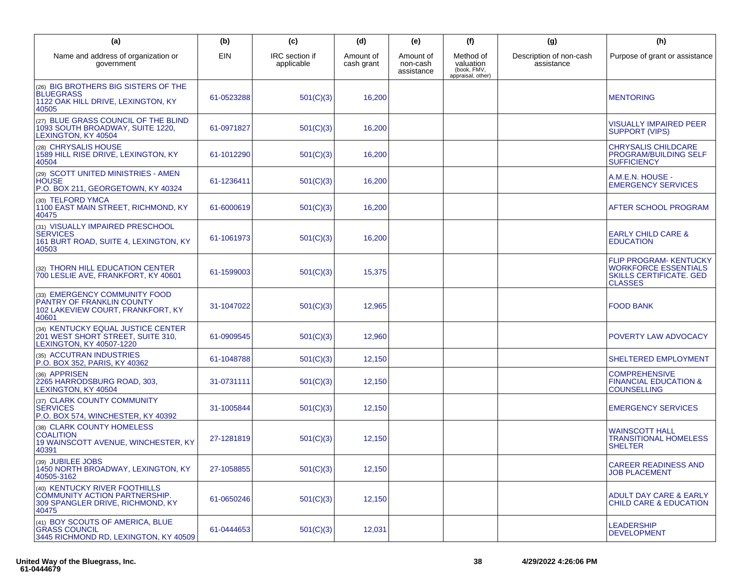| (a)                                                                                                                | (b)        | (c)                          | (d)                     | (e)                                 | (f)                                                        | (g)                                   | (h)                                                                                                       |
|--------------------------------------------------------------------------------------------------------------------|------------|------------------------------|-------------------------|-------------------------------------|------------------------------------------------------------|---------------------------------------|-----------------------------------------------------------------------------------------------------------|
| Name and address of organization or<br>government                                                                  | <b>EIN</b> | IRC section if<br>applicable | Amount of<br>cash grant | Amount of<br>non-cash<br>assistance | Method of<br>valuation<br>(book, FMV,<br>appraisal, other) | Description of non-cash<br>assistance | Purpose of grant or assistance                                                                            |
| (26) BIG BROTHERS BIG SISTERS OF THE<br><b>BLUEGRASS</b><br>1122 OAK HILL DRIVE, LEXINGTON, KY<br>40505            | 61-0523288 | 501(C)(3)                    | 16,200                  |                                     |                                                            |                                       | <b>MENTORING</b>                                                                                          |
| (27) BLUE GRASS COUNCIL OF THE BLIND<br>1093 SOUTH BROADWAY, SUITE 1220,<br>LEXINGTON, KY 40504                    | 61-0971827 | 501(C)(3)                    | 16,200                  |                                     |                                                            |                                       | <b>VISUALLY IMPAIRED PEER</b><br><b>SUPPORT (VIPS)</b>                                                    |
| (28) CHRYSALIS HOUSE<br>1589 HILL RISE DRIVE, LEXINGTON, KY<br>40504                                               | 61-1012290 | 501(C)(3)                    | 16,200                  |                                     |                                                            |                                       | <b>CHRYSALIS CHILDCARE</b><br><b>PROGRAM/BUILDING SELF</b><br><b>SUFFICIENCY</b>                          |
| (29) SCOTT UNITED MINISTRIES - AMEN<br><b>HOUSE</b><br>P.O. BOX 211, GEORGETOWN, KY 40324                          | 61-1236411 | 501(C)(3)                    | 16,200                  |                                     |                                                            |                                       | A.M.E.N. HOUSE -<br><b>EMERGENCY SERVICES</b>                                                             |
| (30) TELFORD YMCA<br>1100 EAST MAIN STREET, RICHMOND, KY<br>40475                                                  | 61-6000619 | 501(C)(3)                    | 16,200                  |                                     |                                                            |                                       | AFTER SCHOOL PROGRAM                                                                                      |
| (31) VISUALLY IMPAIRED PRESCHOOL<br><b>SERVICES</b><br>161 BURT ROAD, SUITE 4, LEXINGTON, KY<br>40503              | 61-1061973 | 501(C)(3)                    | 16,200                  |                                     |                                                            |                                       | <b>EARLY CHILD CARE &amp;</b><br><b>EDUCATION</b>                                                         |
| (32) THORN HILL EDUCATION CENTER<br>700 LESLIE AVE, FRANKFORT, KY 40601                                            | 61-1599003 | 501(C)(3)                    | 15,375                  |                                     |                                                            |                                       | FLIP PROGRAM- KENTUCKY<br><b>WORKFORCE ESSENTIALS</b><br><b>SKILLS CERTIFICATE. GED</b><br><b>CLASSES</b> |
| (33) EMERGENCY COMMUNITY FOOD<br>PANTRY OF FRANKLIN COUNTY<br>102 LAKEVIEW COURT, FRANKFORT, KY<br>40601           | 31-1047022 | 501(C)(3)                    | 12,965                  |                                     |                                                            |                                       | <b>FOOD BANK</b>                                                                                          |
| (34) KENTUCKY EQUAL JUSTICE CENTER<br>201 WEST SHORT STREET, SUITE 310,<br>LEXINGTON, KY 40507-1220                | 61-0909545 | 501(C)(3)                    | 12,960                  |                                     |                                                            |                                       | POVERTY LAW ADVOCACY                                                                                      |
| (35) ACCUTRAN INDUSTRIES<br>P.O. BOX 352, PARIS, KY 40362                                                          | 61-1048788 | 501(C)(3)                    | 12,150                  |                                     |                                                            |                                       | SHELTERED EMPLOYMENT                                                                                      |
| (36) APPRISEN<br>2265 HARRODSBURG ROAD, 303,<br>LEXINGTON, KY 40504                                                | 31-0731111 | 501(C)(3)                    | 12,150                  |                                     |                                                            |                                       | <b>COMPREHENSIVE</b><br><b>FINANCIAL EDUCATION &amp;</b><br><b>COUNSELLING</b>                            |
| (37) CLARK COUNTY COMMUNITY<br><b>SERVICES</b><br>P.O. BOX 574, WINCHESTER, KY 40392                               | 31-1005844 | 501(C)(3)                    | 12,150                  |                                     |                                                            |                                       | <b>EMERGENCY SERVICES</b>                                                                                 |
| (38) CLARK COUNTY HOMELESS<br><b>COALITION</b><br>19 WAINSCOTT AVENUE, WINCHESTER, KY<br>40391                     | 27-1281819 | 501(C)(3)                    | 12,150                  |                                     |                                                            |                                       | <b>WAINSCOTT HALL</b><br><b>TRANSITIONAL HOMELESS</b><br><b>SHELTER</b>                                   |
| (39) JUBILEE JOBS<br>1450 NORTH BROADWAY, LEXINGTON, KY<br>40505-3162                                              | 27-1058855 | 501(C)(3)                    | 12,150                  |                                     |                                                            |                                       | <b>CAREER READINESS AND</b><br><b>JOB PLACEMENT</b>                                                       |
| (40) KENTUCKY RIVER FOOTHILLS<br><b>COMMUNITY ACTION PARTNERSHIP.</b><br>309 SPANGLER DRIVE, RICHMOND, KY<br>40475 | 61-0650246 | 501(C)(3)                    | 12,150                  |                                     |                                                            |                                       | ADULT DAY CARE & EARLY<br><b>CHILD CARE &amp; EDUCATION</b>                                               |
| (41) BOY SCOUTS OF AMERICA, BLUE<br><b>GRASS COUNCIL</b><br>3445 RICHMOND RD. LEXINGTON, KY 40509                  | 61-0444653 | 501(C)(3)                    | 12,031                  |                                     |                                                            |                                       | <b>LEADERSHIP</b><br><b>DEVELOPMENT</b>                                                                   |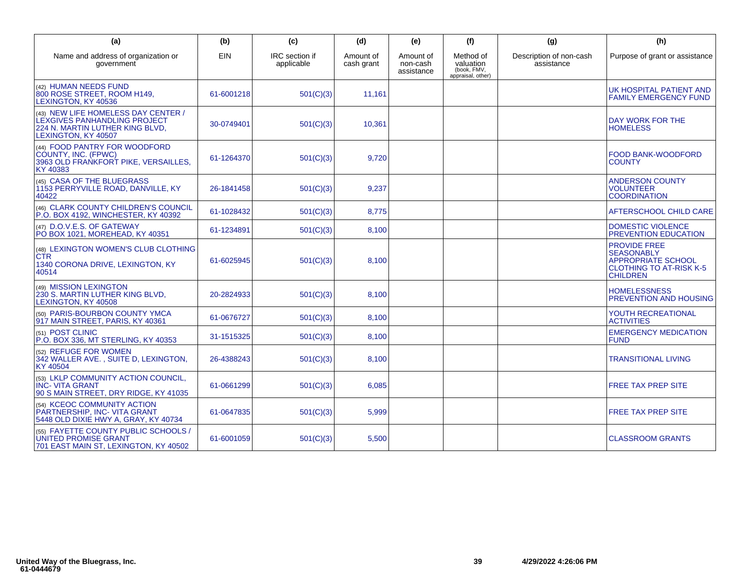| (a)                                                                                                                                  | (b)        | (c)                          | (d)                     | (e)                                 | (f)                                                        | (g)                                   | (h)                                                                                                                        |
|--------------------------------------------------------------------------------------------------------------------------------------|------------|------------------------------|-------------------------|-------------------------------------|------------------------------------------------------------|---------------------------------------|----------------------------------------------------------------------------------------------------------------------------|
| Name and address of organization or<br>government                                                                                    | <b>EIN</b> | IRC section if<br>applicable | Amount of<br>cash grant | Amount of<br>non-cash<br>assistance | Method of<br>valuation<br>(book, FMV,<br>appraisal, other) | Description of non-cash<br>assistance | Purpose of grant or assistance                                                                                             |
| (42) HUMAN NEEDS FUND<br>800 ROSE STREET, ROOM H149,<br>LEXINGTON, KY 40536                                                          | 61-6001218 | 501(C)(3)                    | 11,161                  |                                     |                                                            |                                       | UK HOSPITAL PATIENT AND<br><b>FAMILY EMERGENCY FUND</b>                                                                    |
| (43) NEW LIFE HOMELESS DAY CENTER /<br><b>LEXGIVES PANHANDLING PROJECT</b><br>224 N. MARTIN LUTHER KING BLVD,<br>LEXINGTON, KY 40507 | 30-0749401 | 501(C)(3)                    | 10,361                  |                                     |                                                            |                                       | DAY WORK FOR THE<br><b>HOMELESS</b>                                                                                        |
| (44) FOOD PANTRY FOR WOODFORD<br>COUNTY, INC. (FPWC)<br>3963 OLD FRANKFORT PIKE, VERSAILLES.<br>KY 40383                             | 61-1264370 | 501(C)(3)                    | 9.720                   |                                     |                                                            |                                       | <b>FOOD BANK-WOODFORD</b><br><b>COUNTY</b>                                                                                 |
| (45) CASA OF THE BLUEGRASS<br>1153 PERRYVILLE ROAD, DANVILLE, KY<br>40422                                                            | 26-1841458 | 501(C)(3)                    | 9,237                   |                                     |                                                            |                                       | <b>ANDERSON COUNTY</b><br><b>VOLUNTEER</b><br><b>COORDINATION</b>                                                          |
| (46) CLARK COUNTY CHILDREN'S COUNCIL<br>P.O. BOX 4192, WINCHESTER, KY 40392                                                          | 61-1028432 | 501(C)(3)                    | 8,775                   |                                     |                                                            |                                       | AFTERSCHOOL CHILD CARE                                                                                                     |
| (47) D.O.V.E.S. OF GATEWAY<br>PO BOX 1021. MOREHEAD. KY 40351                                                                        | 61-1234891 | 501(C)(3)                    | 8,100                   |                                     |                                                            |                                       | <b>DOMESTIC VIOLENCE</b><br><b>PREVENTION EDUCATION</b>                                                                    |
| (48) LEXINGTON WOMEN'S CLUB CLOTHING<br><b>CTR</b><br>1340 CORONA DRIVE, LEXINGTON, KY<br>40514                                      | 61-6025945 | 501(C)(3)                    | 8,100                   |                                     |                                                            |                                       | <b>PROVIDE FREE</b><br><b>SEASONABLY</b><br><b>APPROPRIATE SCHOOL</b><br><b>CLOTHING TO AT-RISK K-5</b><br><b>CHILDREN</b> |
| (49) MISSION LEXINGTON<br>230 S. MARTIN LUTHER KING BLVD,<br><b>LEXINGTON, KY 40508</b>                                              | 20-2824933 | 501(C)(3)                    | 8,100                   |                                     |                                                            |                                       | <b>HOMELESSNESS</b><br><b>PREVENTION AND HOUSING</b>                                                                       |
| (50) PARIS-BOURBON COUNTY YMCA<br>917 MAIN STREET, PARIS, KY 40361                                                                   | 61-0676727 | 501(C)(3)                    | 8,100                   |                                     |                                                            |                                       | YOUTH RECREATIONAL<br><b>ACTIVITIES</b>                                                                                    |
| (51) POST CLINIC<br>P.O. BOX 336, MT STERLING, KY 40353                                                                              | 31-1515325 | 501(C)(3)                    | 8,100                   |                                     |                                                            |                                       | <b>EMERGENCY MEDICATION</b><br><b>FUND</b>                                                                                 |
| (52) REFUGE FOR WOMEN<br>342 WALLER AVE., SUITE D, LEXINGTON,<br>KY 40504                                                            | 26-4388243 | 501(C)(3)                    | 8,100                   |                                     |                                                            |                                       | <b>TRANSITIONAL LIVING</b>                                                                                                 |
| (53) LKLP COMMUNITY ACTION COUNCIL.<br><b>INC-VITA GRANT</b><br>90 S MAIN STREET, DRY RIDGE, KY 41035                                | 61-0661299 | 501(C)(3)                    | 6,085                   |                                     |                                                            |                                       | <b>FREE TAX PREP SITE</b>                                                                                                  |
| (54) KCEOC COMMUNITY ACTION<br>PARTNERSHIP, INC- VITA GRANT<br>5448 OLD DIXIE HWY A, GRAY, KY 40734                                  | 61-0647835 | 501(C)(3)                    | 5,999                   |                                     |                                                            |                                       | <b>FREE TAX PREP SITE</b>                                                                                                  |
| (55) FAYETTE COUNTY PUBLIC SCHOOLS /<br><b>UNITED PROMISE GRANT</b><br>701 EAST MAIN ST, LEXINGTON, KY 40502                         | 61-6001059 | 501(C)(3)                    | 5,500                   |                                     |                                                            |                                       | <b>CLASSROOM GRANTS</b>                                                                                                    |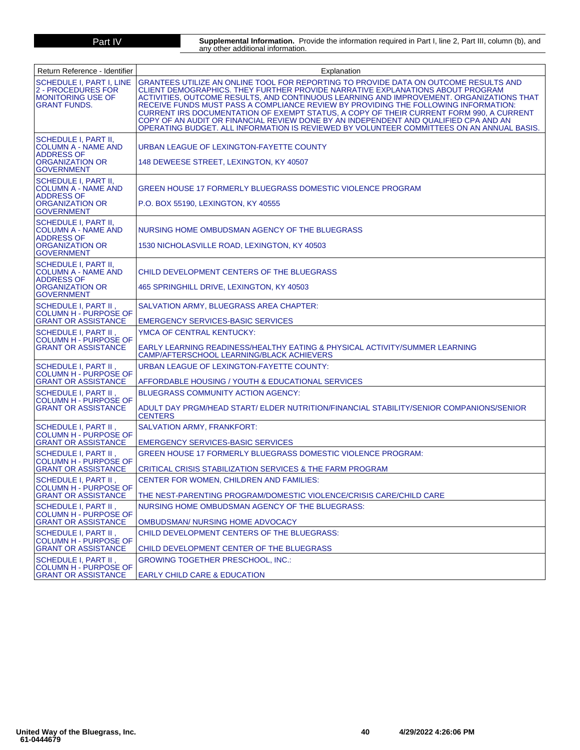**Part IV Supplemental Information.** Provide the information required in Part I, line 2, Part III, column (b), and<br>any other additional information.

| Return Reference - Identifier                                                                                          | Explanation                                                                                                                                                                                                                                                                                                                                                                                                                                                                                                                                                                                                                               |
|------------------------------------------------------------------------------------------------------------------------|-------------------------------------------------------------------------------------------------------------------------------------------------------------------------------------------------------------------------------------------------------------------------------------------------------------------------------------------------------------------------------------------------------------------------------------------------------------------------------------------------------------------------------------------------------------------------------------------------------------------------------------------|
| <b>SCHEDULE I, PART I, LINE</b><br>2 - PROCEDURES FOR<br><b>MONITORING USE OF</b><br><b>GRANT FUNDS.</b>               | GRANTEES UTILIZE AN ONLINE TOOL FOR REPORTING TO PROVIDE DATA ON OUTCOME RESULTS AND<br>CLIENT DEMOGRAPHICS. THEY FURTHER PROVIDE NARRATIVE EXPLANATIONS ABOUT PROGRAM<br>ACTIVITIES, OUTCOME RESULTS, AND CONTINUOUS LEARNING AND IMPROVEMENT. ORGANIZATIONS THAT<br>RECEIVE FUNDS MUST PASS A COMPLIANCE REVIEW BY PROVIDING THE FOLLOWING INFORMATION:<br>CURRENT IRS DOCUMENTATION OF EXEMPT STATUS, A COPY OF THEIR CURRENT FORM 990, A CURRENT<br>COPY OF AN AUDIT OR FINANCIAL REVIEW DONE BY AN INDEPENDENT AND QUALIFIED CPA AND AN<br>OPERATING BUDGET. ALL INFORMATION IS REVIEWED BY VOLUNTEER COMMITTEES ON AN ANNUAL BASIS. |
| <b>SCHEDULE I, PART II,</b><br><b>COLUMN A - NAME AND</b><br><b>ADDRESS OF</b><br>ORGANIZATION OR<br><b>GOVERNMENT</b> | URBAN LEAGUE OF LEXINGTON-FAYETTE COUNTY<br>148 DEWEESE STREET, LEXINGTON, KY 40507                                                                                                                                                                                                                                                                                                                                                                                                                                                                                                                                                       |
| <b>SCHEDULE I, PART II,</b><br><b>COLUMN A - NAME AND</b><br><b>ADDRESS OF</b><br>ORGANIZATION OR<br><b>GOVERNMENT</b> | GREEN HOUSE 17 FORMERLY BLUEGRASS DOMESTIC VIOLENCE PROGRAM<br>P.O. BOX 55190, LEXINGTON, KY 40555                                                                                                                                                                                                                                                                                                                                                                                                                                                                                                                                        |
| <b>SCHEDULE I, PART II,</b><br><b>COLUMN A - NAME AND</b><br><b>ADDRESS OF</b><br>ORGANIZATION OR<br><b>GOVERNMENT</b> | NURSING HOME OMBUDSMAN AGENCY OF THE BLUEGRASS<br>1530 NICHOLASVILLE ROAD, LEXINGTON, KY 40503                                                                                                                                                                                                                                                                                                                                                                                                                                                                                                                                            |
| <b>SCHEDULE I, PART II,</b><br><b>COLUMN A - NAME AND</b><br><b>ADDRESS OF</b><br>ORGANIZATION OR<br><b>GOVERNMENT</b> | CHILD DEVELOPMENT CENTERS OF THE BLUEGRASS<br>465 SPRINGHILL DRIVE, LEXINGTON, KY 40503                                                                                                                                                                                                                                                                                                                                                                                                                                                                                                                                                   |
| <b>SCHEDULE I. PART II.</b><br><b>COLUMN H - PURPOSE OF</b><br><b>GRANT OR ASSISTANCE</b>                              | SALVATION ARMY, BLUEGRASS AREA CHAPTER:<br>EMERGENCY SERVICES-BASIC SERVICES                                                                                                                                                                                                                                                                                                                                                                                                                                                                                                                                                              |
| <b>SCHEDULE I. PART II.</b><br><b>COLUMN H - PURPOSE OF</b><br><b>GRANT OR ASSISTANCE</b>                              | YMCA OF CENTRAL KENTUCKY:<br>EARLY LEARNING READINESS/HEALTHY EATING & PHYSICAL ACTIVITY/SUMMER LEARNING<br>CAMP/AFTERSCHOOL LEARNING/BLACK ACHIEVERS                                                                                                                                                                                                                                                                                                                                                                                                                                                                                     |
| <b>SCHEDULE I, PART II</b><br><b>COLUMN H - PURPOSE OF</b><br><b>GRANT OR ASSISTANCE</b>                               | URBAN LEAGUE OF LEXINGTON-FAYETTE COUNTY:<br>AFFORDABLE HOUSING / YOUTH & EDUCATIONAL SERVICES                                                                                                                                                                                                                                                                                                                                                                                                                                                                                                                                            |
| SCHEDULE I, PART II,<br><b>COLUMN H - PURPOSE OF</b><br><b>GRANT OR ASSISTANCE</b>                                     | <b>BLUEGRASS COMMUNITY ACTION AGENCY:</b><br>ADULT DAY PRGM/HEAD START/ ELDER NUTRITION/FINANCIAL STABILITY/SENIOR COMPANIONS/SENIOR<br><b>CENTERS</b>                                                                                                                                                                                                                                                                                                                                                                                                                                                                                    |
| SCHEDULE I, PART II,<br><b>COLUMN H - PURPOSE OF</b><br><b>GRANT OR ASSISTANCE</b>                                     | SALVATION ARMY, FRANKFORT:<br><b>EMERGENCY SERVICES-BASIC SERVICES</b>                                                                                                                                                                                                                                                                                                                                                                                                                                                                                                                                                                    |
| SCHEDULE I, PART II<br><b>COLUMN H - PURPOSE OF</b><br><b>GRANT OR ASSISTANCE</b>                                      | GREEN HOUSE 17 FORMERLY BLUEGRASS DOMESTIC VIOLENCE PROGRAM:<br>CRITICAL CRISIS STABILIZATION SERVICES & THE FARM PROGRAM                                                                                                                                                                                                                                                                                                                                                                                                                                                                                                                 |
| SCHEDULE I, PART II,<br><b>COLUMN H - PURPOSE OF</b><br><b>GRANT OR ASSISTANCE</b>                                     | CENTER FOR WOMEN, CHILDREN AND FAMILIES:<br>THE NEST-PARENTING PROGRAM/DOMESTIC VIOLENCE/CRISIS CARE/CHILD CARE                                                                                                                                                                                                                                                                                                                                                                                                                                                                                                                           |
| SCHEDULE I, PART II,<br><b>COLUMN H - PURPOSE OF</b><br><b>GRANT OR ASSISTANCE</b>                                     | NURSING HOME OMBUDSMAN AGENCY OF THE BLUEGRASS:<br>OMBUDSMAN/ NURSING HOME ADVOCACY                                                                                                                                                                                                                                                                                                                                                                                                                                                                                                                                                       |
| SCHEDULE I, PART II ,<br><b>COLUMN H - PURPOSE OF</b><br><b>GRANT OR ASSISTANCE</b>                                    | CHILD DEVELOPMENT CENTERS OF THE BLUEGRASS:<br>CHILD DEVELOPMENT CENTER OF THE BLUEGRASS                                                                                                                                                                                                                                                                                                                                                                                                                                                                                                                                                  |
| SCHEDULE I, PART II,<br><b>COLUMN H - PURPOSE OF</b><br><b>GRANT OR ASSISTANCE</b>                                     | GROWING TOGETHER PRESCHOOL, INC.:<br><b>EARLY CHILD CARE &amp; EDUCATION</b>                                                                                                                                                                                                                                                                                                                                                                                                                                                                                                                                                              |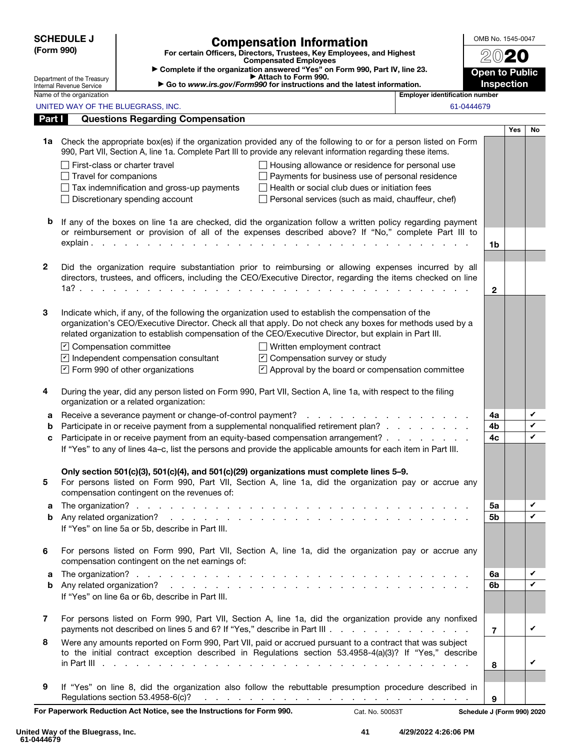|              | <b>SCHEDULE J</b>                                      | <b>Compensation Information</b>                                                                                                                                                                                                         | OMB No. 1545-0047     |            |        |
|--------------|--------------------------------------------------------|-----------------------------------------------------------------------------------------------------------------------------------------------------------------------------------------------------------------------------------------|-----------------------|------------|--------|
| (Form 990)   |                                                        | For certain Officers, Directors, Trustees, Key Employees, and Highest<br><b>Compensated Employees</b>                                                                                                                                   |                       |            |        |
|              |                                                        | Complete if the organization answered "Yes" on Form 990, Part IV, line 23.                                                                                                                                                              | <b>Open to Public</b> |            |        |
|              | Department of the Treasury<br>Internal Revenue Service | Attach to Form 990.<br>Go to www.irs.gov/Form990 for instructions and the latest information.                                                                                                                                           | Inspection            |            |        |
|              | Name of the organization                               | <b>Employer identification number</b>                                                                                                                                                                                                   |                       |            |        |
|              |                                                        | UNITED WAY OF THE BLUEGRASS, INC.                                                                                                                                                                                                       | 61-0444679            |            |        |
| Part I       |                                                        | <b>Questions Regarding Compensation</b>                                                                                                                                                                                                 |                       | <b>Yes</b> | No     |
|              |                                                        | 1a Check the appropriate box(es) if the organization provided any of the following to or for a person listed on Form<br>990, Part VII, Section A, line 1a. Complete Part III to provide any relevant information regarding these items. |                       |            |        |
|              |                                                        | □ First-class or charter travel<br>Housing allowance or residence for personal use                                                                                                                                                      |                       |            |        |
|              | $\Box$ Travel for companions                           | Payments for business use of personal residence                                                                                                                                                                                         |                       |            |        |
|              |                                                        | $\Box$ Health or social club dues or initiation fees<br>$\Box$ Tax indemnification and gross-up payments                                                                                                                                |                       |            |        |
|              |                                                        | $\Box$ Discretionary spending account<br>Personal services (such as maid, chauffeur, chef)                                                                                                                                              |                       |            |        |
| b            |                                                        | If any of the boxes on line 1a are checked, did the organization follow a written policy regarding payment<br>or reimbursement or provision of all of the expenses described above? If "No," complete Part III to                       |                       |            |        |
|              |                                                        |                                                                                                                                                                                                                                         | 1b                    |            |        |
| $\mathbf{2}$ |                                                        | Did the organization require substantiation prior to reimbursing or allowing expenses incurred by all<br>directors, trustees, and officers, including the CEO/Executive Director, regarding the items checked on line                   |                       |            |        |
|              |                                                        | 1a?.                                                                                                                                                                                                                                    | $\mathbf{2}$          |            |        |
|              |                                                        |                                                                                                                                                                                                                                         |                       |            |        |
| 3            |                                                        | Indicate which, if any, of the following the organization used to establish the compensation of the<br>organization's CEO/Executive Director. Check all that apply. Do not check any boxes for methods used by a                        |                       |            |        |
|              |                                                        | related organization to establish compensation of the CEO/Executive Director, but explain in Part III.                                                                                                                                  |                       |            |        |
|              |                                                        | $\triangleright$ Compensation committee<br>$\Box$ Written employment contract                                                                                                                                                           |                       |            |        |
|              |                                                        | $\triangleright$ Independent compensation consultant<br>$\triangleright$ Compensation survey or study                                                                                                                                   |                       |            |        |
|              |                                                        | $\triangleright$ Form 990 of other organizations<br>$\triangleright$ Approval by the board or compensation committee                                                                                                                    |                       |            |        |
|              |                                                        |                                                                                                                                                                                                                                         |                       |            |        |
| 4            |                                                        | During the year, did any person listed on Form 990, Part VII, Section A, line 1a, with respect to the filing<br>organization or a related organization:                                                                                 |                       |            |        |
| а            |                                                        |                                                                                                                                                                                                                                         | 4a                    |            | V      |
| b            |                                                        | Participate in or receive payment from a supplemental nonqualified retirement plan?                                                                                                                                                     | 4b                    |            | V<br>V |
| C            |                                                        | Participate in or receive payment from an equity-based compensation arrangement?<br>If "Yes" to any of lines 4a-c, list the persons and provide the applicable amounts for each item in Part III.                                       | 4c                    |            |        |
|              |                                                        |                                                                                                                                                                                                                                         |                       |            |        |
|              |                                                        | Only section 501(c)(3), 501(c)(4), and 501(c)(29) organizations must complete lines 5-9.                                                                                                                                                |                       |            |        |
| 5            |                                                        | For persons listed on Form 990, Part VII, Section A, line 1a, did the organization pay or accrue any                                                                                                                                    |                       |            |        |
|              |                                                        | compensation contingent on the revenues of:                                                                                                                                                                                             |                       |            |        |
| а            |                                                        |                                                                                                                                                                                                                                         | 5a                    |            | V<br>✓ |
| b            |                                                        | If "Yes" on line 5a or 5b, describe in Part III.                                                                                                                                                                                        | 5b                    |            |        |
|              |                                                        |                                                                                                                                                                                                                                         |                       |            |        |
| 6            |                                                        | For persons listed on Form 990, Part VII, Section A, line 1a, did the organization pay or accrue any<br>compensation contingent on the net earnings of:                                                                                 |                       |            |        |
| а            |                                                        |                                                                                                                                                                                                                                         | 6a                    |            | V      |
| b            |                                                        |                                                                                                                                                                                                                                         | 6b                    |            | V      |
|              |                                                        | If "Yes" on line 6a or 6b, describe in Part III.                                                                                                                                                                                        |                       |            |        |
| 7            |                                                        | For persons listed on Form 990, Part VII, Section A, line 1a, did the organization provide any nonfixed                                                                                                                                 | $\overline{7}$        |            | V      |
| 8            |                                                        | Were any amounts reported on Form 990, Part VII, paid or accrued pursuant to a contract that was subject                                                                                                                                |                       |            |        |
|              |                                                        | to the initial contract exception described in Regulations section 53.4958-4(a)(3)? If "Yes," describe                                                                                                                                  |                       |            |        |
|              |                                                        |                                                                                                                                                                                                                                         | 8                     |            | ✓      |
|              |                                                        |                                                                                                                                                                                                                                         |                       |            |        |
| 9            |                                                        | If "Yes" on line 8, did the organization also follow the rebuttable presumption procedure described in<br>Regulations section 53.4958-6(c)?                                                                                             |                       |            |        |
|              |                                                        | and a series of the contract of the contract of the contract of the contract of the contract of the contract of the contract of the contract of the contract of the contract of the contract of the contract of the contract o          | 9                     |            |        |

For Paperwork Reduction Act Notice, see the Instructions for Form 990. Cat. No. 50053T Schedule J (Form 990) 2020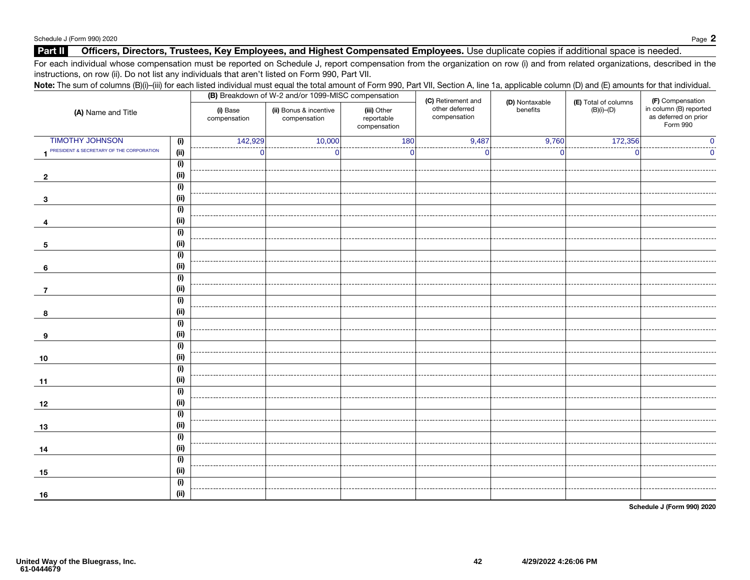### Part II Officers, Directors, Trustees, Key Employees, and Highest Compensated Employees. Use duplicate copies if additional space is needed.

For each individual whose compensation must be reported on Schedule J, report compensation from the organization on row (i) and from related organizations, described in the instructions, on row (ii). Do not list any individuals that aren't listed on Form 990, Part VII.

### Note: The sum of columns (B)(i)–(iii) for each listed individual must equal the total amount of Form 990, Part VII, Section A, line 1a, applicable column (D) and (E) amounts for that individual. (A) Name and Title (B) Breakdown of W-2 and/or 1099-MISC compensation (i) Base compensation (ii) Bonus & incentive compensation (iii) Other reportable compensation (C) Retirement and other deferred compensation (D) Nontaxable benefits (E) Total of columns (B)(i)–(D) (F) Compensation in column (B) reported as deferred on prior Form 990 1 (i) TIMOTHY JOHNSON (i)<br>1 PRESIDENT & SECRETARY OF THE CORPORATION (ii) 2 (i)  $\overline{2}$  (ii) 3 (i)  $\overline{\mathbf{3}}$  (ii) 4 (i) **4** (ii) 5  $\overline{(\mathsf{i})}$  $\begin{bmatrix} 5 \end{bmatrix}$  (ii) 6 (i)  $\begin{bmatrix} 6 \end{bmatrix}$  (ii) 7  $\overline{(\mathsf{i})}$ **7** (ii) 8  $\overline{(\mathsf{i})}$  $\begin{array}{c|c|c|c|c} \mathbf{3} & \mathbf{1} & \mathbf{1} & \mathbf{1} & \mathbf{1} \\ \hline \mathbf{6} & \mathbf{1} & \mathbf{1} & \mathbf{1} & \mathbf{1} & \mathbf{1} \\ \mathbf{10} & \mathbf{10} & \mathbf{11} & \mathbf{11} & \mathbf{1} & \mathbf{1} & \mathbf{1} \\ \hline \mathbf{11} & \mathbf{11} & \mathbf{11} & \mathbf{11} & \mathbf{11} & \mathbf{1} & \mathbf{1} \\ \hline \mathbf{12} & \mathbf{$ 9  $\overline{(\mathsf{i})}$  (ii) 10  $\overline{(\mathsf{i})}$  $\begin{array}{|c|c|c|c|c|}\n\hline\n\text{10} & \text{(ii)}\n\end{array}$ 11  $(i)$  $\begin{bmatrix} 11 \end{bmatrix}$  (ii) 12 (i)  $\begin{array}{|c|c|c|c|}\n\hline\n12 & & \text{(ii)}\n\hline\n\end{array}$ 13 (i)  $\begin{array}{|c|c|c|c|c|}\n\hline\n\text{13} & \text{(ii)}\n\end{array}$ 14  $\overline{(\mathsf{i})}$  $\begin{array}{|c|c|c|c|}\n\hline\n14 & & \text{(ii)}\n\hline\n\end{array}$ 15  $\overline{(\mathbf{i})}$  $\begin{array}{|c|c|c|c|}\n\hline\n\text{15} & \text{(ii)}\n\hline\n\end{array}$ 16 (i)  $\begin{array}{|c|c|c|c|}\n\hline\n\text{16} & \text{(ii)}\n\end{array}$ 142,929 10,000 180 180 9,487 9,760 172,356 0 0 0 0 0 0 0 0 0 0 0

Schedule J (Form 990) 2020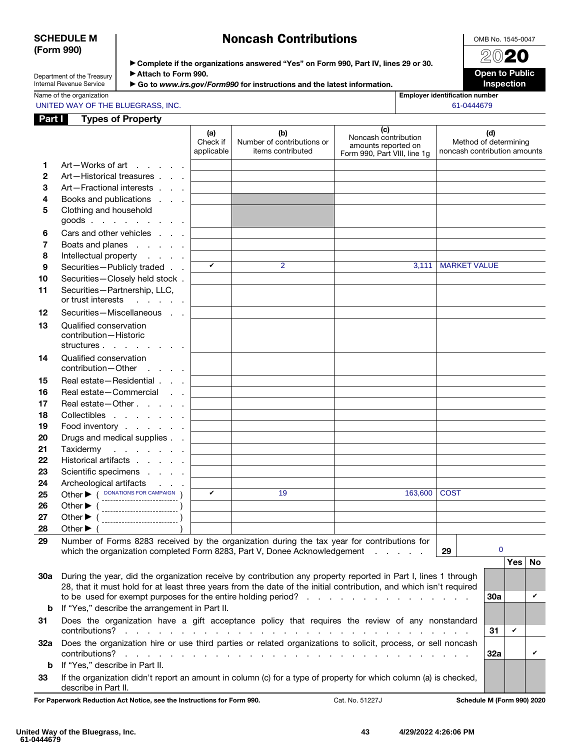### SCHEDULE M (Form 990)

## Noncash Contributions

OMB No. 1545-0047 2020

Department of the Treasury Internal Revenue Service

| ► Complete if the organizations answered "Yes" on Form 990, Part IV, lines 29 or 30. |
|--------------------------------------------------------------------------------------|
| ▶ Attach to Form 990.                                                                |

Open to Public Inspection

|  |  |  |  |  | Name of the organization |  |
|--|--|--|--|--|--------------------------|--|
|--|--|--|--|--|--------------------------|--|

| ► Go to www.irs.gov/Form990 for instructions and the latest information. |
|--------------------------------------------------------------------------|
|--------------------------------------------------------------------------|

**Employer identification number** 

UNITED WAY OF THE BLUEGRASS, INC. **Example 20 and 20 and 20 and 20 and 20 and 20 and 20 and 20 and 20 and 20 and 20 and 20 and 20 and 20 and 20 and 20 and 20 and 20 and 20 and 20 and 20 and 20 and 20 and 20 and 20 and 20 a** 

| Part I                | <b>Types of Property</b>                                                                                                                                                                                                             |                               |                                                        |                                                                                    |                              |                              |                |
|-----------------------|--------------------------------------------------------------------------------------------------------------------------------------------------------------------------------------------------------------------------------------|-------------------------------|--------------------------------------------------------|------------------------------------------------------------------------------------|------------------------------|------------------------------|----------------|
|                       |                                                                                                                                                                                                                                      | (a)<br>Check if<br>applicable | (b)<br>Number of contributions or<br>items contributed | (c)<br>Noncash contribution<br>amounts reported on<br>Form 990, Part VIII, line 1g | noncash contribution amounts | (d)<br>Method of determining |                |
| 1<br>2<br>3<br>4<br>5 | Art-Works of art<br>and the company of the company<br>Art-Historical treasures<br>Art-Fractional interests<br>Books and publications<br>Clothing and household                                                                       |                               |                                                        |                                                                                    |                              |                              |                |
| 6<br>7<br>8<br>9      | goods<br>Cars and other vehicles<br>Boats and planes<br>Intellectual property<br>Securities-Publicly traded                                                                                                                          | V                             | 2                                                      | 3,111                                                                              | <b>MARKET VALUE</b>          |                              |                |
| 10<br>11              | Securities-Closely held stock.<br>Securities-Partnership, LLC,<br>or trust interests<br>and a state of the                                                                                                                           |                               |                                                        |                                                                                    |                              |                              |                |
| 12<br>13              | Securities-Miscellaneous<br>Qualified conservation<br>contribution-Historic<br>structures                                                                                                                                            |                               |                                                        |                                                                                    |                              |                              |                |
| 14                    | Qualified conservation<br>contribution-Other                                                                                                                                                                                         |                               |                                                        |                                                                                    |                              |                              |                |
| 15<br>16<br>17<br>18  | Real estate - Residential<br>Real estate-Commercial<br>Real estate - Other<br>Collectibles                                                                                                                                           |                               |                                                        |                                                                                    |                              |                              |                |
| 19<br>20<br>21        | Food inventory<br>Drugs and medical supplies<br>Taxidermy<br>and a series and                                                                                                                                                        |                               |                                                        |                                                                                    |                              |                              |                |
| 22<br>23<br>24        | Historical artifacts<br>Scientific specimens<br>Archeological artifacts                                                                                                                                                              | V                             | 19                                                     | 163,600                                                                            | <b>COST</b>                  |                              |                |
| 25<br>26<br>27<br>28  | Other ( DONATIONS FOR CAMPAIGN )<br>Other $\blacktriangleright$ (<br>--------------------------<br>Other $\blacktriangleright$<br>Other $\blacktriangleright$                                                                        |                               |                                                        |                                                                                    |                              |                              |                |
| 29                    | Number of Forms 8283 received by the organization during the tax year for contributions for<br>which the organization completed Form 8283, Part V, Donee Acknowledgement<br>29                                                       |                               |                                                        |                                                                                    |                              | $\mathbf 0$                  |                |
| 30a                   | During the year, did the organization receive by contribution any property reported in Part I, lines 1 through<br>28, that it must hold for at least three years from the date of the initial contribution, and which isn't required |                               |                                                        |                                                                                    |                              | Yes  <br>30a                 | <b>No</b><br>v |
| b<br>31               | If "Yes," describe the arrangement in Part II.<br>Does the organization have a gift acceptance policy that requires the review of any nonstandard                                                                                    |                               |                                                        |                                                                                    |                              |                              |                |
| 32a                   | Does the organization hire or use third parties or related organizations to solicit, process, or sell noncash                                                                                                                        |                               |                                                        |                                                                                    |                              | V<br>31<br>32a               | V              |
| b<br>33               | If "Yes," describe in Part II.<br>If the organization didn't report an amount in column (c) for a type of property for which column (a) is checked,                                                                                  |                               |                                                        |                                                                                    |                              |                              |                |

For Paperwork Reduction Act Notice, see the Instructions for Form 990. Cat. No. 51227J Schedule M (Form 990) 2020

describe in Part II.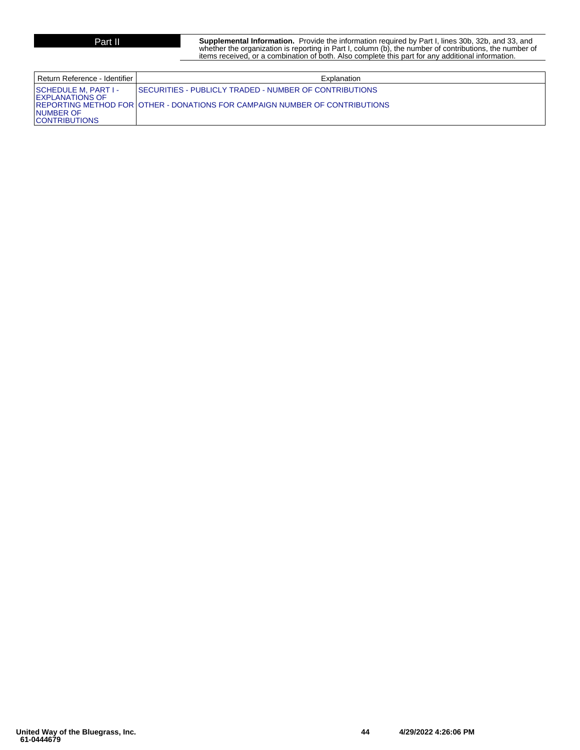**Part II Supplemental Information.** Provide the information required by Part I, lines 30b, 32b, and 33, and whether the organization is reporting in Part I, column (b), the number of contributions, the number of items received, or a combination of both. Also complete this part for any additional information.

| Return Reference - Identifier I                                                                  | Explanation                                                                                                                                    |
|--------------------------------------------------------------------------------------------------|------------------------------------------------------------------------------------------------------------------------------------------------|
| <b>SCHEDULE M. PART I-</b><br><b>EXPLANATIONS OF</b><br><b>NUMBER OF</b><br><b>CONTRIBUTIONS</b> | <b>ISECURITIES - PUBLICLY TRADED - NUMBER OF CONTRIBUTIONS</b><br>REPORTING METHOD FOR LOTHER - DONATIONS FOR CAMPAIGN NUMBER OF CONTRIBUTIONS |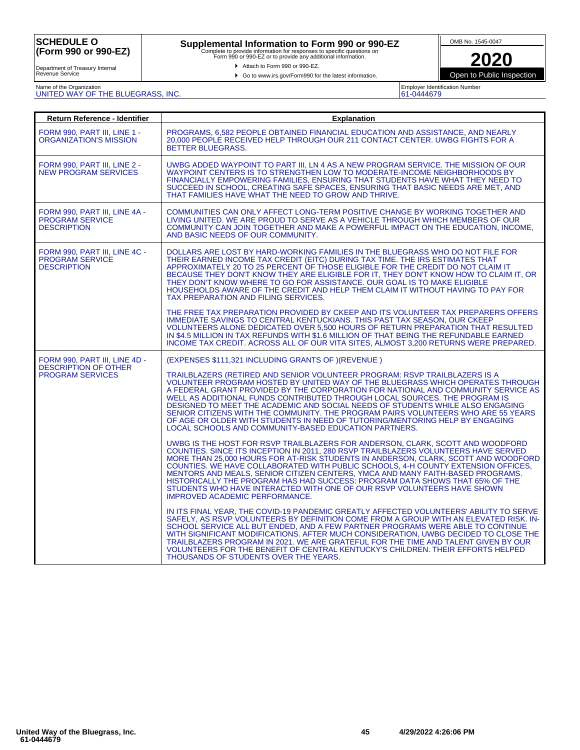# **Supplemental Information to Form 990 or 990-EZ**<br>Complete to provide information for responses to specific questions on<br>Form 990 or 990-EZ or to provide any additional information.

Attach to Form 990 or 990-EZ.





**2020** Open to Public Inspection

Department of Treasury Internal Revenue Service

## Name of the Organization UNITED WAY OF THE BLUEGRASS, INC.

Employer Identification Number 61-0444679

| Return Reference - Identifier                                                           | <b>Explanation</b>                                                                                                                                                                                                                                                                                                                                                                                                                                                                                                                                                                                                                                                                                                                                                                                                                                                                                                                                                                                                                                                                                                                                                                                                                                                                                                                                                                                                                                                                                                                                                                                                                                                                                   |  |  |  |
|-----------------------------------------------------------------------------------------|------------------------------------------------------------------------------------------------------------------------------------------------------------------------------------------------------------------------------------------------------------------------------------------------------------------------------------------------------------------------------------------------------------------------------------------------------------------------------------------------------------------------------------------------------------------------------------------------------------------------------------------------------------------------------------------------------------------------------------------------------------------------------------------------------------------------------------------------------------------------------------------------------------------------------------------------------------------------------------------------------------------------------------------------------------------------------------------------------------------------------------------------------------------------------------------------------------------------------------------------------------------------------------------------------------------------------------------------------------------------------------------------------------------------------------------------------------------------------------------------------------------------------------------------------------------------------------------------------------------------------------------------------------------------------------------------------|--|--|--|
| <b>FORM 990. PART III. LINE 1 -</b><br>ORGANIZATION'S MISSION                           | PROGRAMS, 6.582 PEOPLE OBTAINED FINANCIAL EDUCATION AND ASSISTANCE, AND NEARLY<br>20,000 PEOPLE RECEIVED HELP THROUGH OUR 211 CONTACT CENTER. UWBG FIGHTS FOR A<br><b>BETTER BLUEGRASS.</b>                                                                                                                                                                                                                                                                                                                                                                                                                                                                                                                                                                                                                                                                                                                                                                                                                                                                                                                                                                                                                                                                                                                                                                                                                                                                                                                                                                                                                                                                                                          |  |  |  |
| FORM 990, PART III, LINE 2 -<br><b>NEW PROGRAM SERVICES</b>                             | UWBG ADDED WAYPOINT TO PART III, LN 4 AS A NEW PROGRAM SERVICE. THE MISSION OF OUR<br>WAYPOINT CENTERS IS TO STRENGTHEN LOW TO MODERATE-INCOME NEIGHBORHOODS BY<br>FINANCIALLY EMPOWERING FAMILIES, ENSURING THAT STUDENTS HAVE WHAT THEY NEED TO<br>SUCCEED IN SCHOOL, CREATING SAFE SPACES, ENSURING THAT BASIC NEEDS ARE MET, AND<br>THAT FAMILIES HAVE WHAT THE NEED TO GROW AND THRIVE.                                                                                                                                                                                                                                                                                                                                                                                                                                                                                                                                                                                                                                                                                                                                                                                                                                                                                                                                                                                                                                                                                                                                                                                                                                                                                                         |  |  |  |
| FORM 990, PART III, LINE 4A -<br><b>PROGRAM SERVICE</b><br><b>DESCRIPTION</b>           | COMMUNITIES CAN ONLY AFFECT LONG-TERM POSITIVE CHANGE BY WORKING TOGETHER AND<br>LIVING UNITED. WE ARE PROUD TO SERVE AS A VEHICLE THROUGH WHICH MEMBERS OF OUR<br>COMMUNITY CAN JOIN TOGETHER AND MAKE A POWERFUL IMPACT ON THE EDUCATION. INCOME.<br>AND BASIC NEEDS OF OUR COMMUNITY.                                                                                                                                                                                                                                                                                                                                                                                                                                                                                                                                                                                                                                                                                                                                                                                                                                                                                                                                                                                                                                                                                                                                                                                                                                                                                                                                                                                                             |  |  |  |
| FORM 990, PART III, LINE 4C -<br><b>PROGRAM SERVICE</b><br><b>DESCRIPTION</b>           | DOLLARS ARE LOST BY HARD-WORKING FAMILIES IN THE BLUEGRASS WHO DO NOT FILE FOR<br>THEIR EARNED INCOME TAX CREDIT (EITC) DURING TAX TIME. THE IRS ESTIMATES THAT<br>APPROXIMATELY 20 TO 25 PERCENT OF THOSE ELIGIBLE FOR THE CREDIT DO NOT CLAIM IT<br>BECAUSE THEY DON'T KNOW THEY ARE ELIGIBLE FOR IT, THEY DON'T KNOW HOW TO CLAIM IT, OR<br>THEY DON'T KNOW WHERE TO GO FOR ASSISTANCE. OUR GOAL IS TO MAKE ELIGIBLE<br>HOUSEHOLDS AWARE OF THE CREDIT AND HELP THEM CLAIM IT WITHOUT HAVING TO PAY FOR<br>TAX PREPARATION AND FILING SERVICES.                                                                                                                                                                                                                                                                                                                                                                                                                                                                                                                                                                                                                                                                                                                                                                                                                                                                                                                                                                                                                                                                                                                                                   |  |  |  |
|                                                                                         | THE FREE TAX PREPARATION PROVIDED BY CKEEP AND ITS VOLUNTEER TAX PREPARERS OFFERS<br>IMMEDIATE SAVINGS TO CENTRAL KENTUCKIANS. THIS PAST TAX SEASON, OUR CKEEP<br>VOLUNTEERS ALONE DEDICATED OVER 5,500 HOURS OF RETURN PREPARATION THAT RESULTED<br>IN \$4.5 MILLION IN TAX REFUNDS WITH \$1.6 MILLION OF THAT BEING THE REFUNDABLE EARNED<br>INCOME TAX CREDIT. ACROSS ALL OF OUR VITA SITES. ALMOST 3.200 RETURNS WERE PREPARED.                                                                                                                                                                                                                                                                                                                                                                                                                                                                                                                                                                                                                                                                                                                                                                                                                                                                                                                                                                                                                                                                                                                                                                                                                                                                  |  |  |  |
| FORM 990, PART III, LINE 4D -<br><b>DESCRIPTION OF OTHER</b><br><b>PROGRAM SERVICES</b> | (EXPENSES \$111,321 INCLUDING GRANTS OF )(REVENUE)<br>TRAILBLAZERS (RETIRED AND SENIOR VOLUNTEER PROGRAM: RSVP TRAILBLAZERS IS A<br>VOLUNTEER PROGRAM HOSTED BY UNITED WAY OF THE BLUEGRASS WHICH OPERATES THROUGH<br>A FEDERAL GRANT PROVIDED BY THE CORPORATION FOR NATIONAL AND COMMUNITY SERVICE AS<br>WELL AS ADDITIONAL FUNDS CONTRIBUTED THROUGH LOCAL SOURCES. THE PROGRAM IS<br>DESIGNED TO MEET THE ACADEMIC AND SOCIAL NEEDS OF STUDENTS WHILE ALSO ENGAGING<br>SENIOR CITIZENS WITH THE COMMUNITY. THE PROGRAM PAIRS VOLUNTEERS WHO ARE 55 YEARS<br>OF AGE OR OLDER WITH STUDENTS IN NEED OF TUTORING/MENTORING HELP BY ENGAGING<br>LOCAL SCHOOLS AND COMMUNITY-BASED EDUCATION PARTNERS.<br>UWBG IS THE HOST FOR RSVP TRAILBLAZERS FOR ANDERSON. CLARK, SCOTT AND WOODFORD<br>COUNTIES. SINCE ITS INCEPTION IN 2011, 280 RSVP TRAILBLAZERS VOLUNTEERS HAVE SERVED<br>MORE THAN 25,000 HOURS FOR AT-RISK STUDENTS IN ANDERSON, CLARK, SCOTT AND WOODFORD<br>COUNTIES. WE HAVE COLLABORATED WITH PUBLIC SCHOOLS, 4-H COUNTY EXTENSION OFFICES,<br>MENTORS AND MEALS, SENIOR CITIZEN CENTERS, YMCA AND MANY FAITH-BASED PROGRAMS.<br>HISTORICALLY THE PROGRAM HAS HAD SUCCESS: PROGRAM DATA SHOWS THAT 65% OF THE<br>STUDENTS WHO HAVE INTERACTED WITH ONE OF OUR RSVP VOLUNTEERS HAVE SHOWN<br>IMPROVED ACADEMIC PERFORMANCE.<br>IN ITS FINAL YEAR, THE COVID-19 PANDEMIC GREATLY AFFECTED VOLUNTEERS' ABILITY TO SERVE<br>SAFELY, AS RSVP VOLUNTEERS BY DEFINITION COME FROM A GROUP WITH AN ELEVATED RISK. IN-<br>SCHOOL SERVICE ALL BUT ENDED, AND A FEW PARTNER PROGRAMS WERE ABLE TO CONTINUE<br>WITH SIGNIFICANT MODIFICATIONS. AFTER MUCH CONSIDERATION, UWBG DECIDED TO CLOSE THE |  |  |  |
|                                                                                         | TRAILBLAZERS PROGRAM IN 2021. WE ARE GRATEFUL FOR THE TIME AND TALENT GIVEN BY OUR<br>VOLUNTEERS FOR THE BENEFIT OF CENTRAL KENTUCKY'S CHILDREN. THEIR EFFORTS HELPED<br>THOUSANDS OF STUDENTS OVER THE YEARS.                                                                                                                                                                                                                                                                                                                                                                                                                                                                                                                                                                                                                                                                                                                                                                                                                                                                                                                                                                                                                                                                                                                                                                                                                                                                                                                                                                                                                                                                                       |  |  |  |